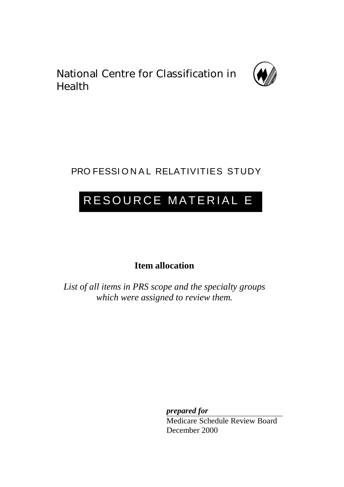National Centre for Classification in Health



# PRO FESSIONAL RELATIVITIES STUDY

# RESOURCE MATERIAL E

**Item allocation**

*List of all items in PRS scope and the specialty groups which were assigned to review them.*

*prepared for*

Medicare Schedule Review Board December 2000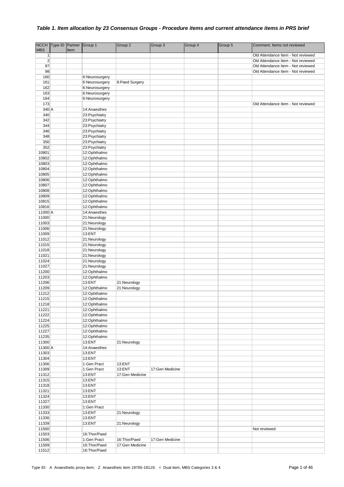| <b>MBS</b>     | NCCH Type ID Partner Group 1 |      |                              | Group 2         | Group 3         | Group 4 | Group 5 | Comment. Items not reviewed        |
|----------------|------------------------------|------|------------------------------|-----------------|-----------------|---------|---------|------------------------------------|
| 1              |                              | Item |                              |                 |                 |         |         | Old Attendance Item - Not reviewed |
| $\mathbf 2$    |                              |      |                              |                 |                 |         |         | Old Attendance Item - Not reviewed |
| 97             |                              |      |                              |                 |                 |         |         | Old Attendance Item - Not reviewed |
| 98             |                              |      |                              |                 |                 |         |         | Old Attendance Item - Not reviewed |
| 160            |                              |      | 6:Neurosurgery               |                 |                 |         |         |                                    |
| 161            |                              |      | 6:Neurosurgery               | 8:Paed Surgery  |                 |         |         |                                    |
| 162            |                              |      | 6:Neurosurgery               |                 |                 |         |         |                                    |
| 163            |                              |      | 6:Neurosurgery               |                 |                 |         |         |                                    |
| 164            |                              |      | 6:Neurosurgery               |                 |                 |         |         |                                    |
| 173<br>$340$ A |                              |      | 14:Anaesthes                 |                 |                 |         |         | Old Attendance Item - Not reviewed |
| 340            |                              |      | 23:Psychiatry                |                 |                 |         |         |                                    |
| 342            |                              |      | 23:Psychiatry                |                 |                 |         |         |                                    |
| 344            |                              |      | 23:Psychiatry                |                 |                 |         |         |                                    |
| 346            |                              |      | 23:Psychiatry                |                 |                 |         |         |                                    |
| 348            |                              |      | 23: Psychiatry               |                 |                 |         |         |                                    |
| 350            |                              |      | 23: Psychiatry               |                 |                 |         |         |                                    |
| 352            |                              |      | 23: Psychiatry               |                 |                 |         |         |                                    |
| 10801          |                              |      | 12:Ophthalmo                 |                 |                 |         |         |                                    |
| 10802<br>10803 |                              |      | 12:Ophthalmo<br>12:Ophthalmo |                 |                 |         |         |                                    |
| 10804          |                              |      | 12:Ophthalmo                 |                 |                 |         |         |                                    |
| 10805          |                              |      | 12:Ophthalmo                 |                 |                 |         |         |                                    |
| 10806          |                              |      | 12:Ophthalmo                 |                 |                 |         |         |                                    |
| 10807          |                              |      | 12:Ophthalmo                 |                 |                 |         |         |                                    |
| 10808          |                              |      | 12:Ophthalmo                 |                 |                 |         |         |                                    |
| 10809          |                              |      | 12:Ophthalmo                 |                 |                 |         |         |                                    |
| 10815<br>10816 |                              |      | 12:Ophthalmo                 |                 |                 |         |         |                                    |
| 11000 A        |                              |      | 12:Ophthalmo<br>14:Anaesthes |                 |                 |         |         |                                    |
| 11000          |                              |      | 21:Neurology                 |                 |                 |         |         |                                    |
| 11003          |                              |      | 21:Neurology                 |                 |                 |         |         |                                    |
| 11006          |                              |      | 21:Neurology                 |                 |                 |         |         |                                    |
| 11009          |                              |      | 13:ENT                       |                 |                 |         |         |                                    |
| 11012          |                              |      | 21:Neurology                 |                 |                 |         |         |                                    |
| 11015          |                              |      | 21:Neurology                 |                 |                 |         |         |                                    |
| 11018<br>11021 |                              |      | 21:Neurology<br>21:Neurology |                 |                 |         |         |                                    |
| 11024          |                              |      | 21:Neurology                 |                 |                 |         |         |                                    |
| 11027          |                              |      | 21:Neurology                 |                 |                 |         |         |                                    |
| 11200          |                              |      | 12:Ophthalmo                 |                 |                 |         |         |                                    |
| 11203          |                              |      | 12:Ophthalmo                 |                 |                 |         |         |                                    |
| 11206          |                              |      | 13:ENT                       | 21:Neurology    |                 |         |         |                                    |
| 11209<br>11212 |                              |      | 12:Ophthalmo                 | 21:Neurology    |                 |         |         |                                    |
| 11215          |                              |      | 12:Ophthalmo<br>12:Ophthalmo |                 |                 |         |         |                                    |
| 11218          |                              |      | 12:Ophthalmo                 |                 |                 |         |         |                                    |
| 11221          |                              |      | 12:Ophthalmo                 |                 |                 |         |         |                                    |
| 11222          |                              |      | 12:Ophthalmo                 |                 |                 |         |         |                                    |
| 11224          |                              |      | 12:Ophthalmo                 |                 |                 |         |         |                                    |
| 11225          |                              |      | 12:Ophthalmo                 |                 |                 |         |         |                                    |
| 11227          |                              |      | 12:Ophthalmo                 |                 |                 |         |         |                                    |
| 11235<br>11300 |                              |      | 12:Ophthalmo<br>13:ENT       | 21:Neurology    |                 |         |         |                                    |
| 11300 A        |                              |      | 14:Anaesthes                 |                 |                 |         |         |                                    |
| 11303          |                              |      | 13:ENT                       |                 |                 |         |         |                                    |
| 11304          |                              |      | 13:ENT                       |                 |                 |         |         |                                    |
| 11306          |                              |      | 1:Gen Pract                  | 13:ENT          |                 |         |         |                                    |
| 11309          |                              |      | 1:Gen Pract                  | 13:ENT          | 17:Gen Medicine |         |         |                                    |
| 11312<br>11315 |                              |      | 13:ENT<br>13:ENT             | 17:Gen Medicine |                 |         |         |                                    |
| 11318          |                              |      | 13:ENT                       |                 |                 |         |         |                                    |
| 11321          |                              |      | 13:ENT                       |                 |                 |         |         |                                    |
| 11324          |                              |      | 13:ENT                       |                 |                 |         |         |                                    |
| 11327          |                              |      | 13:ENT                       |                 |                 |         |         |                                    |
| 11330          |                              |      | 1:Gen Pract                  |                 |                 |         |         |                                    |
| 11333          |                              |      | 13:ENT                       | 21:Neurology    |                 |         |         |                                    |
| 11336          |                              |      | 13:ENT                       |                 |                 |         |         |                                    |
| 11339<br>11500 |                              |      | 13:ENT                       | 21:Neurology    |                 |         |         |                                    |
| 11503          |                              |      | 16: Thor/Paed                |                 |                 |         |         | Not reviewed                       |
| 11506          |                              |      | 1:Gen Pract                  | 16:Thor/Paed    | 17:Gen Medicine |         |         |                                    |
| 11509          |                              |      | 16: Thor/Paed                | 17:Gen Medicine |                 |         |         |                                    |
| 11512          |                              |      | 16:Thor/Paed                 |                 |                 |         |         |                                    |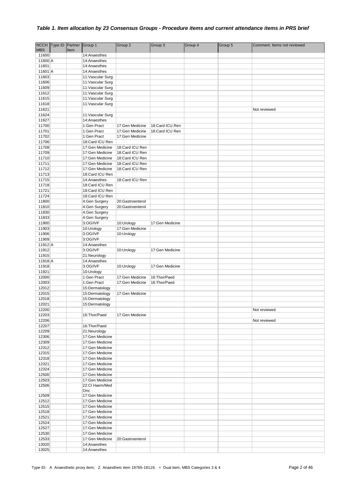|                  | NCCH Type ID | Partner | Group 1                  | Group 2          | Group 3         | Group 4 | Group 5 | Comment. Items not reviewed |
|------------------|--------------|---------|--------------------------|------------------|-----------------|---------|---------|-----------------------------|
| <b>MBS</b>       |              | Item    |                          |                  |                 |         |         |                             |
| 11600            |              |         | 14:Anaesthes             |                  |                 |         |         |                             |
| 11600 A          |              |         | 14:Anaesthes             |                  |                 |         |         |                             |
| 11601            |              |         | 14:Anaesthes             |                  |                 |         |         |                             |
| 11601 A          |              |         | 14:Anaesthes             |                  |                 |         |         |                             |
| 11603            |              |         | 11: Vascular Surg        |                  |                 |         |         |                             |
| 11606            |              |         | 11: Vascular Surg        |                  |                 |         |         |                             |
| 11609            |              |         | 11: Vascular Surg        |                  |                 |         |         |                             |
| 11612            |              |         | 11: Vascular Surg        |                  |                 |         |         |                             |
| 11615            |              |         | 11: Vascular Surg        |                  |                 |         |         |                             |
| 11618<br>11621   |              |         | 11: Vascular Surg        |                  |                 |         |         | Not reviewed                |
| 11624            |              |         | 11: Vascular Surg        |                  |                 |         |         |                             |
| 11627            |              |         | 14:Anaesthes             |                  |                 |         |         |                             |
| 11700            |              |         | 1:Gen Pract              | 17:Gen Medicine  | 18:Card ICU Ren |         |         |                             |
| 11701            |              |         | 1:Gen Pract              | 17:Gen Medicine  | 18:Card ICU Ren |         |         |                             |
| 11702            |              |         | 1:Gen Pract              | 17:Gen Medicine  |                 |         |         |                             |
| 11706            |              |         | 18:Card ICU Ren          |                  |                 |         |         |                             |
| 11708            |              |         | 17:Gen Medicine          | 18:Card ICU Ren  |                 |         |         |                             |
| 11709            |              |         | 17:Gen Medicine          | 18:Card ICU Ren  |                 |         |         |                             |
| 11710            |              |         | 17:Gen Medicine          | 18:Card ICU Ren  |                 |         |         |                             |
| 11711            |              |         | 17:Gen Medicine          | 18:Card ICU Ren  |                 |         |         |                             |
| 11712            |              |         | 17:Gen Medicine          | 18:Card ICU Ren  |                 |         |         |                             |
| 11713            |              |         | 18:Card ICU Ren          |                  |                 |         |         |                             |
| 11715            |              |         | 14:Anaesthes             | 18:Card ICU Ren  |                 |         |         |                             |
| 11718            |              |         | 18:Card ICU Ren          |                  |                 |         |         |                             |
| 11721            |              |         | 18:Card ICU Ren          |                  |                 |         |         |                             |
| 11724            |              |         | 18:Card ICU Ren          |                  |                 |         |         |                             |
| 11800            |              |         | 4:Gen Surgery            | 20:Gastroenterol |                 |         |         |                             |
| 11810            |              |         | 4:Gen Surgery            | 20:Gastroenterol |                 |         |         |                             |
| 11830            |              |         | 4:Gen Surgery            |                  |                 |         |         |                             |
| 11833            |              |         | 4:Gen Surgery            |                  |                 |         |         |                             |
| 11900            |              |         | 3:OG/IVF                 | 10:Urology       | 17:Gen Medicine |         |         |                             |
| 11903            |              |         | 10:Urology               | 17:Gen Medicine  |                 |         |         |                             |
| 11906            |              |         | 3:OG/IVF                 | 10:Urology       |                 |         |         |                             |
| 11909<br>11912 A |              |         | 3:OG/IVF                 |                  |                 |         |         |                             |
| 11912            |              |         | 14:Anaesthes<br>3:OG/IVF |                  | 17:Gen Medicine |         |         |                             |
| 11915            |              |         | 21:Neurology             | 10:Urology       |                 |         |         |                             |
| 11918 A          |              |         | 14:Anaesthes             |                  |                 |         |         |                             |
| 11918            |              |         | 3:OG/IVF                 | 10:Urology       | 17:Gen Medicine |         |         |                             |
| 11921            |              |         | 10:Urology               |                  |                 |         |         |                             |
| 12000            |              |         | 1:Gen Pract              | 17:Gen Medicine  | 16:Thor/Paed    |         |         |                             |
| 12003            |              |         | 1:Gen Pract              | 17:Gen Medicine  | 16:Thor/Paed    |         |         |                             |
| 12012            |              |         | 15:Dermatology           |                  |                 |         |         |                             |
| 12015            |              |         | 15:Dermatology           | 17:Gen Medicine  |                 |         |         |                             |
| 12018            |              |         | 15:Dermatology           |                  |                 |         |         |                             |
| 12021            |              |         | 15:Dermatology           |                  |                 |         |         |                             |
| 12200            |              |         |                          |                  |                 |         |         | Not reviewed                |
| 12203            |              |         | 16: Thor/Paed            | 17:Gen Medicine  |                 |         |         |                             |
| 12206            |              |         |                          |                  |                 |         |         | Not reviewed                |
| 12207            |              |         | 16: Thor/Paed            |                  |                 |         |         |                             |
| 12209            |              |         | 21:Neurology             |                  |                 |         |         |                             |
| 12306            |              |         | 17:Gen Medicine          |                  |                 |         |         |                             |
| 12309            |              |         | 17:Gen Medicine          |                  |                 |         |         |                             |
| 12312            |              |         | 17:Gen Medicine          |                  |                 |         |         |                             |
| 12315            |              |         | 17:Gen Medicine          |                  |                 |         |         |                             |
| 12318            |              |         | 17:Gen Medicine          |                  |                 |         |         |                             |
| 12321            |              |         | 17:Gen Medicine          |                  |                 |         |         |                             |
| 12324            |              |         | 17:Gen Medicine          |                  |                 |         |         |                             |
| 12500            |              |         | 17:Gen Medicine          |                  |                 |         |         |                             |
| 12503            |              |         | 17:Gen Medicine          |                  |                 |         |         |                             |
| 12506            |              |         | 22:Cl Haem/Med<br>Onc    |                  |                 |         |         |                             |
| 12509            |              |         | 17:Gen Medicine          |                  |                 |         |         |                             |
| 12512            |              |         | 17:Gen Medicine          |                  |                 |         |         |                             |
| 12515            |              |         | 17:Gen Medicine          |                  |                 |         |         |                             |
| 12518            |              |         | 17:Gen Medicine          |                  |                 |         |         |                             |
| 12521            |              |         | 17:Gen Medicine          |                  |                 |         |         |                             |
| 12524            |              |         | 17:Gen Medicine          |                  |                 |         |         |                             |
| 12527            |              |         | 17:Gen Medicine          |                  |                 |         |         |                             |
| 12530            |              |         | 17:Gen Medicine          |                  |                 |         |         |                             |
| 12533            |              |         | 17:Gen Medicine          | 20:Gastroenterol |                 |         |         |                             |
| 13020            |              |         | 14:Anaesthes             |                  |                 |         |         |                             |
| 13025            |              |         | 14:Anaesthes             |                  |                 |         |         |                             |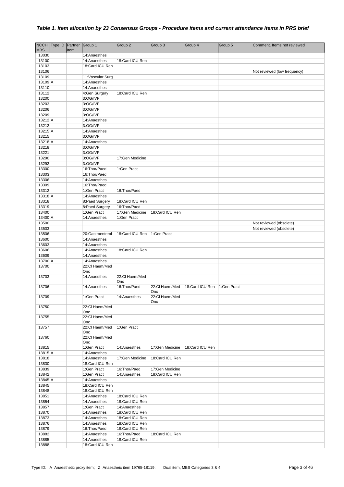|                  | NCCH Type ID Partner |      | Group 1                     | Group 2                        | Group 3               | Group 4         | Group 5     | Comment. Items not reviewed  |
|------------------|----------------------|------|-----------------------------|--------------------------------|-----------------------|-----------------|-------------|------------------------------|
| <b>MBS</b>       |                      | Item |                             |                                |                       |                 |             |                              |
| 13030            |                      |      | 14:Anaesthes                |                                |                       |                 |             |                              |
| 13100            |                      |      | 14:Anaesthes                | 18:Card ICU Ren                |                       |                 |             |                              |
| 13103            |                      |      | 18:Card ICU Ren             |                                |                       |                 |             |                              |
| 13106            |                      |      |                             |                                |                       |                 |             | Not reviewed (low frequency) |
| 13109            |                      |      | 11: Vascular Surg           |                                |                       |                 |             |                              |
| 13109 A          |                      |      | 14:Anaesthes                |                                |                       |                 |             |                              |
| 13110<br>13112   |                      |      | 14:Anaesthes                | 18:Card ICU Ren                |                       |                 |             |                              |
| 13200            |                      |      | 4:Gen Surgery<br>3:OG/IVF   |                                |                       |                 |             |                              |
| 13203            |                      |      | 3:OG/IVF                    |                                |                       |                 |             |                              |
| 13206            |                      |      | 3:OG/IVF                    |                                |                       |                 |             |                              |
| 13209            |                      |      | 3:OG/IVF                    |                                |                       |                 |             |                              |
| 13212 A          |                      |      | 14:Anaesthes                |                                |                       |                 |             |                              |
| 13212            |                      |      | 3:OG/IVF                    |                                |                       |                 |             |                              |
| 13215 A          |                      |      | 14:Anaesthes                |                                |                       |                 |             |                              |
| 13215            |                      |      | 3:OG/IVF                    |                                |                       |                 |             |                              |
| 13218 A          |                      |      | 14:Anaesthes                |                                |                       |                 |             |                              |
| 13218            |                      |      | 3:OG/IVF                    |                                |                       |                 |             |                              |
| 13221            |                      |      | 3:OG/IVF                    |                                |                       |                 |             |                              |
| 13290            |                      |      | 3:OG/IVF                    | 17:Gen Medicine                |                       |                 |             |                              |
| 13292            |                      |      | 3:OG/IVF                    |                                |                       |                 |             |                              |
| 13300            |                      |      | 16: Thor/Paed               | 1:Gen Pract                    |                       |                 |             |                              |
| 13303            |                      |      | 16: Thor/Paed               |                                |                       |                 |             |                              |
| 13306            |                      |      | 14:Anaesthes                |                                |                       |                 |             |                              |
| 13309            |                      |      | 16: Thor/Paed               |                                |                       |                 |             |                              |
| 13312            |                      |      | 1:Gen Pract                 | 16: Thor/Paed                  |                       |                 |             |                              |
| $13318$ A        |                      |      | 14:Anaesthes                |                                |                       |                 |             |                              |
| 13318            |                      |      | 8:Paed Surgery              | 18:Card ICU Ren                |                       |                 |             |                              |
| 13319            |                      |      | 8:Paed Surgery              | 16:Thor/Paed                   |                       |                 |             |                              |
| 13400<br>13400 A |                      |      | 1:Gen Pract<br>14:Anaesthes | 17:Gen Medicine<br>1:Gen Pract | 18:Card ICU Ren       |                 |             |                              |
| 13500            |                      |      |                             |                                |                       |                 |             | Not reviewed (obsolete)      |
| 13503            |                      |      |                             |                                |                       |                 |             | Not reviewed (obsolete)      |
| 13506            |                      |      | 20:Gastroenterol            | 18:Card ICU Ren                | 1:Gen Pract           |                 |             |                              |
| 13600            |                      |      | 14:Anaesthes                |                                |                       |                 |             |                              |
| 13603            |                      |      | 14:Anaesthes                |                                |                       |                 |             |                              |
| 13606            |                      |      | 14:Anaesthes                | 18:Card ICU Ren                |                       |                 |             |                              |
| 13609            |                      |      | 14:Anaesthes                |                                |                       |                 |             |                              |
| 13700 A          |                      |      | 14:Anaesthes                |                                |                       |                 |             |                              |
| 13700            |                      |      | 22:Cl Haem/Med              |                                |                       |                 |             |                              |
|                  |                      |      | Onc                         |                                |                       |                 |             |                              |
| 13703            |                      |      | 14:Anaesthes                | 22:Cl Haem/Med                 |                       |                 |             |                              |
|                  |                      |      |                             | Onc                            |                       |                 |             |                              |
| 13706            |                      |      | 14:Anaesthes                | 16:Thor/Paed                   | 22:Cl Haem/Med        | 18:Card ICU Ren | 1:Gen Pract |                              |
| 13709            |                      |      | 1:Gen Pract                 | 14:Anaesthes                   | Onc<br>22:Cl Haem/Med |                 |             |                              |
|                  |                      |      |                             |                                | Onc                   |                 |             |                              |
| 13750            |                      |      | 22:Cl Haem/Med              |                                |                       |                 |             |                              |
|                  |                      |      | Onc                         |                                |                       |                 |             |                              |
| 13755            |                      |      | 22:Cl Haem/Med              |                                |                       |                 |             |                              |
|                  |                      |      | Onc                         |                                |                       |                 |             |                              |
| 13757            |                      |      | 22:Cl Haem/Med              | 1:Gen Pract                    |                       |                 |             |                              |
|                  |                      |      | Onc                         |                                |                       |                 |             |                              |
| 13760            |                      |      | 22:Cl Haem/Med<br>Onc       |                                |                       |                 |             |                              |
| 13815            |                      |      | 1:Gen Pract                 | 14:Anaesthes                   | 17:Gen Medicine       | 18:Card ICU Ren |             |                              |
| 13815 A          |                      |      | 14:Anaesthes                |                                |                       |                 |             |                              |
| 13818            |                      |      | 14:Anaesthes                | 17:Gen Medicine                | 18:Card ICU Ren       |                 |             |                              |
| 13830            |                      |      | 18:Card ICU Ren             |                                |                       |                 |             |                              |
| 13839            |                      |      | 1:Gen Pract                 | 16: Thor/Paed                  | 17:Gen Medicine       |                 |             |                              |
| 13842            |                      |      | 1:Gen Pract                 | 14:Anaesthes                   | 18:Card ICU Ren       |                 |             |                              |
| 13845 A          |                      |      | 14:Anaesthes                |                                |                       |                 |             |                              |
| 13845            |                      |      | 18:Card ICU Ren             |                                |                       |                 |             |                              |
| 13848            |                      |      | 18:Card ICU Ren             |                                |                       |                 |             |                              |
| 13851            |                      |      | 14:Anaesthes                | 18:Card ICU Ren                |                       |                 |             |                              |
| 13854            |                      |      | 14:Anaesthes                | 18:Card ICU Ren                |                       |                 |             |                              |
| 13857            |                      |      | 1:Gen Pract                 | 14:Anaesthes                   |                       |                 |             |                              |
| 13870            |                      |      | 14:Anaesthes                | 18:Card ICU Ren                |                       |                 |             |                              |
| 13873            |                      |      | 14:Anaesthes                | 18:Card ICU Ren                |                       |                 |             |                              |
| 13876            |                      |      | 14:Anaesthes                | 18:Card ICU Ren                |                       |                 |             |                              |
| 13879            |                      |      | 16: Thor/Paed               | 18:Card ICU Ren                |                       |                 |             |                              |
| 13882            |                      |      | 14:Anaesthes                | 16: Thor/Paed                  | 18:Card ICU Ren       |                 |             |                              |
| 13885            |                      |      | 14:Anaesthes                | 18:Card ICU Ren                |                       |                 |             |                              |
| 13888            |                      |      | 18:Card ICU Ren             |                                |                       |                 |             |                              |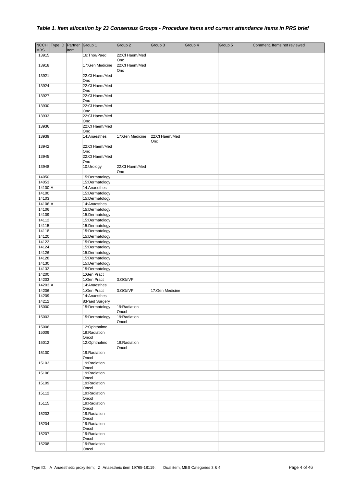| <b>MBS</b>       | NCCH Type ID Partner | Item | Group 1                          | Group 2                | Group 3               | Group 4 | Group 5 | Comment. Items not reviewed |
|------------------|----------------------|------|----------------------------------|------------------------|-----------------------|---------|---------|-----------------------------|
| 13915            |                      |      | 16: Thor/Paed                    | 22:Cl Haem/Med<br>Onc  |                       |         |         |                             |
| 13918            |                      |      | 17:Gen Medicine                  | 22:Cl Haem/Med<br>Onc  |                       |         |         |                             |
| 13921            |                      |      | 22:Cl Haem/Med<br>Onc            |                        |                       |         |         |                             |
| 13924            |                      |      | 22:Cl Haem/Med<br>Onc            |                        |                       |         |         |                             |
| 13927            |                      |      | 22:Cl Haem/Med<br>Onc            |                        |                       |         |         |                             |
| 13930            |                      |      | 22:Cl Haem/Med<br>Onc            |                        |                       |         |         |                             |
| 13933            |                      |      | 22:Cl Haem/Med<br>Onc            |                        |                       |         |         |                             |
| 13936            |                      |      | 22:Cl Haem/Med<br>Onc            |                        |                       |         |         |                             |
| 13939            |                      |      | 14:Anaesthes                     | 17:Gen Medicine        | 22:Cl Haem/Med<br>Onc |         |         |                             |
| 13942            |                      |      | 22:Cl Haem/Med<br>Onc            |                        |                       |         |         |                             |
| 13945            |                      |      | 22:Cl Haem/Med<br>Onc            |                        |                       |         |         |                             |
| 13948            |                      |      | 10:Urology                       | 22:Cl Haem/Med<br>Onc  |                       |         |         |                             |
| 14050            |                      |      | 15:Dermatology                   |                        |                       |         |         |                             |
| 14053            |                      |      | 15:Dermatology                   |                        |                       |         |         |                             |
| 14100 A<br>14100 |                      |      | 14:Anaesthes<br>15:Dermatology   |                        |                       |         |         |                             |
| 14103            |                      |      | 15:Dermatology                   |                        |                       |         |         |                             |
| 14106 A          |                      |      | 14:Anaesthes                     |                        |                       |         |         |                             |
| 14106            |                      |      | 15:Dermatology                   |                        |                       |         |         |                             |
| 14109            |                      |      | 15:Dermatology                   |                        |                       |         |         |                             |
| 14112<br>14115   |                      |      | 15:Dermatology                   |                        |                       |         |         |                             |
| 14118            |                      |      | 15:Dermatology<br>15:Dermatology |                        |                       |         |         |                             |
| 14120            |                      |      | 15:Dermatology                   |                        |                       |         |         |                             |
| 14122            |                      |      | 15:Dermatology                   |                        |                       |         |         |                             |
| 14124            |                      |      | 15:Dermatology                   |                        |                       |         |         |                             |
| 14126            |                      |      | 15:Dermatology                   |                        |                       |         |         |                             |
| 14128            |                      |      | 15:Dermatology                   |                        |                       |         |         |                             |
| 14130<br>14132   |                      |      | 15:Dermatology<br>15:Dermatology |                        |                       |         |         |                             |
| 14200            |                      |      | 1:Gen Pract                      |                        |                       |         |         |                             |
| 14203            |                      |      | 1:Gen Pract                      | 3:OG/IVF               |                       |         |         |                             |
| 14203 A          |                      |      | 14:Anaesthes                     |                        |                       |         |         |                             |
| 14206            |                      |      | 1:Gen Pract                      | 3:OG/IVF               | 17:Gen Medicine       |         |         |                             |
| 14209            |                      |      | 14:Anaesthes                     |                        |                       |         |         |                             |
| 14212<br>15000   |                      |      | 8:Paed Surgery<br>15:Dermatology |                        |                       |         |         |                             |
|                  |                      |      |                                  | 19: Radiation<br>Oncol |                       |         |         |                             |
| 15003            |                      |      | 15:Dermatology                   | 19:Radiation<br>Oncol  |                       |         |         |                             |
| 15006            |                      |      | 12:Ophthalmo                     |                        |                       |         |         |                             |
| 15009            |                      |      | 19: Radiation<br>Oncol           |                        |                       |         |         |                             |
| 15012            |                      |      | 12:Ophthalmo                     | 19:Radiation<br>Oncol  |                       |         |         |                             |
| 15100            |                      |      | 19:Radiation<br>Oncol            |                        |                       |         |         |                             |
| 15103            |                      |      | 19:Radiation<br>Oncol            |                        |                       |         |         |                             |
| 15106            |                      |      | 19:Radiation<br>Oncol            |                        |                       |         |         |                             |
| 15109            |                      |      | 19:Radiation<br>Oncol            |                        |                       |         |         |                             |
| 15112            |                      |      | 19:Radiation<br>Oncol            |                        |                       |         |         |                             |
| 15115            |                      |      | 19:Radiation<br>Oncol            |                        |                       |         |         |                             |
| 15203            |                      |      | 19:Radiation<br>Oncol            |                        |                       |         |         |                             |
| 15204            |                      |      | 19:Radiation<br>Oncol            |                        |                       |         |         |                             |
| 15207            |                      |      | 19:Radiation<br>Oncol            |                        |                       |         |         |                             |
| 15208            |                      |      | 19:Radiation<br>Oncol            |                        |                       |         |         |                             |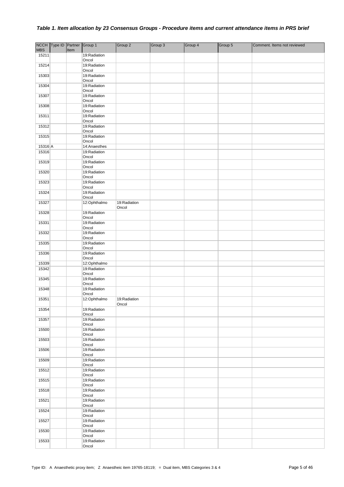|                     | NCCH Type ID Partner Group 1 |      |                              | Group 2               | Group 3 | Group 4 | Group 5 | Comment. Items not reviewed |
|---------------------|------------------------------|------|------------------------------|-----------------------|---------|---------|---------|-----------------------------|
| <b>MBS</b><br>15211 |                              | Item | 19:Radiation                 |                       |         |         |         |                             |
|                     |                              |      | Oncol                        |                       |         |         |         |                             |
| 15214               |                              |      | 19:Radiation                 |                       |         |         |         |                             |
| 15303               |                              |      | Oncol<br>19:Radiation        |                       |         |         |         |                             |
|                     |                              |      | Oncol                        |                       |         |         |         |                             |
| 15304               |                              |      | 19:Radiation<br>Oncol        |                       |         |         |         |                             |
| 15307               |                              |      | 19:Radiation                 |                       |         |         |         |                             |
|                     |                              |      | Oncol                        |                       |         |         |         |                             |
| 15308               |                              |      | 19:Radiation<br>Oncol        |                       |         |         |         |                             |
| 15311               |                              |      | 19:Radiation                 |                       |         |         |         |                             |
| 15312               |                              |      | Oncol<br>19:Radiation        |                       |         |         |         |                             |
|                     |                              |      | Oncol                        |                       |         |         |         |                             |
| 15315               |                              |      | 19:Radiation<br>Oncol        |                       |         |         |         |                             |
| 15316 A             |                              |      | 14:Anaesthes                 |                       |         |         |         |                             |
| 15316               |                              |      | 19:Radiation<br>Oncol        |                       |         |         |         |                             |
| 15319               |                              |      | 19:Radiation                 |                       |         |         |         |                             |
| 15320               |                              |      | Oncol<br>19:Radiation        |                       |         |         |         |                             |
|                     |                              |      | Oncol                        |                       |         |         |         |                             |
| 15323               |                              |      | 19:Radiation<br>Oncol        |                       |         |         |         |                             |
| 15324               |                              |      | 19:Radiation                 |                       |         |         |         |                             |
|                     |                              |      | Oncol                        |                       |         |         |         |                             |
| 15327               |                              |      | 12:Ophthalmo                 | 19:Radiation<br>Oncol |         |         |         |                             |
| 15328               |                              |      | 19:Radiation                 |                       |         |         |         |                             |
| 15331               |                              |      | Oncol<br>19:Radiation        |                       |         |         |         |                             |
|                     |                              |      | Oncol                        |                       |         |         |         |                             |
| 15332               |                              |      | 19:Radiation<br>Oncol        |                       |         |         |         |                             |
| 15335               |                              |      | 19:Radiation                 |                       |         |         |         |                             |
| 15336               |                              |      | Oncol<br>19:Radiation        |                       |         |         |         |                             |
|                     |                              |      | Oncol                        |                       |         |         |         |                             |
| 15339<br>15342      |                              |      | 12:Ophthalmo<br>19:Radiation |                       |         |         |         |                             |
|                     |                              |      | Oncol                        |                       |         |         |         |                             |
| 15345               |                              |      | 19:Radiation<br>Oncol        |                       |         |         |         |                             |
| 15348               |                              |      | 19:Radiation                 |                       |         |         |         |                             |
| 15351               |                              |      | Oncol<br>12:Ophthalmo        | 19: Radiation         |         |         |         |                             |
|                     |                              |      |                              | Oncol                 |         |         |         |                             |
| 15354               |                              |      | 19:Radiation<br>Oncol        |                       |         |         |         |                             |
| 15357               |                              |      | 19:Radiation                 |                       |         |         |         |                             |
| 15500               |                              |      | Oncol<br>19:Radiation        |                       |         |         |         |                             |
|                     |                              |      | Oncol                        |                       |         |         |         |                             |
| 15503               |                              |      | 19:Radiation<br>Oncol        |                       |         |         |         |                             |
| 15506               |                              |      | 19:Radiation                 |                       |         |         |         |                             |
| 15509               |                              |      | Oncol<br>19:Radiation        |                       |         |         |         |                             |
|                     |                              |      | Oncol                        |                       |         |         |         |                             |
| 15512               |                              |      | 19:Radiation<br>Oncol        |                       |         |         |         |                             |
| 15515               |                              |      | 19:Radiation                 |                       |         |         |         |                             |
| 15518               |                              |      | Oncol<br>19:Radiation        |                       |         |         |         |                             |
|                     |                              |      | Oncol                        |                       |         |         |         |                             |
| 15521               |                              |      | 19:Radiation<br>Oncol        |                       |         |         |         |                             |
| 15524               |                              |      | 19:Radiation                 |                       |         |         |         |                             |
| 15527               |                              |      | Oncol<br>19:Radiation        |                       |         |         |         |                             |
|                     |                              |      | Oncol                        |                       |         |         |         |                             |
| 15530               |                              |      | 19:Radiation<br>Oncol        |                       |         |         |         |                             |
| 15533               |                              |      | 19:Radiation                 |                       |         |         |         |                             |
|                     |                              |      | Oncol                        |                       |         |         |         |                             |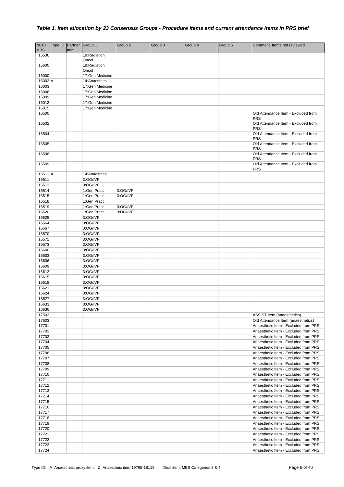|                | NCCH Type ID Partner |      | Group 1               | Group 2  | Group 3 | Group 4 | Group 5 | Comment. Items not reviewed                                                  |
|----------------|----------------------|------|-----------------------|----------|---------|---------|---------|------------------------------------------------------------------------------|
| <b>MBS</b>     |                      | Item |                       |          |         |         |         |                                                                              |
| 15536          |                      |      | 19: Radiation         |          |         |         |         |                                                                              |
|                |                      |      | Oncol                 |          |         |         |         |                                                                              |
| 15600          |                      |      | 19:Radiation<br>Oncol |          |         |         |         |                                                                              |
| 16000          |                      |      | 17:Gen Medicine       |          |         |         |         |                                                                              |
| 16003 A        |                      |      | 14:Anaesthes          |          |         |         |         |                                                                              |
| 16003          |                      |      | 17:Gen Medicine       |          |         |         |         |                                                                              |
| 16006          |                      |      | 17:Gen Medicine       |          |         |         |         |                                                                              |
| 16009          |                      |      | 17:Gen Medicine       |          |         |         |         |                                                                              |
| 16012          |                      |      | 17:Gen Medicine       |          |         |         |         |                                                                              |
| 16015          |                      |      | 17:Gen Medicine       |          |         |         |         |                                                                              |
| 16500          |                      |      |                       |          |         |         |         | Old Attendance Item - Excluded from                                          |
|                |                      |      |                       |          |         |         |         | <b>PRS</b>                                                                   |
| 16502          |                      |      |                       |          |         |         |         | Old Attendance Item - Excluded from                                          |
|                |                      |      |                       |          |         |         |         | <b>PRS</b>                                                                   |
| 16504          |                      |      |                       |          |         |         |         | Old Attendance Item - Excluded from                                          |
|                |                      |      |                       |          |         |         |         | <b>PRS</b>                                                                   |
| 16505          |                      |      |                       |          |         |         |         | Old Attendance Item - Excluded from<br><b>PRS</b>                            |
| 16508          |                      |      |                       |          |         |         |         | Old Attendance Item - Excluded from                                          |
|                |                      |      |                       |          |         |         |         | <b>PRS</b>                                                                   |
| 16509          |                      |      |                       |          |         |         |         | Old Attendance Item - Excluded from                                          |
|                |                      |      |                       |          |         |         |         | <b>PRS</b>                                                                   |
| 16511A         |                      |      | 14:Anaesthes          |          |         |         |         |                                                                              |
| 16511          |                      |      | 3:OG/IVF              |          |         |         |         |                                                                              |
| 16512          |                      |      | 3:OG/IVF              |          |         |         |         |                                                                              |
| 16514          |                      |      | 1:Gen Pract           | 3:OG/IVF |         |         |         |                                                                              |
| 16515          |                      |      | 1:Gen Pract           | 3:OG/IVF |         |         |         |                                                                              |
| 16518          |                      |      | 1:Gen Pract           |          |         |         |         |                                                                              |
| 16519          |                      |      | 1:Gen Pract           | 3:OG/IVF |         |         |         |                                                                              |
| 16520          |                      |      | 1:Gen Pract           | 3:OG/IVF |         |         |         |                                                                              |
| 16525          |                      |      | 3:OG/IVF              |          |         |         |         |                                                                              |
| 16564          |                      |      | 3:OG/IVF              |          |         |         |         |                                                                              |
| 16567          |                      |      | 3:OG/IVF              |          |         |         |         |                                                                              |
| 16570<br>16571 |                      |      | 3:OG/IVF<br>3:OG/IVF  |          |         |         |         |                                                                              |
| 16573          |                      |      | 3:OG/IVF              |          |         |         |         |                                                                              |
| 16600          |                      |      | 3:OG/IVF              |          |         |         |         |                                                                              |
| 16603          |                      |      | 3:OG/IVF              |          |         |         |         |                                                                              |
| 16606          |                      |      | 3:OG/IVF              |          |         |         |         |                                                                              |
| 16609          |                      |      | 3:OG/IVF              |          |         |         |         |                                                                              |
| 16612          |                      |      | 3:OG/IVF              |          |         |         |         |                                                                              |
| 16615          |                      |      | 3:OG/IVF              |          |         |         |         |                                                                              |
| 16618          |                      |      | 3:OG/IVF              |          |         |         |         |                                                                              |
| 16621          |                      |      | 3:OG/IVF              |          |         |         |         |                                                                              |
| 16624          |                      |      | 3:OG/IVF              |          |         |         |         |                                                                              |
| 16627          |                      |      | 3:OG/IVF              |          |         |         |         |                                                                              |
| 16633          |                      |      | 3:OG/IVF              |          |         |         |         |                                                                              |
| 16636          |                      |      | 3:OG/IVF              |          |         |         |         |                                                                              |
| 17503          |                      |      |                       |          |         |         |         | <b>ASSIST Item (anaesthetics)</b>                                            |
| 17603          |                      |      |                       |          |         |         |         | Old Attendance Item (anaesthetics)                                           |
| 17701          |                      |      |                       |          |         |         |         | Anaesthetic Item - Excluded from PRS                                         |
| 17702          |                      |      |                       |          |         |         |         | Anaesthetic Item - Excluded from PRS                                         |
| 17703          |                      |      |                       |          |         |         |         | Anaesthetic Item - Excluded from PRS                                         |
| 17704          |                      |      |                       |          |         |         |         | Anaesthetic Item - Excluded from PRS                                         |
| 17705          |                      |      |                       |          |         |         |         | Anaesthetic Item - Excluded from PRS                                         |
| 17706          |                      |      |                       |          |         |         |         | Anaesthetic Item - Excluded from PRS                                         |
| 17707          |                      |      |                       |          |         |         |         | Anaesthetic Item - Excluded from PRS                                         |
| 17708          |                      |      |                       |          |         |         |         | Anaesthetic Item - Excluded from PRS<br>Anaesthetic Item - Excluded from PRS |
| 17709<br>17710 |                      |      |                       |          |         |         |         | Anaesthetic Item - Excluded from PRS                                         |
|                |                      |      |                       |          |         |         |         |                                                                              |
| 17711<br>17712 |                      |      |                       |          |         |         |         | Anaesthetic Item - Excluded from PRS<br>Anaesthetic Item - Excluded from PRS |
| 17713          |                      |      |                       |          |         |         |         | Anaesthetic Item - Excluded from PRS                                         |
| 17714          |                      |      |                       |          |         |         |         | Anaesthetic Item - Excluded from PRS                                         |
| 17715          |                      |      |                       |          |         |         |         | Anaesthetic Item - Excluded from PRS                                         |
| 17716          |                      |      |                       |          |         |         |         | Anaesthetic Item - Excluded from PRS                                         |
| 17717          |                      |      |                       |          |         |         |         | Anaesthetic Item - Excluded from PRS                                         |
| 17718          |                      |      |                       |          |         |         |         | Anaesthetic Item - Excluded from PRS                                         |
| 17719          |                      |      |                       |          |         |         |         | Anaesthetic Item - Excluded from PRS                                         |
| 17720          |                      |      |                       |          |         |         |         | Anaesthetic Item - Excluded from PRS                                         |
| 17721          |                      |      |                       |          |         |         |         | Anaesthetic Item - Excluded from PRS                                         |
| 17722          |                      |      |                       |          |         |         |         | Anaesthetic Item - Excluded from PRS                                         |
| 17723          |                      |      |                       |          |         |         |         | Anaesthetic Item - Excluded from PRS                                         |
| 17724          |                      |      |                       |          |         |         |         | Anaesthetic Item - Excluded from PRS                                         |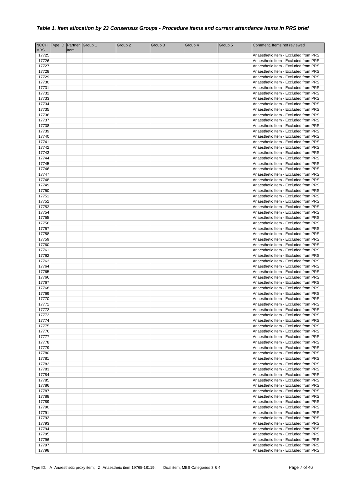|                | NCCH Type ID Partner Group 1 |      | Group 2 | Group 3 | Group 4 | Group 5 | Comment. Items not reviewed                                                  |
|----------------|------------------------------|------|---------|---------|---------|---------|------------------------------------------------------------------------------|
| <b>MBS</b>     |                              | Item |         |         |         |         |                                                                              |
| 17725<br>17726 |                              |      |         |         |         |         | Anaesthetic Item - Excluded from PRS<br>Anaesthetic Item - Excluded from PRS |
| 17727          |                              |      |         |         |         |         | Anaesthetic Item - Excluded from PRS                                         |
| 17728          |                              |      |         |         |         |         | Anaesthetic Item - Excluded from PRS                                         |
| 17729          |                              |      |         |         |         |         | Anaesthetic Item - Excluded from PRS                                         |
| 17730          |                              |      |         |         |         |         | Anaesthetic Item - Excluded from PRS                                         |
| 17731          |                              |      |         |         |         |         | Anaesthetic Item - Excluded from PRS                                         |
| 17732          |                              |      |         |         |         |         | Anaesthetic Item - Excluded from PRS                                         |
| 17733          |                              |      |         |         |         |         | Anaesthetic Item - Excluded from PRS                                         |
| 17734          |                              |      |         |         |         |         | Anaesthetic Item - Excluded from PRS                                         |
| 17735          |                              |      |         |         |         |         | Anaesthetic Item - Excluded from PRS                                         |
| 17736          |                              |      |         |         |         |         | Anaesthetic Item - Excluded from PRS                                         |
| 17737<br>17738 |                              |      |         |         |         |         | Anaesthetic Item - Excluded from PRS<br>Anaesthetic Item - Excluded from PRS |
| 17739          |                              |      |         |         |         |         | Anaesthetic Item - Excluded from PRS                                         |
| 17740          |                              |      |         |         |         |         | Anaesthetic Item - Excluded from PRS                                         |
| 17741          |                              |      |         |         |         |         | Anaesthetic Item - Excluded from PRS                                         |
| 17742          |                              |      |         |         |         |         | Anaesthetic Item - Excluded from PRS                                         |
| 17743          |                              |      |         |         |         |         | Anaesthetic Item - Excluded from PRS                                         |
| 17744          |                              |      |         |         |         |         | Anaesthetic Item - Excluded from PRS                                         |
| 17745          |                              |      |         |         |         |         | Anaesthetic Item - Excluded from PRS                                         |
| 17746          |                              |      |         |         |         |         | Anaesthetic Item - Excluded from PRS                                         |
| 17747          |                              |      |         |         |         |         | Anaesthetic Item - Excluded from PRS                                         |
| 17748<br>17749 |                              |      |         |         |         |         | Anaesthetic Item - Excluded from PRS<br>Anaesthetic Item - Excluded from PRS |
| 17750          |                              |      |         |         |         |         | Anaesthetic Item - Excluded from PRS                                         |
| 17751          |                              |      |         |         |         |         | Anaesthetic Item - Excluded from PRS                                         |
| 17752          |                              |      |         |         |         |         | Anaesthetic Item - Excluded from PRS                                         |
| 17753          |                              |      |         |         |         |         | Anaesthetic Item - Excluded from PRS                                         |
| 17754          |                              |      |         |         |         |         | Anaesthetic Item - Excluded from PRS                                         |
| 17755          |                              |      |         |         |         |         | Anaesthetic Item - Excluded from PRS                                         |
| 17756          |                              |      |         |         |         |         | Anaesthetic Item - Excluded from PRS                                         |
| 17757          |                              |      |         |         |         |         | Anaesthetic Item - Excluded from PRS                                         |
| 17758          |                              |      |         |         |         |         | Anaesthetic Item - Excluded from PRS                                         |
| 17759<br>17760 |                              |      |         |         |         |         | Anaesthetic Item - Excluded from PRS<br>Anaesthetic Item - Excluded from PRS |
| 17761          |                              |      |         |         |         |         | Anaesthetic Item - Excluded from PRS                                         |
| 17762          |                              |      |         |         |         |         | Anaesthetic Item - Excluded from PRS                                         |
| 17763          |                              |      |         |         |         |         | Anaesthetic Item - Excluded from PRS                                         |
| 17764          |                              |      |         |         |         |         | Anaesthetic Item - Excluded from PRS                                         |
| 17765          |                              |      |         |         |         |         | Anaesthetic Item - Excluded from PRS                                         |
| 17766          |                              |      |         |         |         |         | Anaesthetic Item - Excluded from PRS                                         |
| 17767          |                              |      |         |         |         |         | Anaesthetic Item - Excluded from PRS                                         |
| 17768          |                              |      |         |         |         |         | Anaesthetic Item - Excluded from PRS                                         |
| 17769<br>17770 |                              |      |         |         |         |         | Anaesthetic Item - Excluded from PRS<br>Anaesthetic Item - Excluded from PRS |
| 17771          |                              |      |         |         |         |         | Anaesthetic Item - Excluded from PRS                                         |
| 17772          |                              |      |         |         |         |         | Anaesthetic Item - Excluded from PRS                                         |
| 17773          |                              |      |         |         |         |         | Anaesthetic Item - Excluded from PRS                                         |
| 17774          |                              |      |         |         |         |         | Anaesthetic Item - Excluded from PRS                                         |
| 17775          |                              |      |         |         |         |         | Anaesthetic Item - Excluded from PRS                                         |
| 17776          |                              |      |         |         |         |         | Anaesthetic Item - Excluded from PRS                                         |
| 17777          |                              |      |         |         |         |         | Anaesthetic Item - Excluded from PRS                                         |
| 17778          |                              |      |         |         |         |         | Anaesthetic Item - Excluded from PRS                                         |
| 17779<br>17780 |                              |      |         |         |         |         | Anaesthetic Item - Excluded from PRS                                         |
| 17781          |                              |      |         |         |         |         | Anaesthetic Item - Excluded from PRS<br>Anaesthetic Item - Excluded from PRS |
| 17782          |                              |      |         |         |         |         | Anaesthetic Item - Excluded from PRS                                         |
| 17783          |                              |      |         |         |         |         | Anaesthetic Item - Excluded from PRS                                         |
| 17784          |                              |      |         |         |         |         | Anaesthetic Item - Excluded from PRS                                         |
| 17785          |                              |      |         |         |         |         | Anaesthetic Item - Excluded from PRS                                         |
| 17786          |                              |      |         |         |         |         | Anaesthetic Item - Excluded from PRS                                         |
| 17787          |                              |      |         |         |         |         | Anaesthetic Item - Excluded from PRS                                         |
| 17788          |                              |      |         |         |         |         | Anaesthetic Item - Excluded from PRS                                         |
| 17789          |                              |      |         |         |         |         | Anaesthetic Item - Excluded from PRS                                         |
| 17790          |                              |      |         |         |         |         | Anaesthetic Item - Excluded from PRS<br>Anaesthetic Item - Excluded from PRS |
| 17791<br>17792 |                              |      |         |         |         |         | Anaesthetic Item - Excluded from PRS                                         |
| 17793          |                              |      |         |         |         |         | Anaesthetic Item - Excluded from PRS                                         |
| 17794          |                              |      |         |         |         |         | Anaesthetic Item - Excluded from PRS                                         |
| 17795          |                              |      |         |         |         |         | Anaesthetic Item - Excluded from PRS                                         |
| 17796          |                              |      |         |         |         |         | Anaesthetic Item - Excluded from PRS                                         |
| 17797          |                              |      |         |         |         |         | Anaesthetic Item - Excluded from PRS                                         |
| 17798          |                              |      |         |         |         |         | Anaesthetic Item - Excluded from PRS                                         |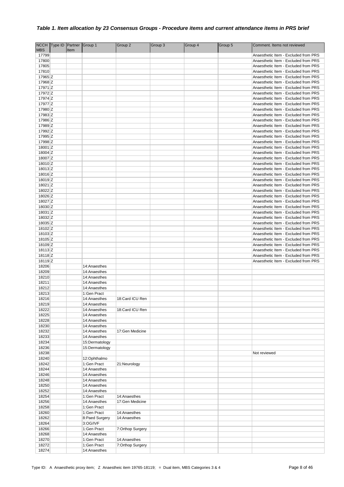|                     | NCCH Type ID Partner Group 1 |      |                              | Group 2          | Group 3 | Group 4 | Group 5 | Comment. Items not reviewed                                                  |
|---------------------|------------------------------|------|------------------------------|------------------|---------|---------|---------|------------------------------------------------------------------------------|
| <b>MBS</b><br>17799 |                              | Item |                              |                  |         |         |         | Anaesthetic Item - Excluded from PRS                                         |
| 17800               |                              |      |                              |                  |         |         |         | Anaesthetic Item - Excluded from PRS                                         |
| 17805               |                              |      |                              |                  |         |         |         | Anaesthetic Item - Excluded from PRS                                         |
| 17810               |                              |      |                              |                  |         |         |         | Anaesthetic Item - Excluded from PRS                                         |
| 17965 Z             |                              |      |                              |                  |         |         |         | Anaesthetic Item - Excluded from PRS                                         |
| 17968 Z             |                              |      |                              |                  |         |         |         | Anaesthetic Item - Excluded from PRS                                         |
| 17971 Z             |                              |      |                              |                  |         |         |         | Anaesthetic Item - Excluded from PRS                                         |
| 17972 Z             |                              |      |                              |                  |         |         |         | Anaesthetic Item - Excluded from PRS                                         |
| 17974 Z             |                              |      |                              |                  |         |         |         | Anaesthetic Item - Excluded from PRS                                         |
| 17977 Z             |                              |      |                              |                  |         |         |         | Anaesthetic Item - Excluded from PRS                                         |
| 17980 Z             |                              |      |                              |                  |         |         |         | Anaesthetic Item - Excluded from PRS                                         |
| 17983 Z             |                              |      |                              |                  |         |         |         | Anaesthetic Item - Excluded from PRS                                         |
| 17986 Z             |                              |      |                              |                  |         |         |         | Anaesthetic Item - Excluded from PRS                                         |
| 17989 Z             |                              |      |                              |                  |         |         |         | Anaesthetic Item - Excluded from PRS                                         |
| 17992 Z             |                              |      |                              |                  |         |         |         | Anaesthetic Item - Excluded from PRS                                         |
| 17995 Z             |                              |      |                              |                  |         |         |         | Anaesthetic Item - Excluded from PRS                                         |
| 17998 Z             |                              |      |                              |                  |         |         |         | Anaesthetic Item - Excluded from PRS                                         |
| 18001 Z             |                              |      |                              |                  |         |         |         | Anaesthetic Item - Excluded from PRS                                         |
| 18004 Z<br>18007 Z  |                              |      |                              |                  |         |         |         | Anaesthetic Item - Excluded from PRS<br>Anaesthetic Item - Excluded from PRS |
| 18010 Z             |                              |      |                              |                  |         |         |         | Anaesthetic Item - Excluded from PRS                                         |
| 18013 Z             |                              |      |                              |                  |         |         |         | Anaesthetic Item - Excluded from PRS                                         |
| 18016 Z             |                              |      |                              |                  |         |         |         | Anaesthetic Item - Excluded from PRS                                         |
| 18019 Z             |                              |      |                              |                  |         |         |         | Anaesthetic Item - Excluded from PRS                                         |
| 18021 Z             |                              |      |                              |                  |         |         |         | Anaesthetic Item - Excluded from PRS                                         |
| 18022 Z             |                              |      |                              |                  |         |         |         | Anaesthetic Item - Excluded from PRS                                         |
| 18026 Z             |                              |      |                              |                  |         |         |         | Anaesthetic Item - Excluded from PRS                                         |
| 18027 Z             |                              |      |                              |                  |         |         |         | Anaesthetic Item - Excluded from PRS                                         |
| 18030 Z             |                              |      |                              |                  |         |         |         | Anaesthetic Item - Excluded from PRS                                         |
| 18031 Z             |                              |      |                              |                  |         |         |         | Anaesthetic Item - Excluded from PRS                                         |
| 18032 Z             |                              |      |                              |                  |         |         |         | Anaesthetic Item - Excluded from PRS                                         |
| 18035 Z             |                              |      |                              |                  |         |         |         | Anaesthetic Item - Excluded from PRS                                         |
| 18102 Z             |                              |      |                              |                  |         |         |         | Anaesthetic Item - Excluded from PRS                                         |
| 18103 Z             |                              |      |                              |                  |         |         |         | Anaesthetic Item - Excluded from PRS                                         |
| 18105 Z             |                              |      |                              |                  |         |         |         | Anaesthetic Item - Excluded from PRS                                         |
| 18109 Z<br>18113 Z  |                              |      |                              |                  |         |         |         | Anaesthetic Item - Excluded from PRS<br>Anaesthetic Item - Excluded from PRS |
| 18118 <sub>Z</sub>  |                              |      |                              |                  |         |         |         | Anaesthetic Item - Excluded from PRS                                         |
| 18119 Z             |                              |      |                              |                  |         |         |         | Anaesthetic Item - Excluded from PRS                                         |
| 18206               |                              |      | 14:Anaesthes                 |                  |         |         |         |                                                                              |
| 18209               |                              |      | 14:Anaesthes                 |                  |         |         |         |                                                                              |
| 18210               |                              |      | 14:Anaesthes                 |                  |         |         |         |                                                                              |
| 18211               |                              |      | 14:Anaesthes                 |                  |         |         |         |                                                                              |
| 18212               |                              |      | 14:Anaesthes                 |                  |         |         |         |                                                                              |
| 18213               |                              |      | 1:Gen Pract                  |                  |         |         |         |                                                                              |
| 18216               |                              |      | 14:Anaesthes                 | 18:Card ICU Ren  |         |         |         |                                                                              |
| 18219               |                              |      | 14:Anaesthes                 |                  |         |         |         |                                                                              |
| 18222               |                              |      | 14:Anaesthes                 | 18:Card ICU Ren  |         |         |         |                                                                              |
| 18225               |                              |      | 14:Anaesthes                 |                  |         |         |         |                                                                              |
| 18228               |                              |      | 14:Anaesthes                 |                  |         |         |         |                                                                              |
| 18230<br>18232      |                              |      | 14:Anaesthes<br>14:Anaesthes | 17:Gen Medicine  |         |         |         |                                                                              |
| 18233               |                              |      | 14:Anaesthes                 |                  |         |         |         |                                                                              |
| 18234               |                              |      | 15:Dermatology               |                  |         |         |         |                                                                              |
| 18236               |                              |      | 15:Dermatology               |                  |         |         |         |                                                                              |
| 18238               |                              |      |                              |                  |         |         |         | Not reviewed                                                                 |
| 18240               |                              |      | 12:Ophthalmo                 |                  |         |         |         |                                                                              |
| 18242               |                              |      | 1:Gen Pract                  | 21:Neurology     |         |         |         |                                                                              |
| 18244               |                              |      | 14:Anaesthes                 |                  |         |         |         |                                                                              |
| 18246               |                              |      | 14:Anaesthes                 |                  |         |         |         |                                                                              |
| 18248               |                              |      | 14:Anaesthes                 |                  |         |         |         |                                                                              |
| 18250               |                              |      | 14:Anaesthes                 |                  |         |         |         |                                                                              |
| 18252               |                              |      | 14:Anaesthes                 |                  |         |         |         |                                                                              |
| 18254               |                              |      | 1:Gen Pract                  | 14:Anaesthes     |         |         |         |                                                                              |
| 18256               |                              |      | 14:Anaesthes                 | 17:Gen Medicine  |         |         |         |                                                                              |
| 18258<br>18260      |                              |      | 1:Gen Pract<br>1:Gen Pract   | 14:Anaesthes     |         |         |         |                                                                              |
| 18262               |                              |      | 8:Paed Surgery               | 14:Anaesthes     |         |         |         |                                                                              |
| 18264               |                              |      | 3:OG/IVF                     |                  |         |         |         |                                                                              |
| 18266               |                              |      | 1:Gen Pract                  | 7:Orthop Surgery |         |         |         |                                                                              |
| 18268               |                              |      | 14:Anaesthes                 |                  |         |         |         |                                                                              |
| 18270               |                              |      | 1:Gen Pract                  | 14:Anaesthes     |         |         |         |                                                                              |
| 18272               |                              |      | 1:Gen Pract                  | 7:Orthop Surgery |         |         |         |                                                                              |
| 18274               |                              |      | 14:Anaesthes                 |                  |         |         |         |                                                                              |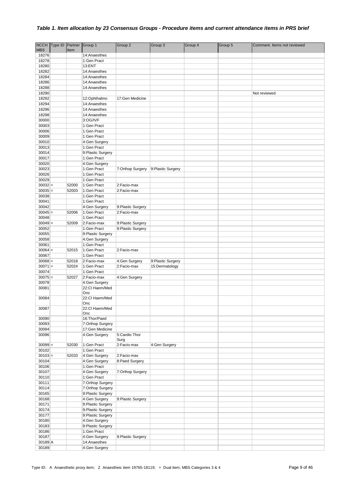| <b>NCCH</b>        | Type ID | Partner | Group 1                                  | Group 2            | Group 3            | Group 4 | Group 5 | Comment. Items not reviewed |
|--------------------|---------|---------|------------------------------------------|--------------------|--------------------|---------|---------|-----------------------------|
| <b>MBS</b>         |         | Item    |                                          |                    |                    |         |         |                             |
| 18276              |         |         | 14:Anaesthes                             |                    |                    |         |         |                             |
| 18278              |         |         | 1:Gen Pract                              |                    |                    |         |         |                             |
| 18280              |         |         | 13:ENT                                   |                    |                    |         |         |                             |
| 18282              |         |         | 14:Anaesthes                             |                    |                    |         |         |                             |
| 18284              |         |         | 14:Anaesthes                             |                    |                    |         |         |                             |
| 18286              |         |         | 14:Anaesthes                             |                    |                    |         |         |                             |
| 18288              |         |         | 14:Anaesthes                             |                    |                    |         |         |                             |
| 18290              |         |         |                                          |                    |                    |         |         | Not reviewed                |
| 18292              |         |         | 12:Ophthalmo                             | 17:Gen Medicine    |                    |         |         |                             |
| 18294              |         |         | 14:Anaesthes                             |                    |                    |         |         |                             |
| 18296              |         |         | 14:Anaesthes                             |                    |                    |         |         |                             |
| 18298              |         |         | 14:Anaesthes                             |                    |                    |         |         |                             |
| 30000              |         |         | 3:OG/IVF                                 |                    |                    |         |         |                             |
| 30003              |         |         | 1:Gen Pract                              |                    |                    |         |         |                             |
| 30006              |         |         | 1:Gen Pract                              |                    |                    |         |         |                             |
| 30009              |         |         | 1:Gen Pract                              |                    |                    |         |         |                             |
| 30010              |         |         | 4:Gen Surgery                            |                    |                    |         |         |                             |
| 30013              |         |         | 1:Gen Pract                              |                    |                    |         |         |                             |
| 30014              |         |         | 9:Plastic Surgery                        |                    |                    |         |         |                             |
| 30017              |         |         | 1:Gen Pract                              |                    |                    |         |         |                             |
| 30020              |         |         | 4:Gen Surgery                            |                    |                    |         |         |                             |
| 30023              |         |         | 1:Gen Pract                              | 7:Orthop Surgery   | 9: Plastic Surgery |         |         |                             |
| 30026              |         |         | 1:Gen Pract                              |                    |                    |         |         |                             |
| 30029              |         |         | 1:Gen Pract                              |                    |                    |         |         |                             |
| $30032 =$          |         | 52000   | 1:Gen Pract                              | 2:Facio-max        |                    |         |         |                             |
| $30035 =$          |         | 52003   | 1:Gen Pract                              | 2:Facio-max        |                    |         |         |                             |
| 30038              |         |         | 1:Gen Pract                              |                    |                    |         |         |                             |
| 30041              |         |         | 1:Gen Pract                              |                    |                    |         |         |                             |
| 30042              |         |         | 4:Gen Surgery                            | 9: Plastic Surgery |                    |         |         |                             |
| $30045 =$          |         | 52006   | 1:Gen Pract                              | 2:Facio-max        |                    |         |         |                             |
| 30048              |         |         | 1:Gen Pract                              | 9:Plastic Surgery  |                    |         |         |                             |
| $30049 =$<br>30052 |         | 52009   | 2:Facio-max                              |                    |                    |         |         |                             |
| 30055              |         |         | 1:Gen Pract                              | 9: Plastic Surgery |                    |         |         |                             |
| 30058              |         |         | 9:Plastic Surgery                        |                    |                    |         |         |                             |
| 30061              |         |         | 4:Gen Surgery<br>1:Gen Pract             |                    |                    |         |         |                             |
| $30064 =$          |         | 52015   | 1:Gen Pract                              | 2:Facio-max        |                    |         |         |                             |
| 30067              |         |         | 1:Gen Pract                              |                    |                    |         |         |                             |
| $30068 =$          |         | 52018   | 2:Facio-max                              | 4:Gen Surgery      | 9:Plastic Surgery  |         |         |                             |
| $30071 =$          |         | 52024   | 1:Gen Pract                              | 2:Facio-max        | 15:Dermatology     |         |         |                             |
| 30074              |         |         | 1:Gen Pract                              |                    |                    |         |         |                             |
| $30075 =$          |         | 52027   | 2:Facio-max                              | 4:Gen Surgery      |                    |         |         |                             |
| 30078              |         |         | 4:Gen Surgery                            |                    |                    |         |         |                             |
| 30081              |         |         | 22:Cl Haem/Med                           |                    |                    |         |         |                             |
|                    |         |         | Onc                                      |                    |                    |         |         |                             |
| 30084              |         |         | 22:Cl Haem/Med                           |                    |                    |         |         |                             |
|                    |         |         | Onc                                      |                    |                    |         |         |                             |
| 30087              |         |         | 22:Cl Haem/Med                           |                    |                    |         |         |                             |
|                    |         |         | Onc                                      |                    |                    |         |         |                             |
| 30090              |         |         | 16:Thor/Paed                             |                    |                    |         |         |                             |
| 30093              |         |         | 7:Orthop Surgery                         |                    |                    |         |         |                             |
| 30094              |         |         | 17:Gen Medicine                          |                    |                    |         |         |                             |
| 30096              |         |         | 4:Gen Surgery                            | 5:Cardio Thor      |                    |         |         |                             |
|                    |         |         |                                          | Surg               |                    |         |         |                             |
| $30099 =$          |         | 52030   | 1:Gen Pract                              | 2:Facio-max        | 4:Gen Surgery      |         |         |                             |
| 30102              |         |         | 1:Gen Pract                              |                    |                    |         |         |                             |
| $30103 =$          |         | 52033   | 4:Gen Surgery                            | 2:Facio-max        |                    |         |         |                             |
| 30104              |         |         | 4:Gen Surgery                            | 8:Paed Surgery     |                    |         |         |                             |
| 30106              |         |         | 1:Gen Pract                              |                    |                    |         |         |                             |
| 30107              |         |         | 4:Gen Surgery                            | 7:Orthop Surgery   |                    |         |         |                             |
| 30110              |         |         | 1:Gen Pract                              |                    |                    |         |         |                             |
| 30111              |         |         | 7:Orthop Surgery                         |                    |                    |         |         |                             |
| 30114              |         |         | 7:Orthop Surgery                         |                    |                    |         |         |                             |
| 30165              |         |         | 9:Plastic Surgery                        |                    |                    |         |         |                             |
| 30168              |         |         | 4:Gen Surgery                            | 9: Plastic Surgery |                    |         |         |                             |
| 30171<br>30174     |         |         | 9: Plastic Surgery<br>9: Plastic Surgery |                    |                    |         |         |                             |
| 30177              |         |         | 9: Plastic Surgery                       |                    |                    |         |         |                             |
| 30180              |         |         | 4:Gen Surgery                            |                    |                    |         |         |                             |
| 30183              |         |         | 9:Plastic Surgery                        |                    |                    |         |         |                             |
| 30186              |         |         | 1:Gen Pract                              |                    |                    |         |         |                             |
| 30187              |         |         | 4:Gen Surgery                            | 9: Plastic Surgery |                    |         |         |                             |
| 30189 A            |         |         | 14:Anaesthes                             |                    |                    |         |         |                             |
| 30189              |         |         | 4:Gen Surgery                            |                    |                    |         |         |                             |
|                    |         |         |                                          |                    |                    |         |         |                             |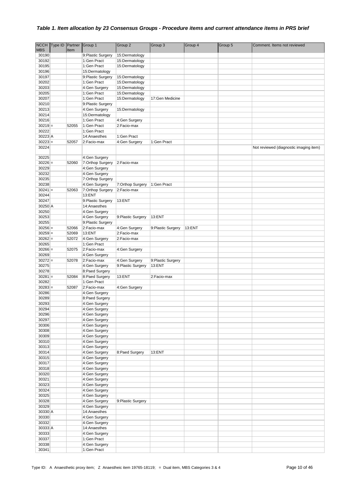| <b>NCCH</b>            | Type ID Partner |                | Group 1                             | Group 2                      | Group 3            | Group 4 | Group 5 | Comment. Items not reviewed            |
|------------------------|-----------------|----------------|-------------------------------------|------------------------------|--------------------|---------|---------|----------------------------------------|
| <b>MBS</b>             |                 | Item           |                                     |                              |                    |         |         |                                        |
| 30190                  |                 |                | 9: Plastic Surgery                  | 15:Dermatology               |                    |         |         |                                        |
| 30192                  |                 |                | 1:Gen Pract                         | 15:Dermatology               |                    |         |         |                                        |
| 30195                  |                 |                | 1:Gen Pract                         | 15:Dermatology               |                    |         |         |                                        |
| 30196                  |                 |                | 15:Dermatology                      |                              |                    |         |         |                                        |
| 30197                  |                 |                | 9: Plastic Surgery                  | 15:Dermatology               |                    |         |         |                                        |
| 30202                  |                 |                | 1:Gen Pract                         | 15:Dermatology               |                    |         |         |                                        |
| 30203                  |                 |                | 4:Gen Surgery                       | 15:Dermatology               |                    |         |         |                                        |
| 30205                  |                 |                | 1:Gen Pract                         | 15:Dermatology               |                    |         |         |                                        |
| 30207<br>30210         |                 |                | 1:Gen Pract                         | 15:Dermatology               | 17:Gen Medicine    |         |         |                                        |
| 30213                  |                 |                | 9: Plastic Surgery<br>4:Gen Surgery | 15:Dermatology               |                    |         |         |                                        |
| 30214                  |                 |                | 15:Dermatology                      |                              |                    |         |         |                                        |
| 30216                  |                 |                | 1:Gen Pract                         | 4:Gen Surgery                |                    |         |         |                                        |
| $30219 =$              |                 | 52055          | 1:Gen Pract                         | 2:Facio-max                  |                    |         |         |                                        |
| 30222                  |                 |                | 1:Gen Pract                         |                              |                    |         |         |                                        |
| 30223 A                |                 |                | 14:Anaesthes                        | 1:Gen Pract                  |                    |         |         |                                        |
| $30223 =$              |                 | 52057          | 2:Facio-max                         | 4:Gen Surgery                | 1:Gen Pract        |         |         |                                        |
| 30224                  |                 |                |                                     |                              |                    |         |         | Not reviewed (diagnostic imaging item) |
|                        |                 |                |                                     |                              |                    |         |         |                                        |
| 30225                  |                 |                | 4:Gen Surgery                       |                              |                    |         |         |                                        |
| $30226 =$              |                 | 52060          | 7:Orthop Surgery                    | 2:Facio-max                  |                    |         |         |                                        |
| 30229                  |                 |                | 4:Gen Surgery                       |                              |                    |         |         |                                        |
| 30232                  |                 |                | 4:Gen Surgery                       |                              |                    |         |         |                                        |
| 30235                  |                 |                | 7:Orthop Surgery                    |                              |                    |         |         |                                        |
| 30238                  |                 |                | 4:Gen Surgery                       | 7:Orthop Surgery             | 1:Gen Pract        |         |         |                                        |
| $30241 =$              |                 | 52063          | 7:Orthop Surgery                    | 2:Facio-max                  |                    |         |         |                                        |
| 30244                  |                 |                | 13:ENT                              |                              |                    |         |         |                                        |
| 30247                  |                 |                | 9:Plastic Surgery                   | 13:ENT                       |                    |         |         |                                        |
| 30250 A                |                 |                | 14:Anaesthes                        |                              |                    |         |         |                                        |
| 30250                  |                 |                | 4:Gen Surgery                       |                              |                    |         |         |                                        |
| 30253                  |                 |                | 4:Gen Surgery                       | 9: Plastic Surgery           | 13:ENT             |         |         |                                        |
| 30255                  |                 |                | 9:Plastic Surgery                   |                              |                    |         |         |                                        |
| $30256 =$<br>$30259 =$ |                 | 52066          | 2:Facio-max<br>13:ENT               | 4:Gen Surgery<br>2:Facio-max | 9: Plastic Surgery | 13:ENT  |         |                                        |
| $30262 =$              |                 | 52069<br>52072 | 4:Gen Surgery                       | 2:Facio-max                  |                    |         |         |                                        |
| 30265                  |                 |                | 1:Gen Pract                         |                              |                    |         |         |                                        |
| $30266 =$              |                 | 52075          | 2:Facio-max                         | 4:Gen Surgery                |                    |         |         |                                        |
| 30269                  |                 |                | 4:Gen Surgery                       |                              |                    |         |         |                                        |
| $30272 =$              |                 | 52078          | 2:Facio-max                         | 4:Gen Surgery                | 9:Plastic Surgery  |         |         |                                        |
| 30275                  |                 |                | 4:Gen Surgery                       | 9: Plastic Surgery           | 13:ENT             |         |         |                                        |
| 30278                  |                 |                | 8:Paed Surgery                      |                              |                    |         |         |                                        |
| $30281 =$              |                 | 52084          | 8:Paed Surgery                      | 13:ENT                       | 2:Facio-max        |         |         |                                        |
| 30282                  |                 |                | 1:Gen Pract                         |                              |                    |         |         |                                        |
| $30283 =$              |                 | 52087          | 2:Facio-max                         | 4:Gen Surgery                |                    |         |         |                                        |
| 30286                  |                 |                | 4:Gen Surgery                       |                              |                    |         |         |                                        |
| 30289                  |                 |                | 8:Paed Surgery                      |                              |                    |         |         |                                        |
| 30293                  |                 |                | 4:Gen Surgery                       |                              |                    |         |         |                                        |
| 30294                  |                 |                | 4:Gen Surgery                       |                              |                    |         |         |                                        |
| 30296                  |                 |                | 4:Gen Surgery                       |                              |                    |         |         |                                        |
| 30297                  |                 |                | 4:Gen Surgery                       |                              |                    |         |         |                                        |
| 30306                  |                 |                | 4:Gen Surgery                       |                              |                    |         |         |                                        |
| 30308                  |                 |                | 4:Gen Surgery                       |                              |                    |         |         |                                        |
| 30309                  |                 |                | 4:Gen Surgery                       |                              |                    |         |         |                                        |
| 30310                  |                 |                | 4:Gen Surgery                       |                              |                    |         |         |                                        |
| 30313                  |                 |                | 4:Gen Surgery                       |                              |                    |         |         |                                        |
| 30314                  |                 |                | 4:Gen Surgery                       | 8:Paed Surgery               | 13:ENT             |         |         |                                        |
| 30315                  |                 |                | 4:Gen Surgery                       |                              |                    |         |         |                                        |
| 30317                  |                 |                | 4:Gen Surgery                       |                              |                    |         |         |                                        |
| 30318<br>30320         |                 |                | 4:Gen Surgery<br>4:Gen Surgery      |                              |                    |         |         |                                        |
| 30321                  |                 |                | 4:Gen Surgery                       |                              |                    |         |         |                                        |
| 30323                  |                 |                | 4:Gen Surgery                       |                              |                    |         |         |                                        |
| 30324                  |                 |                | 4:Gen Surgery                       |                              |                    |         |         |                                        |
| 30325                  |                 |                | 4:Gen Surgery                       |                              |                    |         |         |                                        |
| 30328                  |                 |                | 4:Gen Surgery                       | 9: Plastic Surgery           |                    |         |         |                                        |
| 30329                  |                 |                | 4:Gen Surgery                       |                              |                    |         |         |                                        |
| 30330 A                |                 |                | 14:Anaesthes                        |                              |                    |         |         |                                        |
| 30330                  |                 |                | 4:Gen Surgery                       |                              |                    |         |         |                                        |
| 30332                  |                 |                | 4:Gen Surgery                       |                              |                    |         |         |                                        |
| 30333 A                |                 |                | 14:Anaesthes                        |                              |                    |         |         |                                        |
| 30333                  |                 |                | 4:Gen Surgery                       |                              |                    |         |         |                                        |
| 30337                  |                 |                | 1:Gen Pract                         |                              |                    |         |         |                                        |
| 30338                  |                 |                | 4:Gen Surgery                       |                              |                    |         |         |                                        |
| 30341                  |                 |                | 1:Gen Pract                         |                              |                    |         |         |                                        |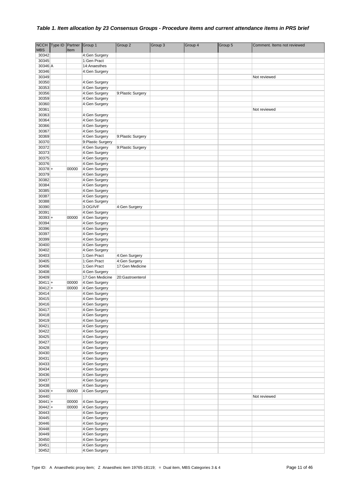| <b>NCCH</b>    | Type ID Partner |       | Group 1            | Group 2            | Group 3 | Group 4 | Group 5 | Comment. Items not reviewed |
|----------------|-----------------|-------|--------------------|--------------------|---------|---------|---------|-----------------------------|
| <b>MBS</b>     |                 | Item  |                    |                    |         |         |         |                             |
| 30342          |                 |       | 4:Gen Surgery      |                    |         |         |         |                             |
| 30345          |                 |       | 1:Gen Pract        |                    |         |         |         |                             |
| 30346 A        |                 |       | 14:Anaesthes       |                    |         |         |         |                             |
| 30346          |                 |       | 4:Gen Surgery      |                    |         |         |         |                             |
| 30349          |                 |       |                    |                    |         |         |         | Not reviewed                |
| 30350          |                 |       | 4:Gen Surgery      |                    |         |         |         |                             |
| 30353          |                 |       | 4:Gen Surgery      |                    |         |         |         |                             |
| 30356          |                 |       | 4:Gen Surgery      | 9:Plastic Surgery  |         |         |         |                             |
| 30359          |                 |       | 4:Gen Surgery      |                    |         |         |         |                             |
| 30360<br>30361 |                 |       | 4:Gen Surgery      |                    |         |         |         | Not reviewed                |
| 30363          |                 |       | 4:Gen Surgery      |                    |         |         |         |                             |
| 30364          |                 |       | 4:Gen Surgery      |                    |         |         |         |                             |
| 30366          |                 |       | 4:Gen Surgery      |                    |         |         |         |                             |
| 30367          |                 |       | 4:Gen Surgery      |                    |         |         |         |                             |
| 30369          |                 |       | 4:Gen Surgery      | 9:Plastic Surgery  |         |         |         |                             |
| 30370          |                 |       | 9: Plastic Surgery |                    |         |         |         |                             |
| 30372          |                 |       | 4:Gen Surgery      | 9: Plastic Surgery |         |         |         |                             |
| 30373          |                 |       | 4:Gen Surgery      |                    |         |         |         |                             |
| 30375          |                 |       | 4:Gen Surgery      |                    |         |         |         |                             |
| 30376          |                 |       | 4:Gen Surgery      |                    |         |         |         |                             |
| $30378 +$      |                 | 00000 | 4:Gen Surgery      |                    |         |         |         |                             |
| 30379          |                 |       | 4:Gen Surgery      |                    |         |         |         |                             |
| 30382          |                 |       | 4:Gen Surgery      |                    |         |         |         |                             |
| 30384          |                 |       | 4:Gen Surgery      |                    |         |         |         |                             |
| 30385          |                 |       | 4:Gen Surgery      |                    |         |         |         |                             |
| 30387          |                 |       | 4:Gen Surgery      |                    |         |         |         |                             |
| 30388          |                 |       | 4:Gen Surgery      |                    |         |         |         |                             |
| 30390          |                 |       | 3:OG/IVF           | 4:Gen Surgery      |         |         |         |                             |
| 30391          |                 |       | 4:Gen Surgery      |                    |         |         |         |                             |
| $30393+$       |                 | 00000 | 4:Gen Surgery      |                    |         |         |         |                             |
| 30394          |                 |       | 4:Gen Surgery      |                    |         |         |         |                             |
| 30396          |                 |       | 4:Gen Surgery      |                    |         |         |         |                             |
| 30397          |                 |       | 4:Gen Surgery      |                    |         |         |         |                             |
| 30399          |                 |       | 4:Gen Surgery      |                    |         |         |         |                             |
| 30400          |                 |       | 4:Gen Surgery      |                    |         |         |         |                             |
| 30402          |                 |       | 4:Gen Surgery      |                    |         |         |         |                             |
| 30403          |                 |       | 1:Gen Pract        | 4:Gen Surgery      |         |         |         |                             |
| 30405          |                 |       | 1:Gen Pract        | 4:Gen Surgery      |         |         |         |                             |
| 30406          |                 |       | 1:Gen Pract        | 17:Gen Medicine    |         |         |         |                             |
| 30408          |                 |       | 4:Gen Surgery      |                    |         |         |         |                             |
| 30409          |                 |       | 17:Gen Medicine    | 20:Gastroenterol   |         |         |         |                             |
| $30411 +$      |                 | 00000 | 4:Gen Surgery      |                    |         |         |         |                             |
| $30412 +$      |                 | 00000 | 4:Gen Surgery      |                    |         |         |         |                             |
| 30414          |                 |       | 4:Gen Surgery      |                    |         |         |         |                             |
| 30415          |                 |       | 4:Gen Surgery      |                    |         |         |         |                             |
| 30416          |                 |       | 4:Gen Surgery      |                    |         |         |         |                             |
| 30417          |                 |       | 4:Gen Surgery      |                    |         |         |         |                             |
| 30418          |                 |       | 4:Gen Surgery      |                    |         |         |         |                             |
| 30419          |                 |       | 4:Gen Surgery      |                    |         |         |         |                             |
| 30421          |                 |       | 4:Gen Surgery      |                    |         |         |         |                             |
| 30422          |                 |       | 4:Gen Surgery      |                    |         |         |         |                             |
| 30425          |                 |       | 4:Gen Surgery      |                    |         |         |         |                             |
| 30427          |                 |       | 4:Gen Surgery      |                    |         |         |         |                             |
| 30428          |                 |       | 4:Gen Surgery      |                    |         |         |         |                             |
| 30430          |                 |       | 4:Gen Surgery      |                    |         |         |         |                             |
| 30431          |                 |       | 4:Gen Surgery      |                    |         |         |         |                             |
| 30433          |                 |       | 4:Gen Surgery      |                    |         |         |         |                             |
| 30434          |                 |       | 4:Gen Surgery      |                    |         |         |         |                             |
| 30436          |                 |       | 4:Gen Surgery      |                    |         |         |         |                             |
| 30437          |                 |       | 4:Gen Surgery      |                    |         |         |         |                             |
| 30438          |                 |       | 4:Gen Surgery      |                    |         |         |         |                             |
| $30439 +$      |                 | 00000 | 4:Gen Surgery      |                    |         |         |         |                             |
| 30440          |                 |       |                    |                    |         |         |         | Not reviewed                |
| $30441 +$      |                 | 00000 | 4:Gen Surgery      |                    |         |         |         |                             |
| $30442 +$      |                 | 00000 | 4:Gen Surgery      |                    |         |         |         |                             |
| 30443          |                 |       | 4:Gen Surgery      |                    |         |         |         |                             |
| 30445          |                 |       | 4:Gen Surgery      |                    |         |         |         |                             |
| 30446          |                 |       | 4:Gen Surgery      |                    |         |         |         |                             |
| 30448          |                 |       | 4:Gen Surgery      |                    |         |         |         |                             |
| 30449          |                 |       | 4:Gen Surgery      |                    |         |         |         |                             |
| 30450          |                 |       | 4:Gen Surgery      |                    |         |         |         |                             |
| 30451          |                 |       | 4:Gen Surgery      |                    |         |         |         |                             |
| 30452          |                 |       | 4:Gen Surgery      |                    |         |         |         |                             |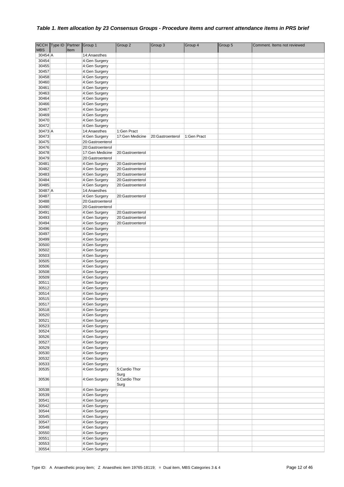| <b>NCCH</b> | Type ID Partner |      | Group 1                        | Group 2               | Group 3          | Group 4     | Group 5 | Comment. Items not reviewed |
|-------------|-----------------|------|--------------------------------|-----------------------|------------------|-------------|---------|-----------------------------|
| <b>MBS</b>  |                 | Item |                                |                       |                  |             |         |                             |
| $30454$ A   |                 |      | 14:Anaesthes                   |                       |                  |             |         |                             |
| 30454       |                 |      | 4:Gen Surgery                  |                       |                  |             |         |                             |
| 30455       |                 |      | 4:Gen Surgery                  |                       |                  |             |         |                             |
| 30457       |                 |      | 4:Gen Surgery                  |                       |                  |             |         |                             |
| 30458       |                 |      | 4:Gen Surgery                  |                       |                  |             |         |                             |
| 30460       |                 |      | 4:Gen Surgery                  |                       |                  |             |         |                             |
|             |                 |      |                                |                       |                  |             |         |                             |
| 30461       |                 |      | 4:Gen Surgery                  |                       |                  |             |         |                             |
| 30463       |                 |      | 4:Gen Surgery                  |                       |                  |             |         |                             |
| 30464       |                 |      | 4:Gen Surgery                  |                       |                  |             |         |                             |
| 30466       |                 |      | 4:Gen Surgery                  |                       |                  |             |         |                             |
| 30467       |                 |      | 4:Gen Surgery                  |                       |                  |             |         |                             |
| 30469       |                 |      | 4:Gen Surgery                  |                       |                  |             |         |                             |
| 30470       |                 |      | 4:Gen Surgery                  |                       |                  |             |         |                             |
| 30472       |                 |      | 4:Gen Surgery                  |                       |                  |             |         |                             |
| 30473 A     |                 |      | 14:Anaesthes                   | 1:Gen Pract           |                  |             |         |                             |
| 30473       |                 |      | 4:Gen Surgery                  | 17:Gen Medicine       | 20:Gastroenterol | 1:Gen Pract |         |                             |
| 30475       |                 |      | 20:Gastroenterol               |                       |                  |             |         |                             |
| 30476       |                 |      | 20:Gastroenterol               |                       |                  |             |         |                             |
| 30478       |                 |      | 17:Gen Medicine                | 20:Gastroenterol      |                  |             |         |                             |
| 30479       |                 |      | 20:Gastroenterol               |                       |                  |             |         |                             |
| 30481       |                 |      | 4:Gen Surgery                  | 20:Gastroenterol      |                  |             |         |                             |
| 30482       |                 |      | 4:Gen Surgery                  | 20:Gastroenterol      |                  |             |         |                             |
| 30483       |                 |      | 4:Gen Surgery                  | 20:Gastroenterol      |                  |             |         |                             |
| 30484       |                 |      | 4:Gen Surgery                  | 20:Gastroenterol      |                  |             |         |                             |
| 30485       |                 |      | 4:Gen Surgery                  | 20:Gastroenterol      |                  |             |         |                             |
| 30487 A     |                 |      | 14:Anaesthes                   |                       |                  |             |         |                             |
| 30487       |                 |      | 4:Gen Surgery                  | 20:Gastroenterol      |                  |             |         |                             |
| 30488       |                 |      | 20:Gastroenterol               |                       |                  |             |         |                             |
| 30490       |                 |      | 20:Gastroenterol               |                       |                  |             |         |                             |
| 30491       |                 |      |                                |                       |                  |             |         |                             |
|             |                 |      | 4:Gen Surgery<br>4:Gen Surgery | 20:Gastroenterol      |                  |             |         |                             |
| 30493       |                 |      |                                | 20:Gastroenterol      |                  |             |         |                             |
| 30494       |                 |      | 4:Gen Surgery                  | 20:Gastroenterol      |                  |             |         |                             |
| 30496       |                 |      | 4:Gen Surgery                  |                       |                  |             |         |                             |
| 30497       |                 |      | 4:Gen Surgery                  |                       |                  |             |         |                             |
| 30499       |                 |      | 4:Gen Surgery                  |                       |                  |             |         |                             |
| 30500       |                 |      | 4:Gen Surgery                  |                       |                  |             |         |                             |
| 30502       |                 |      | 4:Gen Surgery                  |                       |                  |             |         |                             |
| 30503       |                 |      | 4:Gen Surgery                  |                       |                  |             |         |                             |
| 30505       |                 |      | 4:Gen Surgery                  |                       |                  |             |         |                             |
| 30506       |                 |      | 4:Gen Surgery                  |                       |                  |             |         |                             |
| 30508       |                 |      | 4:Gen Surgery                  |                       |                  |             |         |                             |
| 30509       |                 |      | 4:Gen Surgery                  |                       |                  |             |         |                             |
| 30511       |                 |      | 4:Gen Surgery                  |                       |                  |             |         |                             |
| 30512       |                 |      | 4:Gen Surgery                  |                       |                  |             |         |                             |
| 30514       |                 |      | 4:Gen Surgery                  |                       |                  |             |         |                             |
| 30515       |                 |      | 4:Gen Surgery                  |                       |                  |             |         |                             |
| 30517       |                 |      | 4:Gen Surgery                  |                       |                  |             |         |                             |
| 30518       |                 |      | 4:Gen Surgery                  |                       |                  |             |         |                             |
| 30520       |                 |      | 4:Gen Surgery                  |                       |                  |             |         |                             |
| 30521       |                 |      | 4:Gen Surgery                  |                       |                  |             |         |                             |
| 30523       |                 |      | 4:Gen Surgery                  |                       |                  |             |         |                             |
| 30524       |                 |      | 4:Gen Surgery                  |                       |                  |             |         |                             |
| 30526       |                 |      | 4:Gen Surgery                  |                       |                  |             |         |                             |
| 30527       |                 |      | 4:Gen Surgery                  |                       |                  |             |         |                             |
| 30529       |                 |      | 4:Gen Surgery                  |                       |                  |             |         |                             |
| 30530       |                 |      | 4:Gen Surgery                  |                       |                  |             |         |                             |
| 30532       |                 |      | 4:Gen Surgery                  |                       |                  |             |         |                             |
| 30533       |                 |      | 4:Gen Surgery                  |                       |                  |             |         |                             |
| 30535       |                 |      | 4:Gen Surgery                  | 5:Cardio Thor<br>Surg |                  |             |         |                             |
| 30536       |                 |      | 4:Gen Surgery                  | 5:Cardio Thor<br>Surg |                  |             |         |                             |
| 30538       |                 |      | 4:Gen Surgery                  |                       |                  |             |         |                             |
| 30539       |                 |      | 4:Gen Surgery                  |                       |                  |             |         |                             |
| 30541       |                 |      | 4:Gen Surgery                  |                       |                  |             |         |                             |
| 30542       |                 |      | 4:Gen Surgery                  |                       |                  |             |         |                             |
| 30544       |                 |      | 4:Gen Surgery                  |                       |                  |             |         |                             |
| 30545       |                 |      | 4:Gen Surgery                  |                       |                  |             |         |                             |
| 30547       |                 |      | 4:Gen Surgery                  |                       |                  |             |         |                             |
| 30548       |                 |      | 4:Gen Surgery                  |                       |                  |             |         |                             |
| 30550       |                 |      | 4:Gen Surgery                  |                       |                  |             |         |                             |
| 30551       |                 |      | 4:Gen Surgery                  |                       |                  |             |         |                             |
| 30553       |                 |      | 4:Gen Surgery                  |                       |                  |             |         |                             |
| 30554       |                 |      | 4:Gen Surgery                  |                       |                  |             |         |                             |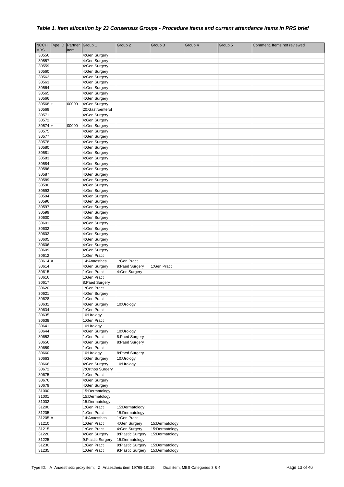| <b>NCCH</b> | Type ID Partner |       | Group 1           | Group <sub>2</sub> | Group 3        | Group 4 | Group 5 | Comment. Items not reviewed |
|-------------|-----------------|-------|-------------------|--------------------|----------------|---------|---------|-----------------------------|
| <b>MBS</b>  |                 | Item  |                   |                    |                |         |         |                             |
| 30556       |                 |       | 4:Gen Surgery     |                    |                |         |         |                             |
| 30557       |                 |       | 4:Gen Surgery     |                    |                |         |         |                             |
| 30559       |                 |       | 4:Gen Surgery     |                    |                |         |         |                             |
| 30560       |                 |       | 4:Gen Surgery     |                    |                |         |         |                             |
| 30562       |                 |       | 4:Gen Surgery     |                    |                |         |         |                             |
| 30563       |                 |       | 4:Gen Surgery     |                    |                |         |         |                             |
| 30564       |                 |       | 4:Gen Surgery     |                    |                |         |         |                             |
|             |                 |       |                   |                    |                |         |         |                             |
| 30565       |                 |       | 4:Gen Surgery     |                    |                |         |         |                             |
| 30566       |                 |       | 4:Gen Surgery     |                    |                |         |         |                             |
| $30568 +$   |                 | 00000 | 4:Gen Surgery     |                    |                |         |         |                             |
| 30569       |                 |       | 20:Gastroenterol  |                    |                |         |         |                             |
| 30571       |                 |       | 4:Gen Surgery     |                    |                |         |         |                             |
| 30572       |                 |       | 4:Gen Surgery     |                    |                |         |         |                             |
| $30574+$    |                 | 00000 | 4:Gen Surgery     |                    |                |         |         |                             |
| 30575       |                 |       | 4:Gen Surgery     |                    |                |         |         |                             |
| 30577       |                 |       | 4:Gen Surgery     |                    |                |         |         |                             |
| 30578       |                 |       | 4:Gen Surgery     |                    |                |         |         |                             |
| 30580       |                 |       | 4:Gen Surgery     |                    |                |         |         |                             |
| 30581       |                 |       | 4:Gen Surgery     |                    |                |         |         |                             |
| 30583       |                 |       | 4:Gen Surgery     |                    |                |         |         |                             |
| 30584       |                 |       | 4:Gen Surgery     |                    |                |         |         |                             |
| 30586       |                 |       | 4:Gen Surgery     |                    |                |         |         |                             |
| 30587       |                 |       | 4:Gen Surgery     |                    |                |         |         |                             |
| 30589       |                 |       | 4:Gen Surgery     |                    |                |         |         |                             |
| 30590       |                 |       | 4:Gen Surgery     |                    |                |         |         |                             |
| 30593       |                 |       | 4:Gen Surgery     |                    |                |         |         |                             |
| 30594       |                 |       | 4:Gen Surgery     |                    |                |         |         |                             |
| 30596       |                 |       | 4:Gen Surgery     |                    |                |         |         |                             |
| 30597       |                 |       | 4:Gen Surgery     |                    |                |         |         |                             |
| 30599       |                 |       | 4:Gen Surgery     |                    |                |         |         |                             |
| 30600       |                 |       | 4:Gen Surgery     |                    |                |         |         |                             |
| 30601       |                 |       | 4:Gen Surgery     |                    |                |         |         |                             |
| 30602       |                 |       | 4:Gen Surgery     |                    |                |         |         |                             |
| 30603       |                 |       | 4:Gen Surgery     |                    |                |         |         |                             |
| 30605       |                 |       | 4:Gen Surgery     |                    |                |         |         |                             |
| 30606       |                 |       | 4:Gen Surgery     |                    |                |         |         |                             |
| 30609       |                 |       | 4:Gen Surgery     |                    |                |         |         |                             |
| 30612       |                 |       | 1:Gen Pract       |                    |                |         |         |                             |
| $30614$ A   |                 |       | 14:Anaesthes      | 1:Gen Pract        |                |         |         |                             |
| 30614       |                 |       | 4:Gen Surgery     | 8:Paed Surgery     | 1:Gen Pract    |         |         |                             |
| 30615       |                 |       | 1:Gen Pract       | 4:Gen Surgery      |                |         |         |                             |
| 30616       |                 |       | 1:Gen Pract       |                    |                |         |         |                             |
| 30617       |                 |       | 8:Paed Surgery    |                    |                |         |         |                             |
| 30620       |                 |       | 1:Gen Pract       |                    |                |         |         |                             |
| 30621       |                 |       | 4:Gen Surgery     |                    |                |         |         |                             |
| 30628       |                 |       | 1:Gen Pract       |                    |                |         |         |                             |
| 30631       |                 |       | 4:Gen Surgery     | 10:Urology         |                |         |         |                             |
| 30634       |                 |       | 1:Gen Pract       |                    |                |         |         |                             |
| 30635       |                 |       | 10:Urology        |                    |                |         |         |                             |
| 30638       |                 |       | 1:Gen Pract       |                    |                |         |         |                             |
| 30641       |                 |       | 10:Urology        |                    |                |         |         |                             |
| 30644       |                 |       | 4:Gen Surgery     | 10:Urology         |                |         |         |                             |
| 30653       |                 |       | 1:Gen Pract       | 8:Paed Surgery     |                |         |         |                             |
| 30656       |                 |       | 4:Gen Surgery     | 8:Paed Surgery     |                |         |         |                             |
| 30659       |                 |       | 1:Gen Pract       |                    |                |         |         |                             |
| 30660       |                 |       | 10:Urology        | 8:Paed Surgery     |                |         |         |                             |
| 30663       |                 |       | 4:Gen Surgery     | 10:Urology         |                |         |         |                             |
| 30666       |                 |       | 4:Gen Surgery     | 10:Urology         |                |         |         |                             |
| 30672       |                 |       | 7:Orthop Surgery  |                    |                |         |         |                             |
| 30675       |                 |       | 1:Gen Pract       |                    |                |         |         |                             |
| 30676       |                 |       | 4:Gen Surgery     |                    |                |         |         |                             |
| 30679       |                 |       | 4:Gen Surgery     |                    |                |         |         |                             |
| 31000       |                 |       | 15:Dermatology    |                    |                |         |         |                             |
| 31001       |                 |       | 15:Dermatology    |                    |                |         |         |                             |
| 31002       |                 |       | 15:Dermatology    |                    |                |         |         |                             |
| 31200       |                 |       | 1:Gen Pract       | 15:Dermatology     |                |         |         |                             |
| 31205       |                 |       | 1:Gen Pract       | 15:Dermatology     |                |         |         |                             |
| 31205 A     |                 |       | 14:Anaesthes      | 1:Gen Pract        |                |         |         |                             |
| 31210       |                 |       | 1:Gen Pract       | 4:Gen Surgery      | 15:Dermatology |         |         |                             |
| 31215       |                 |       | 1:Gen Pract       | 4:Gen Surgery      | 15:Dermatology |         |         |                             |
| 31220       |                 |       | 4:Gen Surgery     | 9: Plastic Surgery | 15:Dermatology |         |         |                             |
| 31225       |                 |       | 9:Plastic Surgery | 15:Dermatology     |                |         |         |                             |
| 31230       |                 |       | 1:Gen Pract       | 9: Plastic Surgery | 15:Dermatology |         |         |                             |
| 31235       |                 |       | 1:Gen Pract       | 9: Plastic Surgery | 15:Dermatology |         |         |                             |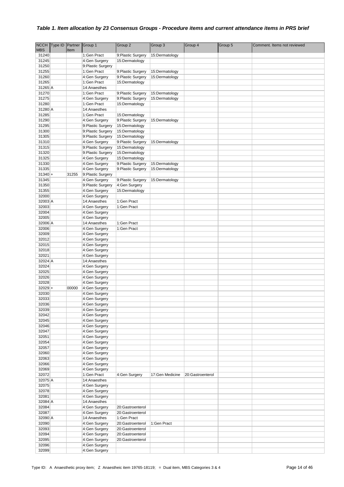| <b>NCCH</b>      | Type ID Partner |       | Group 1                                | Group 2                                  | Group 3                          | Group 4          | Group 5 | Comment. Items not reviewed |
|------------------|-----------------|-------|----------------------------------------|------------------------------------------|----------------------------------|------------------|---------|-----------------------------|
| <b>MBS</b>       |                 | Item  |                                        |                                          |                                  |                  |         |                             |
| 31240            |                 |       | 1:Gen Pract                            | 9:Plastic Surgery                        | 15:Dermatology                   |                  |         |                             |
| 31245            |                 |       | 4:Gen Surgery                          | 15:Dermatology                           |                                  |                  |         |                             |
| 31250<br>31255   |                 |       | 9:Plastic Surgery<br>1:Gen Pract       |                                          |                                  |                  |         |                             |
| 31260            |                 |       | 4:Gen Surgery                          | 9: Plastic Surgery<br>9: Plastic Surgery | 15:Dermatology<br>15:Dermatology |                  |         |                             |
| 31265            |                 |       | 1:Gen Pract                            | 15:Dermatology                           |                                  |                  |         |                             |
| 31265 A          |                 |       | 14:Anaesthes                           |                                          |                                  |                  |         |                             |
| 31270            |                 |       | 1:Gen Pract                            | 9: Plastic Surgery                       | 15:Dermatology                   |                  |         |                             |
| 31275            |                 |       | 4:Gen Surgery                          | 9:Plastic Surgery                        | 15:Dermatology                   |                  |         |                             |
| 31280            |                 |       | 1:Gen Pract                            | 15:Dermatology                           |                                  |                  |         |                             |
| 31280 A          |                 |       | 14:Anaesthes                           |                                          |                                  |                  |         |                             |
| 31285            |                 |       | 1:Gen Pract                            | 15:Dermatology                           |                                  |                  |         |                             |
| 31290            |                 |       | 4:Gen Surgery                          | 9:Plastic Surgery                        | 15:Dermatology                   |                  |         |                             |
| 31295<br>31300   |                 |       | 9:Plastic Surgery<br>9:Plastic Surgery | 15:Dermatology<br>15:Dermatology         |                                  |                  |         |                             |
| 31305            |                 |       | 9:Plastic Surgery                      | 15:Dermatology                           |                                  |                  |         |                             |
| 31310            |                 |       | 4:Gen Surgery                          | 9:Plastic Surgery                        | 15:Dermatology                   |                  |         |                             |
| 31315            |                 |       | 9:Plastic Surgery                      | 15:Dermatology                           |                                  |                  |         |                             |
| 31320            |                 |       | 9:Plastic Surgery                      | 15:Dermatology                           |                                  |                  |         |                             |
| 31325            |                 |       | 4:Gen Surgery                          | 15:Dermatology                           |                                  |                  |         |                             |
| 31330            |                 |       | 4:Gen Surgery                          | 9:Plastic Surgery                        | 15:Dermatology                   |                  |         |                             |
| 31335            |                 |       | 4:Gen Surgery                          | 9:Plastic Surgery                        | 15:Dermatology                   |                  |         |                             |
| $31340 +$        |                 | 31255 | 9:Plastic Surgery                      |                                          |                                  |                  |         |                             |
| 31345<br>31350   |                 |       | 4:Gen Surgery<br>9:Plastic Surgery     | 9:Plastic Surgery<br>4:Gen Surgery       | 15:Dermatology                   |                  |         |                             |
| 31355            |                 |       | 4:Gen Surgery                          | 15:Dermatology                           |                                  |                  |         |                             |
| 32000            |                 |       | 4:Gen Surgery                          |                                          |                                  |                  |         |                             |
| 32003 A          |                 |       | 14:Anaesthes                           | 1:Gen Pract                              |                                  |                  |         |                             |
| 32003            |                 |       | 4:Gen Surgery                          | 1:Gen Pract                              |                                  |                  |         |                             |
| 32004            |                 |       | 4:Gen Surgery                          |                                          |                                  |                  |         |                             |
| 32005            |                 |       | 4:Gen Surgery                          |                                          |                                  |                  |         |                             |
| 32006 A          |                 |       | 14:Anaesthes                           | 1:Gen Pract                              |                                  |                  |         |                             |
| 32006<br>32009   |                 |       | 4:Gen Surgery<br>4:Gen Surgery         | 1:Gen Pract                              |                                  |                  |         |                             |
| 32012            |                 |       | 4:Gen Surgery                          |                                          |                                  |                  |         |                             |
| 32015            |                 |       | 4:Gen Surgery                          |                                          |                                  |                  |         |                             |
| 32018            |                 |       | 4:Gen Surgery                          |                                          |                                  |                  |         |                             |
| 32021            |                 |       | 4:Gen Surgery                          |                                          |                                  |                  |         |                             |
| 32024 A          |                 |       | 14:Anaesthes                           |                                          |                                  |                  |         |                             |
| 32024<br>32025   |                 |       | 4:Gen Surgery<br>4:Gen Surgery         |                                          |                                  |                  |         |                             |
| 32026            |                 |       | 4:Gen Surgery                          |                                          |                                  |                  |         |                             |
| 32028            |                 |       | 4:Gen Surgery                          |                                          |                                  |                  |         |                             |
| $32029 +$        |                 | 00000 | 4:Gen Surgery                          |                                          |                                  |                  |         |                             |
| 32030            |                 |       | 4:Gen Surgery                          |                                          |                                  |                  |         |                             |
| 32033            |                 |       | 4:Gen Surgery                          |                                          |                                  |                  |         |                             |
| 32036<br>32039   |                 |       | 4:Gen Surgery<br>4:Gen Surgery         |                                          |                                  |                  |         |                             |
| 32042            |                 |       | 4:Gen Surgery                          |                                          |                                  |                  |         |                             |
| 32045            |                 |       | 4:Gen Surgery                          |                                          |                                  |                  |         |                             |
| 32046            |                 |       | 4:Gen Surgery                          |                                          |                                  |                  |         |                             |
| 32047            |                 |       | 4:Gen Surgery                          |                                          |                                  |                  |         |                             |
| 32051            |                 |       | 4:Gen Surgery                          |                                          |                                  |                  |         |                             |
| 32054            |                 |       | 4:Gen Surgery                          |                                          |                                  |                  |         |                             |
| 32057            |                 |       | 4:Gen Surgery                          |                                          |                                  |                  |         |                             |
| 32060            |                 |       | 4:Gen Surgery                          |                                          |                                  |                  |         |                             |
| 32063<br>32066   |                 |       | 4:Gen Surgery<br>4:Gen Surgery         |                                          |                                  |                  |         |                             |
| 32069            |                 |       | 4:Gen Surgery                          |                                          |                                  |                  |         |                             |
| 32072            |                 |       | 1:Gen Pract                            | 4:Gen Surgery                            | 17:Gen Medicine                  | 20:Gastroenterol |         |                             |
| 32075 A          |                 |       | 14:Anaesthes                           |                                          |                                  |                  |         |                             |
| 32075            |                 |       | 4:Gen Surgery                          |                                          |                                  |                  |         |                             |
| 32078            |                 |       | 4:Gen Surgery                          |                                          |                                  |                  |         |                             |
| 32081            |                 |       | 4:Gen Surgery                          |                                          |                                  |                  |         |                             |
| 32084 A<br>32084 |                 |       | 14:Anaesthes<br>4:Gen Surgery          | 20:Gastroenterol                         |                                  |                  |         |                             |
| 32087            |                 |       | 4:Gen Surgery                          | 20:Gastroenterol                         |                                  |                  |         |                             |
| 32090 A          |                 |       | 14:Anaesthes                           | 1:Gen Pract                              |                                  |                  |         |                             |
| 32090            |                 |       | 4:Gen Surgery                          | 20:Gastroenterol                         | 1:Gen Pract                      |                  |         |                             |
| 32093            |                 |       | 4:Gen Surgery                          | 20:Gastroenterol                         |                                  |                  |         |                             |
| 32094            |                 |       | 4:Gen Surgery                          | 20:Gastroenterol                         |                                  |                  |         |                             |
| 32095<br>32096   |                 |       | 4:Gen Surgery<br>4:Gen Surgery         | 20:Gastroenterol                         |                                  |                  |         |                             |
| 32099            |                 |       | 4:Gen Surgery                          |                                          |                                  |                  |         |                             |
|                  |                 |       |                                        |                                          |                                  |                  |         |                             |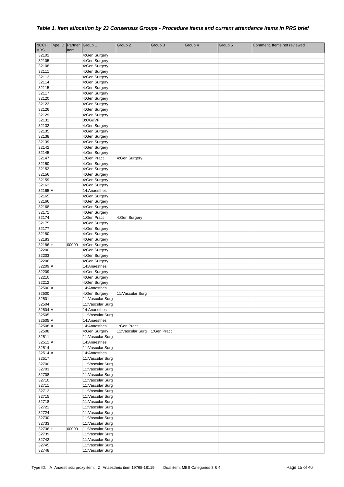| <b>NCCH</b> | Type ID Partner |       | Group 1           | Group 2           | Group 3     | Group 4 | Group 5 | Comment. Items not reviewed |
|-------------|-----------------|-------|-------------------|-------------------|-------------|---------|---------|-----------------------------|
| <b>MBS</b>  |                 | Item  |                   |                   |             |         |         |                             |
| 32102       |                 |       | 4:Gen Surgery     |                   |             |         |         |                             |
| 32105       |                 |       | 4:Gen Surgery     |                   |             |         |         |                             |
| 32108       |                 |       | 4:Gen Surgery     |                   |             |         |         |                             |
| 32111       |                 |       | 4:Gen Surgery     |                   |             |         |         |                             |
| 32112       |                 |       | 4:Gen Surgery     |                   |             |         |         |                             |
| 32114       |                 |       | 4:Gen Surgery     |                   |             |         |         |                             |
| 32115       |                 |       | 4:Gen Surgery     |                   |             |         |         |                             |
| 32117       |                 |       | 4:Gen Surgery     |                   |             |         |         |                             |
| 32120       |                 |       | 4:Gen Surgery     |                   |             |         |         |                             |
| 32123       |                 |       | 4:Gen Surgery     |                   |             |         |         |                             |
| 32126       |                 |       | 4:Gen Surgery     |                   |             |         |         |                             |
| 32129       |                 |       | 4:Gen Surgery     |                   |             |         |         |                             |
| 32131       |                 |       | 3:OG/IVF          |                   |             |         |         |                             |
| 32132       |                 |       | 4:Gen Surgery     |                   |             |         |         |                             |
| 32135       |                 |       | 4:Gen Surgery     |                   |             |         |         |                             |
| 32138       |                 |       | 4:Gen Surgery     |                   |             |         |         |                             |
| 32139       |                 |       | 4:Gen Surgery     |                   |             |         |         |                             |
| 32142       |                 |       | 4:Gen Surgery     |                   |             |         |         |                             |
| 32145       |                 |       | 4:Gen Surgery     |                   |             |         |         |                             |
| 32147       |                 |       | 1:Gen Pract       | 4:Gen Surgery     |             |         |         |                             |
| 32150       |                 |       | 4:Gen Surgery     |                   |             |         |         |                             |
| 32153       |                 |       | 4:Gen Surgery     |                   |             |         |         |                             |
| 32156       |                 |       | 4:Gen Surgery     |                   |             |         |         |                             |
| 32159       |                 |       | 4:Gen Surgery     |                   |             |         |         |                             |
| 32162       |                 |       | 4:Gen Surgery     |                   |             |         |         |                             |
| 32165 A     |                 |       | 14:Anaesthes      |                   |             |         |         |                             |
| 32165       |                 |       | 4:Gen Surgery     |                   |             |         |         |                             |
| 32166       |                 |       | 4:Gen Surgery     |                   |             |         |         |                             |
| 32168       |                 |       | 4:Gen Surgery     |                   |             |         |         |                             |
| 32171       |                 |       | 4:Gen Surgery     |                   |             |         |         |                             |
| 32174       |                 |       | 1:Gen Pract       | 4:Gen Surgery     |             |         |         |                             |
| 32175       |                 |       | 4:Gen Surgery     |                   |             |         |         |                             |
| 32177       |                 |       | 4:Gen Surgery     |                   |             |         |         |                             |
| 32180       |                 |       | 4:Gen Surgery     |                   |             |         |         |                             |
| 32183       |                 |       | 4:Gen Surgery     |                   |             |         |         |                             |
| $32186 +$   |                 | 00000 | 4:Gen Surgery     |                   |             |         |         |                             |
| 32200       |                 |       | 4:Gen Surgery     |                   |             |         |         |                             |
| 32203       |                 |       | 4:Gen Surgery     |                   |             |         |         |                             |
| 32206       |                 |       | 4:Gen Surgery     |                   |             |         |         |                             |
| 32209 A     |                 |       | 14:Anaesthes      |                   |             |         |         |                             |
| 32209       |                 |       | 4:Gen Surgery     |                   |             |         |         |                             |
| 32210       |                 |       | 4:Gen Surgery     |                   |             |         |         |                             |
| 32212       |                 |       | 4:Gen Surgery     |                   |             |         |         |                             |
| 32500 A     |                 |       | 14:Anaesthes      |                   |             |         |         |                             |
| 32500       |                 |       | 4:Gen Surgery     | 11: Vascular Surg |             |         |         |                             |
| 32501       |                 |       | 11: Vascular Surg |                   |             |         |         |                             |
| 32504       |                 |       | 11: Vascular Surg |                   |             |         |         |                             |
| 32504 A     |                 |       | 14:Anaesthes      |                   |             |         |         |                             |
| 32505       |                 |       | 11: Vascular Surg |                   |             |         |         |                             |
| 32505 A     |                 |       | 14:Anaesthes      |                   |             |         |         |                             |
| 32508 A     |                 |       | 14:Anaesthes      | 1:Gen Pract       |             |         |         |                             |
| 32508       |                 |       | 4:Gen Surgery     | 11: Vascular Surg | 1:Gen Pract |         |         |                             |
| 32511       |                 |       | 11: Vascular Surg |                   |             |         |         |                             |
| $32511$ A   |                 |       | 14:Anaesthes      |                   |             |         |         |                             |
| 32514       |                 |       | 11: Vascular Surg |                   |             |         |         |                             |
| $32514$ A   |                 |       | 14:Anaesthes      |                   |             |         |         |                             |
| 32517       |                 |       | 11: Vascular Surg |                   |             |         |         |                             |
| 32700       |                 |       | 11: Vascular Surg |                   |             |         |         |                             |
| 32703       |                 |       | 11: Vascular Surg |                   |             |         |         |                             |
| 32708       |                 |       | 11: Vascular Surg |                   |             |         |         |                             |
| 32710       |                 |       | 11: Vascular Surg |                   |             |         |         |                             |
| 32711       |                 |       | 11: Vascular Surg |                   |             |         |         |                             |
| 32712       |                 |       | 11:Vascular Surg  |                   |             |         |         |                             |
| 32715       |                 |       | 11: Vascular Surg |                   |             |         |         |                             |
| 32718       |                 |       | 11: Vascular Surg |                   |             |         |         |                             |
| 32721       |                 |       | 11:Vascular Surg  |                   |             |         |         |                             |
| 32724       |                 |       | 11:Vascular Surg  |                   |             |         |         |                             |
| 32730       |                 |       | 11:Vascular Surg  |                   |             |         |         |                             |
| 32733       |                 |       | 11: Vascular Surg |                   |             |         |         |                             |
| $32736 +$   |                 | 00000 | 11: Vascular Surg |                   |             |         |         |                             |
| 32739       |                 |       | 11: Vascular Surg |                   |             |         |         |                             |
| 32742       |                 |       | 11: Vascular Surg |                   |             |         |         |                             |
| 32745       |                 |       | 11: Vascular Surg |                   |             |         |         |                             |
| 32748       |                 |       | 11: Vascular Surg |                   |             |         |         |                             |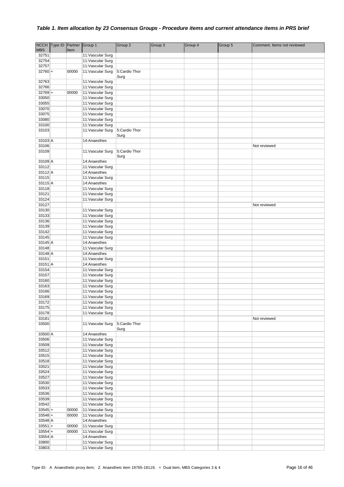| <b>NCCH</b>      | Type ID | Partner | Group 1                                | Group 2       | Group 3 | Group 4 | Group 5 | Comment. Items not reviewed |
|------------------|---------|---------|----------------------------------------|---------------|---------|---------|---------|-----------------------------|
| <b>MBS</b>       |         | Item    |                                        |               |         |         |         |                             |
| 32751            |         |         | 11: Vascular Surg                      |               |         |         |         |                             |
| 32754            |         |         | 11: Vascular Surg                      |               |         |         |         |                             |
| 32757            |         |         | 11: Vascular Surg                      |               |         |         |         |                             |
| $32760 +$        |         | 00000   | 11: Vascular Surg                      | 5:Cardio Thor |         |         |         |                             |
| 32763            |         |         | 11: Vascular Surg                      | Surg          |         |         |         |                             |
| 32766            |         |         | 11: Vascular Surg                      |               |         |         |         |                             |
| $32769 +$        |         | 00000   | 11: Vascular Surg                      |               |         |         |         |                             |
| 33050            |         |         | 11: Vascular Surg                      |               |         |         |         |                             |
| 33055            |         |         | 11: Vascular Surg                      |               |         |         |         |                             |
| 33070            |         |         | 11: Vascular Surg                      |               |         |         |         |                             |
| 33075            |         |         | 11: Vascular Surg                      |               |         |         |         |                             |
| 33080            |         |         | 11: Vascular Surg                      |               |         |         |         |                             |
| 33100            |         |         | 11: Vascular Surg                      |               |         |         |         |                             |
| 33103            |         |         | 11: Vascular Surg                      | 5:Cardio Thor |         |         |         |                             |
|                  |         |         |                                        | Surg          |         |         |         |                             |
| 33103 A<br>33106 |         |         | 14:Anaesthes                           |               |         |         |         | Not reviewed                |
| 33109            |         |         | 11: Vascular Surg                      | 5:Cardio Thor |         |         |         |                             |
|                  |         |         |                                        | Surg          |         |         |         |                             |
| 33109 A          |         |         | 14:Anaesthes                           |               |         |         |         |                             |
| 33112            |         |         | 11: Vascular Surg                      |               |         |         |         |                             |
| 33112 A          |         |         | 14:Anaesthes                           |               |         |         |         |                             |
| 33115            |         |         | 11: Vascular Surg                      |               |         |         |         |                             |
| 33115 A          |         |         | 14:Anaesthes                           |               |         |         |         |                             |
| 33118            |         |         | 11: Vascular Surg                      |               |         |         |         |                             |
| 33121            |         |         | 11: Vascular Surg                      |               |         |         |         |                             |
| 33124            |         |         | 11:Vascular Surg                       |               |         |         |         |                             |
| 33127            |         |         |                                        |               |         |         |         | Not reviewed                |
| 33130            |         |         | 11: Vascular Surg                      |               |         |         |         |                             |
| 33133            |         |         | 11: Vascular Surg                      |               |         |         |         |                             |
| 33136<br>33139   |         |         | 11: Vascular Surg                      |               |         |         |         |                             |
| 33142            |         |         | 11: Vascular Surg<br>11: Vascular Surg |               |         |         |         |                             |
| 33145            |         |         | 11: Vascular Surg                      |               |         |         |         |                             |
| 33145 A          |         |         | 14:Anaesthes                           |               |         |         |         |                             |
| 33148            |         |         | 11: Vascular Surg                      |               |         |         |         |                             |
| 33148 A          |         |         | 14:Anaesthes                           |               |         |         |         |                             |
| 33151            |         |         | 11: Vascular Surg                      |               |         |         |         |                             |
| 33151 A          |         |         | 14:Anaesthes                           |               |         |         |         |                             |
| 33154            |         |         | 11: Vascular Surg                      |               |         |         |         |                             |
| 33157            |         |         | 11: Vascular Surg                      |               |         |         |         |                             |
| 33160            |         |         | 11: Vascular Surg                      |               |         |         |         |                             |
| 33163            |         |         | 11: Vascular Surg                      |               |         |         |         |                             |
| 33166            |         |         | 11: Vascular Surg                      |               |         |         |         |                             |
| 33169            |         |         | 11: Vascular Surg                      |               |         |         |         |                             |
| 33172            |         |         | 11: Vascular Surg                      |               |         |         |         |                             |
| 33175<br>33178   |         |         | 11: Vascular Surg<br>11: Vascular Surg |               |         |         |         |                             |
| 33181            |         |         |                                        |               |         |         |         | Not reviewed                |
| 33500            |         |         | 11: Vascular Surg                      | 5:Cardio Thor |         |         |         |                             |
|                  |         |         |                                        | Surg          |         |         |         |                             |
| 33500 A          |         |         | 14:Anaesthes                           |               |         |         |         |                             |
| 33506            |         |         | 11: Vascular Surg                      |               |         |         |         |                             |
| 33509            |         |         | 11: Vascular Surg                      |               |         |         |         |                             |
| 33512            |         |         | 11: Vascular Surg                      |               |         |         |         |                             |
| 33515            |         |         | 11: Vascular Surg                      |               |         |         |         |                             |
| 33518            |         |         | 11: Vascular Surg                      |               |         |         |         |                             |
| 33521            |         |         | 11: Vascular Surg                      |               |         |         |         |                             |
| 33524            |         |         | 11: Vascular Surg                      |               |         |         |         |                             |
| 33527<br>33530   |         |         | 11: Vascular Surg<br>11: Vascular Surg |               |         |         |         |                             |
| 33533            |         |         | 11: Vascular Surg                      |               |         |         |         |                             |
| 33536            |         |         | 11: Vascular Surg                      |               |         |         |         |                             |
| 33539            |         |         | 11: Vascular Surg                      |               |         |         |         |                             |
| 33542            |         |         | 11: Vascular Surg                      |               |         |         |         |                             |
| $33545+$         |         | 00000   | 11: Vascular Surg                      |               |         |         |         |                             |
| $33548 +$        |         | 00000   | 11: Vascular Surg                      |               |         |         |         |                             |
| 33548 A          |         |         | 14:Anaesthes                           |               |         |         |         |                             |
| $33551+$         |         | 00000   | 11: Vascular Surg                      |               |         |         |         |                             |
| $33554 +$        |         | 00000   | 11: Vascular Surg                      |               |         |         |         |                             |
| 33554 A          |         |         | 14:Anaesthes                           |               |         |         |         |                             |
| 33800            |         |         | 11: Vascular Surg                      |               |         |         |         |                             |
| 33803            |         |         | 11: Vascular Surg                      |               |         |         |         |                             |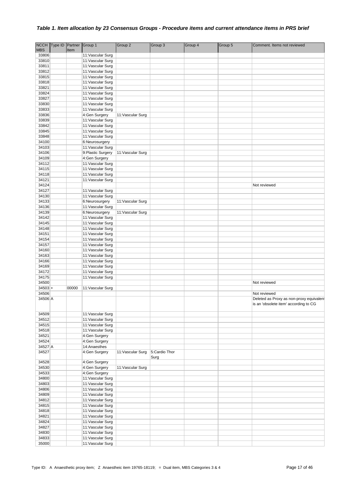| <b>NCCH</b>    | Type ID | Partner | Group 1                            | Group 2           | Group 3       | Group 4 | Group 5 | Comment. Items not reviewed              |
|----------------|---------|---------|------------------------------------|-------------------|---------------|---------|---------|------------------------------------------|
| <b>MBS</b>     |         | Item    |                                    |                   |               |         |         |                                          |
| 33806          |         |         | 11: Vascular Surg                  |                   |               |         |         |                                          |
| 33810          |         |         | 11: Vascular Surg                  |                   |               |         |         |                                          |
| 33811          |         |         | 11: Vascular Surg                  |                   |               |         |         |                                          |
| 33812          |         |         | 11: Vascular Surg                  |                   |               |         |         |                                          |
| 33815          |         |         | 11: Vascular Surg                  |                   |               |         |         |                                          |
| 33818          |         |         | 11: Vascular Surg                  |                   |               |         |         |                                          |
| 33821          |         |         | 11: Vascular Surg                  |                   |               |         |         |                                          |
| 33824          |         |         | 11:Vascular Surg                   |                   |               |         |         |                                          |
| 33827          |         |         | 11: Vascular Surg                  |                   |               |         |         |                                          |
| 33830<br>33833 |         |         | 11: Vascular Surg                  |                   |               |         |         |                                          |
| 33836          |         |         | 11: Vascular Surg<br>4:Gen Surgery | 11: Vascular Surg |               |         |         |                                          |
| 33839          |         |         | 11: Vascular Surg                  |                   |               |         |         |                                          |
| 33842          |         |         | 11: Vascular Surg                  |                   |               |         |         |                                          |
| 33845          |         |         | 11: Vascular Surg                  |                   |               |         |         |                                          |
| 33848          |         |         | 11: Vascular Surg                  |                   |               |         |         |                                          |
| 34100          |         |         | 6:Neurosurgery                     |                   |               |         |         |                                          |
| 34103          |         |         | 11: Vascular Surg                  |                   |               |         |         |                                          |
| 34106          |         |         | 9: Plastic Surgery                 | 11: Vascular Surg |               |         |         |                                          |
| 34109          |         |         | 4:Gen Surgery                      |                   |               |         |         |                                          |
| 34112          |         |         | 11: Vascular Surg                  |                   |               |         |         |                                          |
| 34115          |         |         | 11:Vascular Surg                   |                   |               |         |         |                                          |
| 34118          |         |         | 11: Vascular Surg                  |                   |               |         |         |                                          |
| 34121          |         |         | 11:Vascular Surg                   |                   |               |         |         |                                          |
| 34124          |         |         |                                    |                   |               |         |         | Not reviewed                             |
| 34127          |         |         | 11: Vascular Surg                  |                   |               |         |         |                                          |
| 34130          |         |         | 11: Vascular Surg                  |                   |               |         |         |                                          |
| 34133          |         |         | 6:Neurosurgery                     | 11: Vascular Surg |               |         |         |                                          |
| 34136          |         |         | 11: Vascular Surg                  |                   |               |         |         |                                          |
| 34139          |         |         | 6:Neurosurgery                     | 11: Vascular Surg |               |         |         |                                          |
| 34142          |         |         | 11: Vascular Surg                  |                   |               |         |         |                                          |
| 34145          |         |         | 11: Vascular Surg                  |                   |               |         |         |                                          |
| 34148          |         |         | 11: Vascular Surg                  |                   |               |         |         |                                          |
| 34151          |         |         | 11: Vascular Surg                  |                   |               |         |         |                                          |
| 34154          |         |         | 11: Vascular Surg                  |                   |               |         |         |                                          |
| 34157          |         |         | 11: Vascular Surg                  |                   |               |         |         |                                          |
| 34160          |         |         | 11: Vascular Surg                  |                   |               |         |         |                                          |
| 34163          |         |         | 11: Vascular Surg                  |                   |               |         |         |                                          |
| 34166          |         |         | 11: Vascular Surg                  |                   |               |         |         |                                          |
| 34169          |         |         | 11: Vascular Surg                  |                   |               |         |         |                                          |
| 34172          |         |         | 11: Vascular Surg                  |                   |               |         |         |                                          |
| 34175          |         |         | 11: Vascular Surg                  |                   |               |         |         |                                          |
| 34500          |         |         |                                    |                   |               |         |         | Not reviewed                             |
| $34503 +$      |         | 00000   | 11: Vascular Surg                  |                   |               |         |         |                                          |
| 34506          |         |         |                                    |                   |               |         |         | Not reviewed                             |
| 34506 A        |         |         |                                    |                   |               |         |         | Deleted as Proxy as non-proxy equivalent |
|                |         |         |                                    |                   |               |         |         | is an 'obsolete item' according to CG    |
| 34509          |         |         | 11: Vascular Surg                  |                   |               |         |         |                                          |
| 34512          |         |         | 11: Vascular Surg                  |                   |               |         |         |                                          |
| 34515          |         |         | 11: Vascular Surg                  |                   |               |         |         |                                          |
| 34518          |         |         | 11: Vascular Surg                  |                   |               |         |         |                                          |
| 34521          |         |         | 4:Gen Surgery                      |                   |               |         |         |                                          |
| 34524          |         |         | 4:Gen Surgery                      |                   |               |         |         |                                          |
| 34527 A        |         |         | 14:Anaesthes                       |                   |               |         |         |                                          |
| 34527          |         |         | 4:Gen Surgery                      | 11: Vascular Surg | 5:Cardio Thor |         |         |                                          |
|                |         |         |                                    |                   | Surg          |         |         |                                          |
| 34528          |         |         | 4:Gen Surgery                      |                   |               |         |         |                                          |
| 34530          |         |         | 4:Gen Surgery                      | 11: Vascular Surg |               |         |         |                                          |
| 34533          |         |         | 4:Gen Surgery                      |                   |               |         |         |                                          |
| 34800          |         |         | 11: Vascular Surg                  |                   |               |         |         |                                          |
| 34803          |         |         | 11: Vascular Surg                  |                   |               |         |         |                                          |
| 34806          |         |         | 11: Vascular Surg                  |                   |               |         |         |                                          |
| 34809          |         |         | 11: Vascular Surg                  |                   |               |         |         |                                          |
| 34812          |         |         | 11: Vascular Surg                  |                   |               |         |         |                                          |
| 34815          |         |         | 11: Vascular Surg                  |                   |               |         |         |                                          |
| 34818          |         |         | 11: Vascular Surg                  |                   |               |         |         |                                          |
| 34821          |         |         | 11: Vascular Surg                  |                   |               |         |         |                                          |
| 34824          |         |         | 11: Vascular Surg                  |                   |               |         |         |                                          |
| 34827          |         |         | 11: Vascular Surg                  |                   |               |         |         |                                          |
| 34830          |         |         | 11:Vascular Surg                   |                   |               |         |         |                                          |
| 34833          |         |         | 11: Vascular Surg                  |                   |               |         |         |                                          |
| 35000          |         |         | 11: Vascular Surg                  |                   |               |         |         |                                          |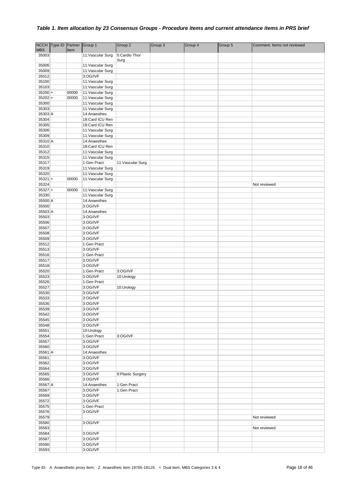|                    | NCCH Type ID Partner Group 1 |       |                                      | Group 2           | Group 3 | Group 4 | Group 5 | Comment. Items not reviewed |
|--------------------|------------------------------|-------|--------------------------------------|-------------------|---------|---------|---------|-----------------------------|
| <b>MBS</b>         |                              | Item  |                                      |                   |         |         |         |                             |
| 35003              |                              |       | 11: Vascular Surg                    | 5:Cardio Thor     |         |         |         |                             |
|                    |                              |       |                                      | Surg              |         |         |         |                             |
| 35006              |                              |       | 11: Vascular Surg                    |                   |         |         |         |                             |
| 35009<br>35012     |                              |       | 11: Vascular Surg<br>3:OG/IVF        |                   |         |         |         |                             |
| 35100              |                              |       | 11: Vascular Surg                    |                   |         |         |         |                             |
| 35103              |                              |       | 11: Vascular Surg                    |                   |         |         |         |                             |
| $35200 +$          |                              | 00000 | 11: Vascular Surg                    |                   |         |         |         |                             |
| $35202 +$          |                              | 00000 | 11: Vascular Surg                    |                   |         |         |         |                             |
| 35300              |                              |       | 11: Vascular Surg                    |                   |         |         |         |                             |
| 35303              |                              |       | 11:Vascular Surg                     |                   |         |         |         |                             |
| 35303 A            |                              |       | 14:Anaesthes                         |                   |         |         |         |                             |
| 35304              |                              |       | 18:Card ICU Ren                      |                   |         |         |         |                             |
| 35305              |                              |       | 18:Card ICU Ren                      |                   |         |         |         |                             |
| 35306              |                              |       | 11: Vascular Surg                    |                   |         |         |         |                             |
| 35309              |                              |       | 11: Vascular Surg                    |                   |         |         |         |                             |
| 35310 A            |                              |       | 14:Anaesthes                         |                   |         |         |         |                             |
| 35310              |                              |       | 18:Card ICU Ren                      |                   |         |         |         |                             |
| 35312              |                              |       | 11: Vascular Surg                    |                   |         |         |         |                             |
| 35315              |                              |       | 11: Vascular Surg                    |                   |         |         |         |                             |
| 35317              |                              |       | 1:Gen Pract                          | 11: Vascular Surg |         |         |         |                             |
| 35319              |                              |       | 11: Vascular Surg                    |                   |         |         |         |                             |
| 35320              |                              |       | 11: Vascular Surg                    |                   |         |         |         |                             |
| $35321 +$          |                              | 00000 | 11: Vascular Surg                    |                   |         |         |         |                             |
| 35324              |                              |       |                                      |                   |         |         |         | Not reviewed                |
| $35327 +$<br>35330 |                              | 00000 | 11:Vascular Surg<br>11:Vascular Surg |                   |         |         |         |                             |
| 35500 A            |                              |       | 14:Anaesthes                         |                   |         |         |         |                             |
| 35500              |                              |       | 3:OG/IVF                             |                   |         |         |         |                             |
| 35503 A            |                              |       | 14:Anaesthes                         |                   |         |         |         |                             |
| 35503              |                              |       | 3:OG/IVF                             |                   |         |         |         |                             |
| 35506              |                              |       | 3:OG/IVF                             |                   |         |         |         |                             |
| 35507              |                              |       | 3:OG/IVF                             |                   |         |         |         |                             |
| 35508              |                              |       | 3:OG/IVF                             |                   |         |         |         |                             |
| 35509              |                              |       | 3:OG/IVF                             |                   |         |         |         |                             |
| 35512              |                              |       | 1:Gen Pract                          |                   |         |         |         |                             |
| 35513              |                              |       | 3:OG/IVF                             |                   |         |         |         |                             |
| 35516              |                              |       | 1:Gen Pract                          |                   |         |         |         |                             |
| 35517              |                              |       | 3:OG/IVF                             |                   |         |         |         |                             |
| 35518              |                              |       | 3:OG/IVF                             |                   |         |         |         |                             |
| 35520              |                              |       | 1:Gen Pract                          | 3:OG/IVF          |         |         |         |                             |
| 35523              |                              |       | 3:OG/IVF                             | 10:Urology        |         |         |         |                             |
| 35526              |                              |       | 1:Gen Pract                          |                   |         |         |         |                             |
| 35527              |                              |       | 3:OG/IVF                             | 10:Urology        |         |         |         |                             |
| 35530              |                              |       | 3:OG/IVF                             |                   |         |         |         |                             |
| 35533              |                              |       | 3:OG/IVF                             |                   |         |         |         |                             |
| 35536              |                              |       | 3:OG/IVF                             |                   |         |         |         |                             |
| 35539              |                              |       | 3:OG/IVF                             |                   |         |         |         |                             |
| 35542              |                              |       | 3:OG/IVF                             |                   |         |         |         |                             |
| 35545              |                              |       | 3:OG/IVF                             |                   |         |         |         |                             |
| 35548              |                              |       | 3:OG/IVF                             |                   |         |         |         |                             |
| 35551              |                              |       | 10:Urology                           |                   |         |         |         |                             |
| 35554<br>35557     |                              |       | 1:Gen Pract<br>3:OG/IVF              | 3:OG/IVF          |         |         |         |                             |
| 35560              |                              |       | 3:OG/IVF                             |                   |         |         |         |                             |
| 35561 A            |                              |       | 14:Anaesthes                         |                   |         |         |         |                             |
| 35561              |                              |       | 3:OG/IVF                             |                   |         |         |         |                             |
| 35562              |                              |       | 3:OG/IVF                             |                   |         |         |         |                             |
| 35564              |                              |       | 3:OG/IVF                             |                   |         |         |         |                             |
| 35565              |                              |       | 3:OG/IVF                             | 9:Plastic Surgery |         |         |         |                             |
| 35566              |                              |       | 3:OG/IVF                             |                   |         |         |         |                             |
| 35567 A            |                              |       | 14:Anaesthes                         | 1:Gen Pract       |         |         |         |                             |
| 35567              |                              |       | 3:OG/IVF                             | 1:Gen Pract       |         |         |         |                             |
| 35569              |                              |       | 3:OG/IVF                             |                   |         |         |         |                             |
| 35572              |                              |       | 3:OG/IVF                             |                   |         |         |         |                             |
| 35575              |                              |       | 1:Gen Pract                          |                   |         |         |         |                             |
| 35576              |                              |       | 3:OG/IVF                             |                   |         |         |         |                             |
| 35579              |                              |       |                                      |                   |         |         |         | Not reviewed                |
| 35580              |                              |       | 3:OG/IVF                             |                   |         |         |         |                             |
| 35583              |                              |       |                                      |                   |         |         |         | Not reviewed                |
| 35584              |                              |       | 3:OG/IVF                             |                   |         |         |         |                             |
| 35587              |                              |       | 3:OG/IVF                             |                   |         |         |         |                             |
| 35590              |                              |       | 3:OG/IVF                             |                   |         |         |         |                             |
| 35593              |                              |       | 3:OG/IVF                             |                   |         |         |         |                             |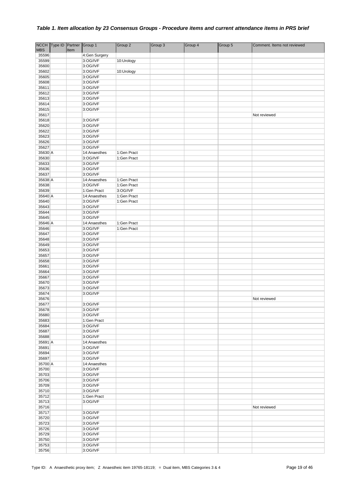|                | NCCH Type ID Partner Group 1 |      |                      | Group 2     | Group 3 | Group 4 | Group 5 | Comment. Items not reviewed |
|----------------|------------------------------|------|----------------------|-------------|---------|---------|---------|-----------------------------|
| <b>MBS</b>     |                              | Item |                      |             |         |         |         |                             |
| 35596          |                              |      | 4:Gen Surgery        |             |         |         |         |                             |
| 35599          |                              |      | 3:OG/IVF             | 10:Urology  |         |         |         |                             |
| 35600          |                              |      | 3:OG/IVF             |             |         |         |         |                             |
| 35602          |                              |      | 3:OG/IVF             | 10:Urology  |         |         |         |                             |
| 35605          |                              |      | 3:OG/IVF             |             |         |         |         |                             |
| 35608<br>35611 |                              |      | 3:OG/IVF<br>3:OG/IVF |             |         |         |         |                             |
| 35612          |                              |      | 3:OG/IVF             |             |         |         |         |                             |
| 35613          |                              |      | 3:OG/IVF             |             |         |         |         |                             |
| 35614          |                              |      | 3:OG/IVF             |             |         |         |         |                             |
| 35615          |                              |      | 3:OG/IVF             |             |         |         |         |                             |
| 35617          |                              |      |                      |             |         |         |         | Not reviewed                |
| 35618          |                              |      | 3:OG/IVF             |             |         |         |         |                             |
| 35620          |                              |      | 3:OG/IVF             |             |         |         |         |                             |
| 35622          |                              |      | 3:OG/IVF             |             |         |         |         |                             |
| 35623          |                              |      | 3:OG/IVF             |             |         |         |         |                             |
| 35626          |                              |      | 3:OG/IVF             |             |         |         |         |                             |
| 35627          |                              |      | 3:OG/IVF             |             |         |         |         |                             |
| 35630 A        |                              |      | 14:Anaesthes         | 1:Gen Pract |         |         |         |                             |
| 35630          |                              |      | 3:OG/IVF             | 1:Gen Pract |         |         |         |                             |
| 35633<br>35636 |                              |      | 3:OG/IVF<br>3:OG/IVF |             |         |         |         |                             |
| 35637          |                              |      | 3:OG/IVF             |             |         |         |         |                             |
| 35638 A        |                              |      | 14:Anaesthes         | 1:Gen Pract |         |         |         |                             |
| 35638          |                              |      | 3:OG/IVF             | 1:Gen Pract |         |         |         |                             |
| 35639          |                              |      | 1:Gen Pract          | 3:OG/IVF    |         |         |         |                             |
| 35640 A        |                              |      | 14:Anaesthes         | 1:Gen Pract |         |         |         |                             |
| 35640          |                              |      | 3:OG/IVF             | 1:Gen Pract |         |         |         |                             |
| 35643          |                              |      | 3:OG/IVF             |             |         |         |         |                             |
| 35644          |                              |      | 3:OG/IVF             |             |         |         |         |                             |
| 35645          |                              |      | 3:OG/IVF             |             |         |         |         |                             |
| 35646 A        |                              |      | 14:Anaesthes         | 1:Gen Pract |         |         |         |                             |
| 35646          |                              |      | 3:OG/IVF             | 1:Gen Pract |         |         |         |                             |
| 35647<br>35648 |                              |      | 3:OG/IVF<br>3:OG/IVF |             |         |         |         |                             |
| 35649          |                              |      | 3:OG/IVF             |             |         |         |         |                             |
| 35653          |                              |      | 3:OG/IVF             |             |         |         |         |                             |
| 35657          |                              |      | 3:OG/IVF             |             |         |         |         |                             |
| 35658          |                              |      | 3:OG/IVF             |             |         |         |         |                             |
| 35661          |                              |      | 3:OG/IVF             |             |         |         |         |                             |
| 35664          |                              |      | 3:OG/IVF             |             |         |         |         |                             |
| 35667          |                              |      | 3:OG/IVF             |             |         |         |         |                             |
| 35670          |                              |      | 3:OG/IVF             |             |         |         |         |                             |
| 35673          |                              |      | 3:OG/IVF             |             |         |         |         |                             |
| 35674          |                              |      | 3:OG/IVF             |             |         |         |         |                             |
| 35676          |                              |      |                      |             |         |         |         | Not reviewed                |
| 35677<br>35678 |                              |      | 3:OG/IVF<br>3:OG/IVF |             |         |         |         |                             |
| 35680          |                              |      | 3:OG/IVF             |             |         |         |         |                             |
| 35683          |                              |      | 1:Gen Pract          |             |         |         |         |                             |
| 35684          |                              |      | 3:OG/IVF             |             |         |         |         |                             |
| 35687          |                              |      | 3:OG/IVF             |             |         |         |         |                             |
| 35688          |                              |      | 3:OG/IVF             |             |         |         |         |                             |
| 35691 A        |                              |      | 14:Anaesthes         |             |         |         |         |                             |
| 35691          |                              |      | 3:OG/IVF             |             |         |         |         |                             |
| 35694          |                              |      | 3:OG/IVF             |             |         |         |         |                             |
| 35697          |                              |      | 3:OG/IVF             |             |         |         |         |                             |
| 35700 A        |                              |      | 14:Anaesthes         |             |         |         |         |                             |
| 35700          |                              |      | 3:OG/IVF             |             |         |         |         |                             |
| 35703<br>35706 |                              |      | 3:OG/IVF<br>3:OG/IVF |             |         |         |         |                             |
| 35709          |                              |      | 3:OG/IVF             |             |         |         |         |                             |
| 35710          |                              |      | 3:OG/IVF             |             |         |         |         |                             |
| 35712          |                              |      | 1:Gen Pract          |             |         |         |         |                             |
| 35713          |                              |      | 3:OG/IVF             |             |         |         |         |                             |
| 35716          |                              |      |                      |             |         |         |         | Not reviewed                |
| 35717          |                              |      | 3:OG/IVF             |             |         |         |         |                             |
| 35720          |                              |      | 3:OG/IVF             |             |         |         |         |                             |
| 35723          |                              |      | 3:OG/IVF             |             |         |         |         |                             |
| 35726          |                              |      | 3:OG/IVF             |             |         |         |         |                             |
| 35729          |                              |      | 3:OG/IVF             |             |         |         |         |                             |
| 35750          |                              |      | 3:OG/IVF             |             |         |         |         |                             |
| 35753          |                              |      | 3:OG/IVF             |             |         |         |         |                             |
| 35756          |                              |      | 3:OG/IVF             |             |         |         |         |                             |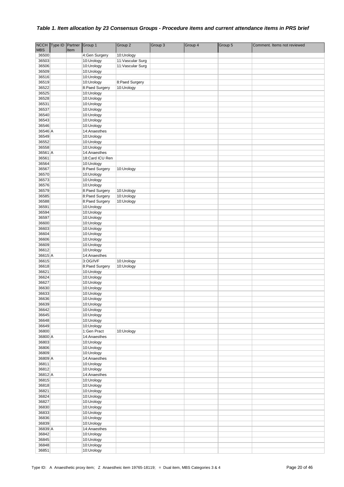|                  | NCCH Type ID Partner |      | Group 1                         | Group 2                      | Group 3 | Group 4 | Group 5 | Comment. Items not reviewed |
|------------------|----------------------|------|---------------------------------|------------------------------|---------|---------|---------|-----------------------------|
| <b>MBS</b>       |                      | Item |                                 |                              |         |         |         |                             |
| 36500            |                      |      | 4:Gen Surgery                   | 10:Urology                   |         |         |         |                             |
| 36503            |                      |      | 10:Urology                      | 11: Vascular Surg            |         |         |         |                             |
| 36506            |                      |      | 10:Urology                      | 11:Vascular Surg             |         |         |         |                             |
| 36509            |                      |      | 10:Urology                      |                              |         |         |         |                             |
| 36516<br>36519   |                      |      | 10:Urology                      |                              |         |         |         |                             |
| 36522            |                      |      | 10:Urology<br>8:Paed Surgery    | 8:Paed Surgery<br>10:Urology |         |         |         |                             |
| 36525            |                      |      | 10:Urology                      |                              |         |         |         |                             |
| 36528            |                      |      | 10:Urology                      |                              |         |         |         |                             |
| 36531            |                      |      | 10:Urology                      |                              |         |         |         |                             |
| 36537            |                      |      | 10:Urology                      |                              |         |         |         |                             |
| 36540            |                      |      | 10:Urology                      |                              |         |         |         |                             |
| 36543            |                      |      | 10:Urology                      |                              |         |         |         |                             |
| 36546            |                      |      | 10:Urology                      |                              |         |         |         |                             |
| 36546 A          |                      |      | 14:Anaesthes                    |                              |         |         |         |                             |
| 36549            |                      |      | 10:Urology                      |                              |         |         |         |                             |
| 36552            |                      |      | 10:Urology                      |                              |         |         |         |                             |
| 36558            |                      |      | 10:Urology                      |                              |         |         |         |                             |
| 36561 A          |                      |      | 14:Anaesthes<br>18:Card ICU Ren |                              |         |         |         |                             |
| 36561<br>36564   |                      |      | 10:Urology                      |                              |         |         |         |                             |
| 36567            |                      |      | 8:Paed Surgery                  | 10:Urology                   |         |         |         |                             |
| 36570            |                      |      | 10:Urology                      |                              |         |         |         |                             |
| 36573            |                      |      | 10:Urology                      |                              |         |         |         |                             |
| 36576            |                      |      | 10:Urology                      |                              |         |         |         |                             |
| 36579            |                      |      | 8:Paed Surgery                  | 10:Urology                   |         |         |         |                             |
| 36585            |                      |      | 8:Paed Surgery                  | 10:Urology                   |         |         |         |                             |
| 36588            |                      |      | 8:Paed Surgery                  | 10:Urology                   |         |         |         |                             |
| 36591            |                      |      | 10:Urology                      |                              |         |         |         |                             |
| 36594            |                      |      | 10:Urology                      |                              |         |         |         |                             |
| 36597            |                      |      | 10:Urology                      |                              |         |         |         |                             |
| 36600            |                      |      | 10:Urology                      |                              |         |         |         |                             |
| 36603            |                      |      | 10:Urology                      |                              |         |         |         |                             |
| 36604            |                      |      | 10:Urology                      |                              |         |         |         |                             |
| 36606<br>36609   |                      |      | 10:Urology<br>10:Urology        |                              |         |         |         |                             |
| 36612            |                      |      | 10:Urology                      |                              |         |         |         |                             |
| 36615 A          |                      |      | 14:Anaesthes                    |                              |         |         |         |                             |
| 36615            |                      |      | 3:OG/IVF                        | 10:Urology                   |         |         |         |                             |
| 36618            |                      |      | 8:Paed Surgery                  | 10:Urology                   |         |         |         |                             |
| 36621            |                      |      | 10:Urology                      |                              |         |         |         |                             |
| 36624            |                      |      | 10:Urology                      |                              |         |         |         |                             |
| 36627            |                      |      | 10:Urology                      |                              |         |         |         |                             |
| 36630            |                      |      | 10:Urology                      |                              |         |         |         |                             |
| 36633            |                      |      | 10:Urology                      |                              |         |         |         |                             |
| 36636            |                      |      | 10:Urology                      |                              |         |         |         |                             |
| 36639            |                      |      | 10:Urology                      |                              |         |         |         |                             |
| 36642<br>36645   |                      |      | 10:Urology<br>10:Urology        |                              |         |         |         |                             |
| 36648            |                      |      | 10:Urology                      |                              |         |         |         |                             |
| 36649            |                      |      | 10:Urology                      |                              |         |         |         |                             |
| 36800            |                      |      | 1:Gen Pract                     | 10:Urology                   |         |         |         |                             |
| 36800 A          |                      |      | 14:Anaesthes                    |                              |         |         |         |                             |
| 36803            |                      |      | 10:Urology                      |                              |         |         |         |                             |
| 36806            |                      |      | 10:Urology                      |                              |         |         |         |                             |
| 36809            |                      |      | 10:Urology                      |                              |         |         |         |                             |
| 36809 A          |                      |      | 14:Anaesthes                    |                              |         |         |         |                             |
| 36811            |                      |      | 10:Urology                      |                              |         |         |         |                             |
| 36812            |                      |      | 10:Urology                      |                              |         |         |         |                             |
| 36812 A<br>36815 |                      |      | 14:Anaesthes<br>10:Urology      |                              |         |         |         |                             |
| 36818            |                      |      | 10:Urology                      |                              |         |         |         |                             |
| 36821            |                      |      | 10:Urology                      |                              |         |         |         |                             |
| 36824            |                      |      | 10:Urology                      |                              |         |         |         |                             |
| 36827            |                      |      | 10:Urology                      |                              |         |         |         |                             |
| 36830            |                      |      | 10:Urology                      |                              |         |         |         |                             |
| 36833            |                      |      | 10:Urology                      |                              |         |         |         |                             |
| 36836            |                      |      | 10:Urology                      |                              |         |         |         |                             |
| 36839            |                      |      | 10:Urology                      |                              |         |         |         |                             |
| 36839 A          |                      |      | 14:Anaesthes                    |                              |         |         |         |                             |
| 36842            |                      |      | 10:Urology                      |                              |         |         |         |                             |
| 36845            |                      |      | 10:Urology                      |                              |         |         |         |                             |
| 36848            |                      |      | 10:Urology                      |                              |         |         |         |                             |
| 36851            |                      |      | 10:Urology                      |                              |         |         |         |                             |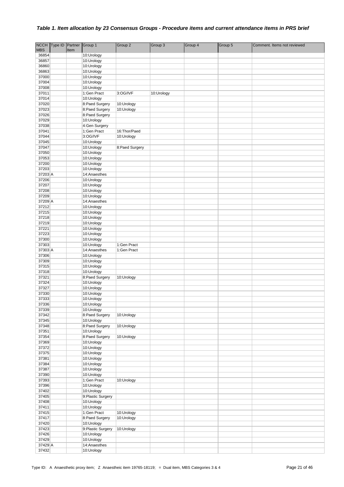|                | NCCH Type ID Partner |      | Group 1                         | Group 2        | Group 3    | Group 4 | Group 5 | Comment. Items not reviewed |
|----------------|----------------------|------|---------------------------------|----------------|------------|---------|---------|-----------------------------|
| <b>MBS</b>     |                      | Item |                                 |                |            |         |         |                             |
| 36854          |                      |      | 10:Urology                      |                |            |         |         |                             |
| 36857          |                      |      | 10:Urology                      |                |            |         |         |                             |
| 36860<br>36863 |                      |      | 10:Urology                      |                |            |         |         |                             |
| 37000          |                      |      | 10:Urology<br>10:Urology        |                |            |         |         |                             |
| 37004          |                      |      | 10:Urology                      |                |            |         |         |                             |
| 37008          |                      |      | 10:Urology                      |                |            |         |         |                             |
| 37011          |                      |      | 1:Gen Pract                     | 3:OG/IVF       | 10:Urology |         |         |                             |
| 37014          |                      |      | 10:Urology                      |                |            |         |         |                             |
| 37020          |                      |      | 8:Paed Surgery                  | 10:Urology     |            |         |         |                             |
| 37023          |                      |      | 8:Paed Surgery                  | 10:Urology     |            |         |         |                             |
| 37026          |                      |      | 8:Paed Surgery                  |                |            |         |         |                             |
| 37029          |                      |      | 10:Urology                      |                |            |         |         |                             |
| 37038          |                      |      | 4:Gen Surgery                   |                |            |         |         |                             |
| 37041          |                      |      | 1:Gen Pract                     | 16:Thor/Paed   |            |         |         |                             |
| 37044<br>37045 |                      |      | 3:OG/IVF                        | 10:Urology     |            |         |         |                             |
| 37047          |                      |      | 10:Urology<br>10:Urology        | 8:Paed Surgery |            |         |         |                             |
| 37050          |                      |      | 10:Urology                      |                |            |         |         |                             |
| 37053          |                      |      | 10:Urology                      |                |            |         |         |                             |
| 37200          |                      |      | 10:Urology                      |                |            |         |         |                             |
| 37203          |                      |      | 10:Urology                      |                |            |         |         |                             |
| 37203 A        |                      |      | 14:Anaesthes                    |                |            |         |         |                             |
| 37206          |                      |      | 10:Urology                      |                |            |         |         |                             |
| 37207          |                      |      | 10:Urology                      |                |            |         |         |                             |
| 37208          |                      |      | 10:Urology                      |                |            |         |         |                             |
| 37209          |                      |      | 10:Urology                      |                |            |         |         |                             |
| 37209 A        |                      |      | 14:Anaesthes                    |                |            |         |         |                             |
| 37212<br>37215 |                      |      | 10:Urology<br>10:Urology        |                |            |         |         |                             |
| 37218          |                      |      | 10:Urology                      |                |            |         |         |                             |
| 37219          |                      |      | 10:Urology                      |                |            |         |         |                             |
| 37221          |                      |      | 10:Urology                      |                |            |         |         |                             |
| 37223          |                      |      | 10:Urology                      |                |            |         |         |                             |
| 37300          |                      |      | 10:Urology                      |                |            |         |         |                             |
| 37303          |                      |      | 10:Urology                      | 1:Gen Pract    |            |         |         |                             |
| 37303 A        |                      |      | 14:Anaesthes                    | 1:Gen Pract    |            |         |         |                             |
| 37306          |                      |      | 10:Urology                      |                |            |         |         |                             |
| 37309          |                      |      | 10:Urology                      |                |            |         |         |                             |
| 37315          |                      |      | 10:Urology                      |                |            |         |         |                             |
| 37318<br>37321 |                      |      | 10:Urology<br>8:Paed Surgery    | 10:Urology     |            |         |         |                             |
| 37324          |                      |      | 10:Urology                      |                |            |         |         |                             |
| 37327          |                      |      | 10:Urology                      |                |            |         |         |                             |
| 37330          |                      |      | 10:Urology                      |                |            |         |         |                             |
| 37333          |                      |      | 10:Urology                      |                |            |         |         |                             |
| 37336          |                      |      | 10:Urology                      |                |            |         |         |                             |
| 37339          |                      |      | 10:Urology                      |                |            |         |         |                             |
| 37342          |                      |      | 8:Paed Surgery                  | 10:Urology     |            |         |         |                             |
| 37345          |                      |      | 10:Urology                      |                |            |         |         |                             |
| 37348          |                      |      | 8:Paed Surgery                  | 10:Urology     |            |         |         |                             |
| 37351<br>37354 |                      |      | 10:Urology<br>8:Paed Surgery    |                |            |         |         |                             |
| 37369          |                      |      | 10:Urology                      | 10:Urology     |            |         |         |                             |
| 37372          |                      |      | 10:Urology                      |                |            |         |         |                             |
| 37375          |                      |      | 10:Urology                      |                |            |         |         |                             |
| 37381          |                      |      | 10:Urology                      |                |            |         |         |                             |
| 37384          |                      |      | 10:Urology                      |                |            |         |         |                             |
| 37387          |                      |      | 10:Urology                      |                |            |         |         |                             |
| 37390          |                      |      | 10:Urology                      |                |            |         |         |                             |
| 37393          |                      |      | 1:Gen Pract                     | 10:Urology     |            |         |         |                             |
| 37396          |                      |      | 10:Urology                      |                |            |         |         |                             |
| 37402          |                      |      | 10:Urology                      |                |            |         |         |                             |
| 37405<br>37408 |                      |      | 9:Plastic Surgery<br>10:Urology |                |            |         |         |                             |
| 37411          |                      |      | 10:Urology                      |                |            |         |         |                             |
| 37415          |                      |      | 1:Gen Pract                     | 10:Urology     |            |         |         |                             |
| 37417          |                      |      | 8:Paed Surgery                  | 10:Urology     |            |         |         |                             |
| 37420          |                      |      | 10:Urology                      |                |            |         |         |                             |
| 37423          |                      |      | 9:Plastic Surgery               | 10:Urology     |            |         |         |                             |
| 37426          |                      |      | 10:Urology                      |                |            |         |         |                             |
| 37429          |                      |      | 10:Urology                      |                |            |         |         |                             |
| 37429 A        |                      |      | 14:Anaesthes                    |                |            |         |         |                             |
| 37432          |                      |      | 10:Urology                      |                |            |         |         |                             |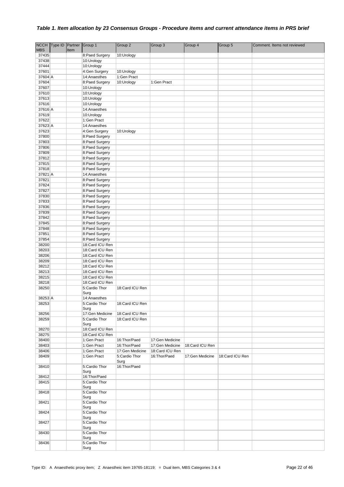|                | NCCH Type ID Partner Group 1 |      |                                    | Group 2                      | Group 3         | Group 4         | Group 5         | Comment. Items not reviewed |
|----------------|------------------------------|------|------------------------------------|------------------------------|-----------------|-----------------|-----------------|-----------------------------|
| <b>MBS</b>     |                              | Item |                                    |                              |                 |                 |                 |                             |
| 37435<br>37438 |                              |      | 8:Paed Surgery<br>10:Urology       | 10:Urology                   |                 |                 |                 |                             |
| 37444          |                              |      | 10:Urology                         |                              |                 |                 |                 |                             |
| 37601          |                              |      | 4:Gen Surgery                      | 10:Urology                   |                 |                 |                 |                             |
| 37604 A        |                              |      | 14:Anaesthes                       | 1:Gen Pract                  |                 |                 |                 |                             |
| 37604          |                              |      | 8:Paed Surgery                     | 10:Urology                   | 1:Gen Pract     |                 |                 |                             |
| 37607          |                              |      | 10:Urology                         |                              |                 |                 |                 |                             |
| 37610          |                              |      | 10:Urology                         |                              |                 |                 |                 |                             |
| 37613<br>37616 |                              |      | 10:Urology<br>10:Urology           |                              |                 |                 |                 |                             |
| 37616 A        |                              |      | 14:Anaesthes                       |                              |                 |                 |                 |                             |
| 37619          |                              |      | 10:Urology                         |                              |                 |                 |                 |                             |
| 37622          |                              |      | 1:Gen Pract                        |                              |                 |                 |                 |                             |
| 37623 A        |                              |      | 14:Anaesthes                       |                              |                 |                 |                 |                             |
| 37623          |                              |      | 4:Gen Surgery                      | 10:Urology                   |                 |                 |                 |                             |
| 37800          |                              |      | 8:Paed Surgery                     |                              |                 |                 |                 |                             |
| 37803<br>37806 |                              |      | 8:Paed Surgery<br>8:Paed Surgery   |                              |                 |                 |                 |                             |
| 37809          |                              |      | 8:Paed Surgery                     |                              |                 |                 |                 |                             |
| 37812          |                              |      | 8:Paed Surgery                     |                              |                 |                 |                 |                             |
| 37815          |                              |      | 8:Paed Surgery                     |                              |                 |                 |                 |                             |
| 37818          |                              |      | 8:Paed Surgery                     |                              |                 |                 |                 |                             |
| 37821 A        |                              |      | 14:Anaesthes                       |                              |                 |                 |                 |                             |
| 37821          |                              |      | 8:Paed Surgery                     |                              |                 |                 |                 |                             |
| 37824<br>37827 |                              |      | 8:Paed Surgery                     |                              |                 |                 |                 |                             |
| 37830          |                              |      | 8:Paed Surgery<br>8:Paed Surgery   |                              |                 |                 |                 |                             |
| 37833          |                              |      | 8:Paed Surgery                     |                              |                 |                 |                 |                             |
| 37836          |                              |      | 8:Paed Surgery                     |                              |                 |                 |                 |                             |
| 37839          |                              |      | 8:Paed Surgery                     |                              |                 |                 |                 |                             |
| 37842          |                              |      | 8:Paed Surgery                     |                              |                 |                 |                 |                             |
| 37845          |                              |      | 8:Paed Surgery                     |                              |                 |                 |                 |                             |
| 37848<br>37851 |                              |      | 8:Paed Surgery                     |                              |                 |                 |                 |                             |
| 37854          |                              |      | 8:Paed Surgery<br>8:Paed Surgery   |                              |                 |                 |                 |                             |
| 38200          |                              |      | 18:Card ICU Ren                    |                              |                 |                 |                 |                             |
| 38203          |                              |      | 18:Card ICU Ren                    |                              |                 |                 |                 |                             |
| 38206          |                              |      | 18:Card ICU Ren                    |                              |                 |                 |                 |                             |
| 38209          |                              |      | 18:Card ICU Ren                    |                              |                 |                 |                 |                             |
| 38212          |                              |      | 18:Card ICU Ren                    |                              |                 |                 |                 |                             |
| 38213<br>38215 |                              |      | 18:Card ICU Ren<br>18:Card ICU Ren |                              |                 |                 |                 |                             |
| 38218          |                              |      | 18:Card ICU Ren                    |                              |                 |                 |                 |                             |
| 38250          |                              |      | 5:Cardio Thor                      | 18:Card ICU Ren              |                 |                 |                 |                             |
|                |                              |      | Surg                               |                              |                 |                 |                 |                             |
| 38253 A        |                              |      | 14:Anaesthes                       |                              |                 |                 |                 |                             |
| 38253          |                              |      | 5:Cardio Thor                      | 18:Card ICU Ren              |                 |                 |                 |                             |
| 38256          |                              |      | Surg<br>17:Gen Medicine            | 18:Card ICU Ren              |                 |                 |                 |                             |
| 38259          |                              |      | 5:Cardio Thor                      | 18:Card ICU Ren              |                 |                 |                 |                             |
|                |                              |      | Surg                               |                              |                 |                 |                 |                             |
| 38270          |                              |      | 18:Card ICU Ren                    |                              |                 |                 |                 |                             |
| 38275          |                              |      | 18:Card ICU Ren                    |                              | 17:Gen Medicine |                 |                 |                             |
| 38400<br>38403 |                              |      | 1:Gen Pract<br>1:Gen Pract         | 16:Thor/Paed<br>16:Thor/Paed | 17:Gen Medicine | 18:Card ICU Ren |                 |                             |
| 38406          |                              |      | 1:Gen Pract                        | 17:Gen Medicine              | 18:Card ICU Ren |                 |                 |                             |
| 38409          |                              |      | 1:Gen Pract                        | 5:Cardio Thor                | 16: Thor/Paed   | 17:Gen Medicine | 18:Card ICU Ren |                             |
|                |                              |      |                                    | Surg                         |                 |                 |                 |                             |
| 38410          |                              |      | 5:Cardio Thor                      | 16:Thor/Paed                 |                 |                 |                 |                             |
| 38412          |                              |      | Surg<br>16: Thor/Paed              |                              |                 |                 |                 |                             |
| 38415          |                              |      | 5:Cardio Thor                      |                              |                 |                 |                 |                             |
|                |                              |      | Surg                               |                              |                 |                 |                 |                             |
| 38418          |                              |      | 5:Cardio Thor<br>Surg              |                              |                 |                 |                 |                             |
| 38421          |                              |      | 5:Cardio Thor<br>Surg              |                              |                 |                 |                 |                             |
| 38424          |                              |      | 5:Cardio Thor<br>Surg              |                              |                 |                 |                 |                             |
| 38427          |                              |      | 5:Cardio Thor<br>Surg              |                              |                 |                 |                 |                             |
| 38430          |                              |      | 5:Cardio Thor                      |                              |                 |                 |                 |                             |
| 38436          |                              |      | Surg<br>5:Cardio Thor              |                              |                 |                 |                 |                             |
|                |                              |      | Surg                               |                              |                 |                 |                 |                             |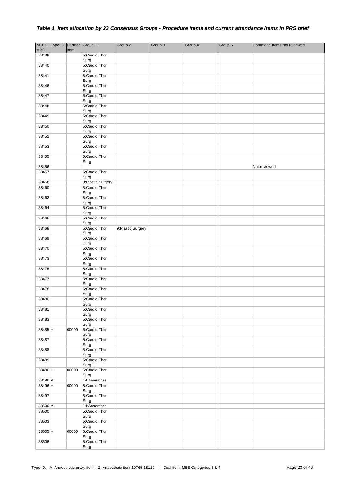|            | NCCH Type ID Partner Group 1 |       |                       | Group 2           | Group 3 | Group 4 | Group 5 | Comment. Items not reviewed |
|------------|------------------------------|-------|-----------------------|-------------------|---------|---------|---------|-----------------------------|
| <b>MBS</b> |                              | Item  |                       |                   |         |         |         |                             |
| 38438      |                              |       | 5:Cardio Thor         |                   |         |         |         |                             |
| 38440      |                              |       | Surg<br>5:Cardio Thor |                   |         |         |         |                             |
|            |                              |       | Surg                  |                   |         |         |         |                             |
| 38441      |                              |       | 5:Cardio Thor         |                   |         |         |         |                             |
|            |                              |       | Surg                  |                   |         |         |         |                             |
| 38446      |                              |       | 5:Cardio Thor         |                   |         |         |         |                             |
|            |                              |       | Surg                  |                   |         |         |         |                             |
| 38447      |                              |       | 5:Cardio Thor<br>Surg |                   |         |         |         |                             |
| 38448      |                              |       | 5:Cardio Thor         |                   |         |         |         |                             |
|            |                              |       | Surg                  |                   |         |         |         |                             |
| 38449      |                              |       | 5:Cardio Thor         |                   |         |         |         |                             |
|            |                              |       | Surg                  |                   |         |         |         |                             |
| 38450      |                              |       | 5:Cardio Thor<br>Surg |                   |         |         |         |                             |
| 38452      |                              |       | 5:Cardio Thor         |                   |         |         |         |                             |
|            |                              |       | Surg                  |                   |         |         |         |                             |
| 38453      |                              |       | 5:Cardio Thor         |                   |         |         |         |                             |
|            |                              |       | Surg                  |                   |         |         |         |                             |
| 38455      |                              |       | 5:Cardio Thor         |                   |         |         |         |                             |
| 38456      |                              |       | Surg                  |                   |         |         |         | Not reviewed                |
| 38457      |                              |       | 5:Cardio Thor         |                   |         |         |         |                             |
|            |                              |       | Surg                  |                   |         |         |         |                             |
| 38458      |                              |       | 9: Plastic Surgery    |                   |         |         |         |                             |
| 38460      |                              |       | 5:Cardio Thor         |                   |         |         |         |                             |
|            |                              |       | Surg                  |                   |         |         |         |                             |
| 38462      |                              |       | 5:Cardio Thor<br>Surg |                   |         |         |         |                             |
| 38464      |                              |       | 5:Cardio Thor         |                   |         |         |         |                             |
|            |                              |       | Surg                  |                   |         |         |         |                             |
| 38466      |                              |       | 5:Cardio Thor         |                   |         |         |         |                             |
|            |                              |       | Surg                  |                   |         |         |         |                             |
| 38468      |                              |       | 5:Cardio Thor         | 9:Plastic Surgery |         |         |         |                             |
| 38469      |                              |       | Surg<br>5:Cardio Thor |                   |         |         |         |                             |
|            |                              |       | Surg                  |                   |         |         |         |                             |
| 38470      |                              |       | 5:Cardio Thor         |                   |         |         |         |                             |
|            |                              |       | Surg                  |                   |         |         |         |                             |
| 38473      |                              |       | 5:Cardio Thor         |                   |         |         |         |                             |
| 38475      |                              |       | Surg<br>5:Cardio Thor |                   |         |         |         |                             |
|            |                              |       | Surg                  |                   |         |         |         |                             |
| 38477      |                              |       | 5:Cardio Thor         |                   |         |         |         |                             |
|            |                              |       | Surg                  |                   |         |         |         |                             |
| 38478      |                              |       | 5:Cardio Thor         |                   |         |         |         |                             |
| 38480      |                              |       | Surg<br>5:Cardio Thor |                   |         |         |         |                             |
|            |                              |       | Surg                  |                   |         |         |         |                             |
| 38481      |                              |       | 5:Cardio Thor         |                   |         |         |         |                             |
|            |                              |       | Surg                  |                   |         |         |         |                             |
| 38483      |                              |       | 5:Cardio Thor         |                   |         |         |         |                             |
| $38485 +$  |                              | 00000 | Surg<br>5:Cardio Thor |                   |         |         |         |                             |
|            |                              |       | Surg                  |                   |         |         |         |                             |
| 38487      |                              |       | 5:Cardio Thor         |                   |         |         |         |                             |
|            |                              |       | Surg                  |                   |         |         |         |                             |
| 38488      |                              |       | 5:Cardio Thor         |                   |         |         |         |                             |
| 38489      |                              |       | Surg<br>5:Cardio Thor |                   |         |         |         |                             |
|            |                              |       | Surg                  |                   |         |         |         |                             |
| $38490 +$  |                              | 00000 | 5:Cardio Thor         |                   |         |         |         |                             |
|            |                              |       | Surg                  |                   |         |         |         |                             |
| 38496 A    |                              |       | 14:Anaesthes          |                   |         |         |         |                             |
| $38496 +$  |                              | 00000 | 5:Cardio Thor         |                   |         |         |         |                             |
| 38497      |                              |       | Surg<br>5:Cardio Thor |                   |         |         |         |                             |
|            |                              |       | Surg                  |                   |         |         |         |                             |
| 38500 A    |                              |       | 14:Anaesthes          |                   |         |         |         |                             |
| 38500      |                              |       | 5:Cardio Thor         |                   |         |         |         |                             |
|            |                              |       | Surg                  |                   |         |         |         |                             |
| 38503      |                              |       | 5:Cardio Thor         |                   |         |         |         |                             |
| $38505 +$  |                              | 00000 | Surg<br>5:Cardio Thor |                   |         |         |         |                             |
|            |                              |       | Surg                  |                   |         |         |         |                             |
| 38506      |                              |       | 5:Cardio Thor         |                   |         |         |         |                             |
|            |                              |       | Surg                  |                   |         |         |         |                             |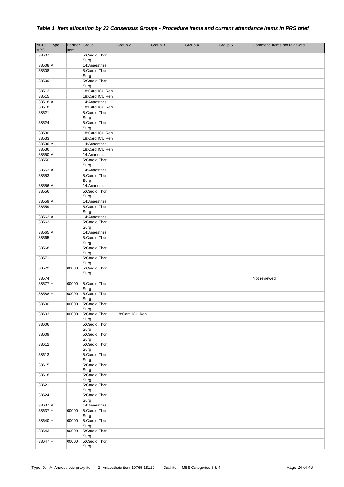|            | NCCH Type ID Partner Group 1 |       |                                 | Group 2         | Group 3 | Group 4 | Group 5 | Comment. Items not reviewed |
|------------|------------------------------|-------|---------------------------------|-----------------|---------|---------|---------|-----------------------------|
| <b>MBS</b> |                              | Item  |                                 |                 |         |         |         |                             |
| 38507      |                              |       | 5:Cardio Thor                   |                 |         |         |         |                             |
|            |                              |       | Surg                            |                 |         |         |         |                             |
| 38508 A    |                              |       | 14:Anaesthes                    |                 |         |         |         |                             |
| 38508      |                              |       | 5:Cardio Thor                   |                 |         |         |         |                             |
|            |                              |       | Surg                            |                 |         |         |         |                             |
| 38509      |                              |       | 5:Cardio Thor                   |                 |         |         |         |                             |
|            |                              |       | Surg                            |                 |         |         |         |                             |
| 38512      |                              |       | 18:Card ICU Ren                 |                 |         |         |         |                             |
| 38515      |                              |       | 18:Card ICU Ren                 |                 |         |         |         |                             |
|            |                              |       |                                 |                 |         |         |         |                             |
| 38518 A    |                              |       | 14:Anaesthes<br>18:Card ICU Ren |                 |         |         |         |                             |
| 38518      |                              |       |                                 |                 |         |         |         |                             |
| 38521      |                              |       | 5:Cardio Thor                   |                 |         |         |         |                             |
|            |                              |       | Surg                            |                 |         |         |         |                             |
| 38524      |                              |       | 5:Cardio Thor                   |                 |         |         |         |                             |
|            |                              |       | Surg                            |                 |         |         |         |                             |
| 38530      |                              |       | 18:Card ICU Ren                 |                 |         |         |         |                             |
| 38533      |                              |       | 18:Card ICU Ren                 |                 |         |         |         |                             |
| 38536 A    |                              |       | 14:Anaesthes                    |                 |         |         |         |                             |
| 38536      |                              |       | 18:Card ICU Ren                 |                 |         |         |         |                             |
| 38550 A    |                              |       | 14:Anaesthes                    |                 |         |         |         |                             |
| 38550      |                              |       | 5:Cardio Thor                   |                 |         |         |         |                             |
|            |                              |       | Surg                            |                 |         |         |         |                             |
| 38553 A    |                              |       | 14:Anaesthes                    |                 |         |         |         |                             |
| 38553      |                              |       | 5:Cardio Thor                   |                 |         |         |         |                             |
|            |                              |       | Surg                            |                 |         |         |         |                             |
| 38556 A    |                              |       | 14:Anaesthes                    |                 |         |         |         |                             |
| 38556      |                              |       | 5:Cardio Thor                   |                 |         |         |         |                             |
|            |                              |       | Surg                            |                 |         |         |         |                             |
| 38559 A    |                              |       | 14:Anaesthes                    |                 |         |         |         |                             |
| 38559      |                              |       | 5:Cardio Thor                   |                 |         |         |         |                             |
|            |                              |       | Surg                            |                 |         |         |         |                             |
| 38562 A    |                              |       | 14:Anaesthes                    |                 |         |         |         |                             |
| 38562      |                              |       | 5:Cardio Thor                   |                 |         |         |         |                             |
|            |                              |       | Surg                            |                 |         |         |         |                             |
| 38565 A    |                              |       | 14:Anaesthes                    |                 |         |         |         |                             |
| 38565      |                              |       | 5:Cardio Thor                   |                 |         |         |         |                             |
|            |                              |       | Surg                            |                 |         |         |         |                             |
| 38568      |                              |       | 5:Cardio Thor                   |                 |         |         |         |                             |
|            |                              |       | Surg                            |                 |         |         |         |                             |
| 38571      |                              |       | 5:Cardio Thor                   |                 |         |         |         |                             |
| $38572+$   |                              | 00000 | Surg<br>5:Cardio Thor           |                 |         |         |         |                             |
|            |                              |       | Surg                            |                 |         |         |         |                             |
| 38574      |                              |       |                                 |                 |         |         |         | Not reviewed                |
| $38577 +$  |                              | 00000 | 5:Cardio Thor                   |                 |         |         |         |                             |
|            |                              |       | Surg                            |                 |         |         |         |                             |
| $38588 +$  |                              | 00000 | 5:Cardio Thor                   |                 |         |         |         |                             |
|            |                              |       | Surg                            |                 |         |         |         |                             |
| $38600 +$  |                              | 00000 | 5:Cardio Thor                   |                 |         |         |         |                             |
|            |                              |       | Surg                            |                 |         |         |         |                             |
| $38603 +$  |                              | 00000 | 5:Cardio Thor                   | 18:Card ICU Ren |         |         |         |                             |
|            |                              |       | Surg                            |                 |         |         |         |                             |
| 38606      |                              |       | 5:Cardio Thor                   |                 |         |         |         |                             |
|            |                              |       | Surg                            |                 |         |         |         |                             |
| 38609      |                              |       | 5:Cardio Thor                   |                 |         |         |         |                             |
|            |                              |       | Surg                            |                 |         |         |         |                             |
| 38612      |                              |       | 5:Cardio Thor                   |                 |         |         |         |                             |
|            |                              |       | Surg                            |                 |         |         |         |                             |
| 38613      |                              |       | 5:Cardio Thor                   |                 |         |         |         |                             |
|            |                              |       | Surg                            |                 |         |         |         |                             |
| 38615      |                              |       | 5:Cardio Thor<br>Surg           |                 |         |         |         |                             |
| 38618      |                              |       | 5:Cardio Thor                   |                 |         |         |         |                             |
|            |                              |       | Surg                            |                 |         |         |         |                             |
| 38621      |                              |       | 5:Cardio Thor                   |                 |         |         |         |                             |
|            |                              |       | Surg                            |                 |         |         |         |                             |
| 38624      |                              |       | 5:Cardio Thor                   |                 |         |         |         |                             |
|            |                              |       | Surg                            |                 |         |         |         |                             |
| 38637 A    |                              |       | 14:Anaesthes                    |                 |         |         |         |                             |
| $38637 +$  |                              | 00000 | 5:Cardio Thor                   |                 |         |         |         |                             |
|            |                              |       | Surg                            |                 |         |         |         |                             |
| $38640 +$  |                              | 00000 | 5:Cardio Thor                   |                 |         |         |         |                             |
|            |                              |       | Surg                            |                 |         |         |         |                             |
| $38643+$   |                              | 00000 | 5:Cardio Thor                   |                 |         |         |         |                             |
|            |                              |       | Surg                            |                 |         |         |         |                             |
| $38647 +$  |                              | 00000 | 5:Cardio Thor                   |                 |         |         |         |                             |
|            |                              |       | Surg                            |                 |         |         |         |                             |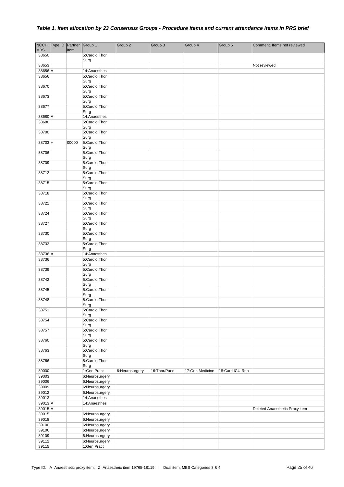|                  | NCCH Type ID Partner Group 1 |       |                                  | Group 2        | Group 3      | Group 4         | Group 5         | Comment. Items not reviewed    |
|------------------|------------------------------|-------|----------------------------------|----------------|--------------|-----------------|-----------------|--------------------------------|
| <b>MBS</b>       |                              | Item  |                                  |                |              |                 |                 |                                |
| 38650            |                              |       | 5:Cardio Thor                    |                |              |                 |                 |                                |
|                  |                              |       | Surg                             |                |              |                 |                 |                                |
| 38653            |                              |       |                                  |                |              |                 |                 | Not reviewed                   |
| 38656 A<br>38656 |                              |       | 14:Anaesthes<br>5:Cardio Thor    |                |              |                 |                 |                                |
|                  |                              |       | Surg                             |                |              |                 |                 |                                |
| 38670            |                              |       | 5:Cardio Thor                    |                |              |                 |                 |                                |
|                  |                              |       | Surg                             |                |              |                 |                 |                                |
| 38673            |                              |       | 5:Cardio Thor                    |                |              |                 |                 |                                |
|                  |                              |       | Surg                             |                |              |                 |                 |                                |
| 38677            |                              |       | 5:Cardio Thor<br>Surg            |                |              |                 |                 |                                |
| 38680 A          |                              |       | 14:Anaesthes                     |                |              |                 |                 |                                |
| 38680            |                              |       | 5:Cardio Thor                    |                |              |                 |                 |                                |
|                  |                              |       | Surg                             |                |              |                 |                 |                                |
| 38700            |                              |       | 5:Cardio Thor                    |                |              |                 |                 |                                |
|                  |                              |       | Surg                             |                |              |                 |                 |                                |
| $38703 +$        |                              | 00000 | 5:Cardio Thor<br>Surg            |                |              |                 |                 |                                |
| 38706            |                              |       | 5:Cardio Thor                    |                |              |                 |                 |                                |
|                  |                              |       | Surg                             |                |              |                 |                 |                                |
| 38709            |                              |       | 5:Cardio Thor                    |                |              |                 |                 |                                |
|                  |                              |       | Surg                             |                |              |                 |                 |                                |
| 38712            |                              |       | 5:Cardio Thor                    |                |              |                 |                 |                                |
| 38715            |                              |       | Surg<br>5:Cardio Thor            |                |              |                 |                 |                                |
|                  |                              |       | Surg                             |                |              |                 |                 |                                |
| 38718            |                              |       | 5:Cardio Thor                    |                |              |                 |                 |                                |
|                  |                              |       | Surg                             |                |              |                 |                 |                                |
| 38721            |                              |       | 5:Cardio Thor                    |                |              |                 |                 |                                |
| 38724            |                              |       | Surg<br>5:Cardio Thor            |                |              |                 |                 |                                |
|                  |                              |       | Surg                             |                |              |                 |                 |                                |
| 38727            |                              |       | 5:Cardio Thor                    |                |              |                 |                 |                                |
|                  |                              |       | Surg                             |                |              |                 |                 |                                |
| 38730            |                              |       | 5:Cardio Thor<br>Surg            |                |              |                 |                 |                                |
| 38733            |                              |       | 5:Cardio Thor                    |                |              |                 |                 |                                |
|                  |                              |       | Surg                             |                |              |                 |                 |                                |
| 38736 A          |                              |       | 14:Anaesthes                     |                |              |                 |                 |                                |
| 38736            |                              |       | 5:Cardio Thor                    |                |              |                 |                 |                                |
| 38739            |                              |       | Surg<br>5:Cardio Thor            |                |              |                 |                 |                                |
|                  |                              |       | Surg                             |                |              |                 |                 |                                |
| 38742            |                              |       | 5:Cardio Thor                    |                |              |                 |                 |                                |
|                  |                              |       | Surg                             |                |              |                 |                 |                                |
| 38745            |                              |       | 5:Cardio Thor                    |                |              |                 |                 |                                |
| 38748            |                              |       | Surg<br>5:Cardio Thor            |                |              |                 |                 |                                |
|                  |                              |       | Surg                             |                |              |                 |                 |                                |
| 38751            |                              |       | 5:Cardio Thor                    |                |              |                 |                 |                                |
|                  |                              |       | Surg                             |                |              |                 |                 |                                |
| 38754            |                              |       | 5:Cardio Thor<br>Surg            |                |              |                 |                 |                                |
| 38757            |                              |       | 5:Cardio Thor                    |                |              |                 |                 |                                |
|                  |                              |       | Surg                             |                |              |                 |                 |                                |
| 38760            |                              |       | 5:Cardio Thor                    |                |              |                 |                 |                                |
| 38763            |                              |       | Surg<br>5:Cardio Thor            |                |              |                 |                 |                                |
|                  |                              |       | Surg                             |                |              |                 |                 |                                |
| 38766            |                              |       | 5:Cardio Thor                    |                |              |                 |                 |                                |
|                  |                              |       | Surg                             |                |              |                 |                 |                                |
| 39000            |                              |       | 1:Gen Pract                      | 6:Neurosurgery | 16:Thor/Paed | 17:Gen Medicine | 18:Card ICU Ren |                                |
| 39003<br>39006   |                              |       | 6:Neurosurgery<br>6:Neurosurgery |                |              |                 |                 |                                |
| 39009            |                              |       | 6:Neurosurgery                   |                |              |                 |                 |                                |
| 39012            |                              |       | 6:Neurosurgery                   |                |              |                 |                 |                                |
| 39013            |                              |       | 14:Anaesthes                     |                |              |                 |                 |                                |
| 39013 A          |                              |       | 14:Anaesthes                     |                |              |                 |                 |                                |
| 39015 A          |                              |       |                                  |                |              |                 |                 | Deleted Anaesthetic Proxy item |
| 39015            |                              |       | 6:Neurosurgery                   |                |              |                 |                 |                                |
| 39018<br>39100   |                              |       | 6:Neurosurgery                   |                |              |                 |                 |                                |
| 39106            |                              |       | 6:Neurosurgery<br>6:Neurosurgery |                |              |                 |                 |                                |
| 39109            |                              |       | 6:Neurosurgery                   |                |              |                 |                 |                                |
| 39112            |                              |       | 6:Neurosurgery                   |                |              |                 |                 |                                |
| 39115            |                              |       | 1:Gen Pract                      |                |              |                 |                 |                                |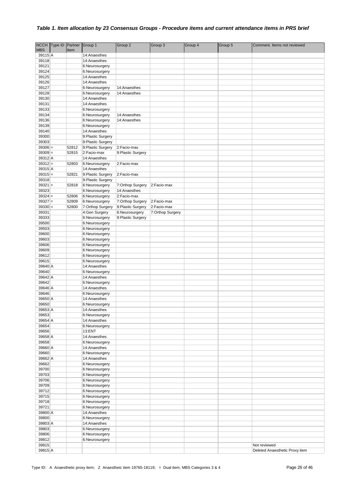|            | NCCH Type ID Partner |       | Group 1           | Group 2            | Group 3          | Group 4 | Group 5 | Comment. Items not reviewed    |
|------------|----------------------|-------|-------------------|--------------------|------------------|---------|---------|--------------------------------|
| <b>MBS</b> |                      | Item  |                   |                    |                  |         |         |                                |
| 39115 A    |                      |       | 14:Anaesthes      |                    |                  |         |         |                                |
| 39118      |                      |       | 14:Anaesthes      |                    |                  |         |         |                                |
| 39121      |                      |       | 6:Neurosurgery    |                    |                  |         |         |                                |
| 39124      |                      |       | 6:Neurosurgery    |                    |                  |         |         |                                |
| 39125      |                      |       |                   |                    |                  |         |         |                                |
|            |                      |       | 14:Anaesthes      |                    |                  |         |         |                                |
| 39126      |                      |       | 14:Anaesthes      |                    |                  |         |         |                                |
| 39127      |                      |       | 6:Neurosurgery    | 14:Anaesthes       |                  |         |         |                                |
| 39128      |                      |       | 6:Neurosurgery    | 14:Anaesthes       |                  |         |         |                                |
| 39130      |                      |       | 14:Anaesthes      |                    |                  |         |         |                                |
| 39131      |                      |       | 14:Anaesthes      |                    |                  |         |         |                                |
| 39133      |                      |       | 6:Neurosurgery    |                    |                  |         |         |                                |
| 39134      |                      |       | 6:Neurosurgery    | 14:Anaesthes       |                  |         |         |                                |
| 39136      |                      |       | 6:Neurosurgery    | 14:Anaesthes       |                  |         |         |                                |
| 39139      |                      |       | 6:Neurosurgery    |                    |                  |         |         |                                |
| 39140      |                      |       | 14:Anaesthes      |                    |                  |         |         |                                |
| 39300      |                      |       | 9:Plastic Surgery |                    |                  |         |         |                                |
|            |                      |       |                   |                    |                  |         |         |                                |
| 39303      |                      |       | 9:Plastic Surgery |                    |                  |         |         |                                |
| $39306 =$  |                      | 52812 | 9:Plastic Surgery | 2:Facio-max        |                  |         |         |                                |
| $39309 =$  |                      | 52815 | 2:Facio-max       | 9: Plastic Surgery |                  |         |         |                                |
| 39312 A    |                      |       | 14:Anaesthes      |                    |                  |         |         |                                |
| $39312 =$  |                      | 52803 | 6:Neurosurgery    | 2:Facio-max        |                  |         |         |                                |
| 39315 A    |                      |       | 14:Anaesthes      |                    |                  |         |         |                                |
| $39315 =$  |                      | 52821 | 9:Plastic Surgery | 2:Facio-max        |                  |         |         |                                |
| 39318      |                      |       | 9:Plastic Surgery |                    |                  |         |         |                                |
| $39321 =$  |                      | 52818 | 6:Neurosurgery    | 7:Orthop Surgery   | 2:Facio-max      |         |         |                                |
| 39323      |                      |       | 6:Neurosurgery    | 14:Anaesthes       |                  |         |         |                                |
| $39324 =$  |                      | 52806 | 6:Neurosurgery    | 2:Facio-max        |                  |         |         |                                |
| $39327 =$  |                      |       |                   |                    |                  |         |         |                                |
|            |                      | 52809 | 6:Neurosurgery    | 7:Orthop Surgery   | 2:Facio-max      |         |         |                                |
| $39330 =$  |                      | 52800 | 7:Orthop Surgery  | 9:Plastic Surgery  | 2:Facio-max      |         |         |                                |
| 39331      |                      |       | 4:Gen Surgery     | 6:Neurosurgery     | 7:Orthop Surgery |         |         |                                |
| 39333      |                      |       | 6:Neurosurgery    | 9:Plastic Surgery  |                  |         |         |                                |
| 39500      |                      |       | 6:Neurosurgery    |                    |                  |         |         |                                |
| 39503      |                      |       | 6:Neurosurgery    |                    |                  |         |         |                                |
| 39600      |                      |       | 6:Neurosurgery    |                    |                  |         |         |                                |
| 39603      |                      |       | 6:Neurosurgery    |                    |                  |         |         |                                |
| 39606      |                      |       | 6:Neurosurgery    |                    |                  |         |         |                                |
| 39609      |                      |       | 6:Neurosurgery    |                    |                  |         |         |                                |
| 39612      |                      |       | 6:Neurosurgery    |                    |                  |         |         |                                |
| 39615      |                      |       | 6:Neurosurgery    |                    |                  |         |         |                                |
| 39640 A    |                      |       | 14:Anaesthes      |                    |                  |         |         |                                |
| 39640      |                      |       |                   |                    |                  |         |         |                                |
|            |                      |       | 6:Neurosurgery    |                    |                  |         |         |                                |
| 39642 A    |                      |       | 14:Anaesthes      |                    |                  |         |         |                                |
| 39642      |                      |       | 6:Neurosurgery    |                    |                  |         |         |                                |
| 39646 A    |                      |       | 14:Anaesthes      |                    |                  |         |         |                                |
| 39646      |                      |       | 6:Neurosurgery    |                    |                  |         |         |                                |
| 39650 A    |                      |       | 14:Anaesthes      |                    |                  |         |         |                                |
| 39650      |                      |       | 6:Neurosurgery    |                    |                  |         |         |                                |
| 39653 A    |                      |       | 14:Anaesthes      |                    |                  |         |         |                                |
| 39653      |                      |       | 6:Neurosurgery    |                    |                  |         |         |                                |
| 39654 A    |                      |       | 14:Anaesthes      |                    |                  |         |         |                                |
| 39654      |                      |       | 6:Neurosurgery    |                    |                  |         |         |                                |
| 39656      |                      |       | 13:ENT            |                    |                  |         |         |                                |
| 39658 A    |                      |       | 14:Anaesthes      |                    |                  |         |         |                                |
| 39658      |                      |       |                   |                    |                  |         |         |                                |
|            |                      |       | 6:Neurosurgery    |                    |                  |         |         |                                |
| 39660 A    |                      |       | 14:Anaesthes      |                    |                  |         |         |                                |
| 39660      |                      |       | 6:Neurosurgery    |                    |                  |         |         |                                |
| 39662 A    |                      |       | 14:Anaesthes      |                    |                  |         |         |                                |
| 39662      |                      |       | 6:Neurosurgery    |                    |                  |         |         |                                |
| 39700      |                      |       | 6:Neurosurgery    |                    |                  |         |         |                                |
| 39703      |                      |       | 6:Neurosurgery    |                    |                  |         |         |                                |
| 39706      |                      |       | 6:Neurosurgery    |                    |                  |         |         |                                |
| 39709      |                      |       | 6:Neurosurgery    |                    |                  |         |         |                                |
| 39712      |                      |       | 6:Neurosurgery    |                    |                  |         |         |                                |
| 39715      |                      |       | 6:Neurosurgery    |                    |                  |         |         |                                |
| 39718      |                      |       | 6:Neurosurgery    |                    |                  |         |         |                                |
| 39721      |                      |       |                   |                    |                  |         |         |                                |
|            |                      |       | 6:Neurosurgery    |                    |                  |         |         |                                |
| 39800 A    |                      |       | 14:Anaesthes      |                    |                  |         |         |                                |
| 39800      |                      |       | 6:Neurosurgery    |                    |                  |         |         |                                |
| 39803 A    |                      |       | 14:Anaesthes      |                    |                  |         |         |                                |
| 39803      |                      |       | 6:Neurosurgery    |                    |                  |         |         |                                |
| 39806      |                      |       | 6:Neurosurgery    |                    |                  |         |         |                                |
| 39812      |                      |       | 6:Neurosurgery    |                    |                  |         |         |                                |
| 39815      |                      |       |                   |                    |                  |         |         | Not reviewed                   |
| 39815 A    |                      |       |                   |                    |                  |         |         | Deleted Anaesthetic Proxy item |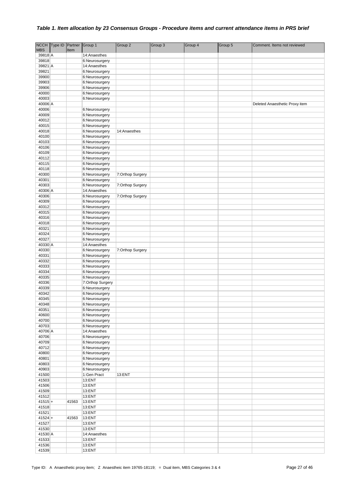|                | NCCH Type ID Partner |       | Group 1                          | Group 2          | Group 3 | Group 4 | Group 5 | Comment. Items not reviewed    |
|----------------|----------------------|-------|----------------------------------|------------------|---------|---------|---------|--------------------------------|
| <b>MBS</b>     |                      | Item  |                                  |                  |         |         |         |                                |
| 39818 A        |                      |       | 14:Anaesthes                     |                  |         |         |         |                                |
| 39818          |                      |       | 6:Neurosurgery                   |                  |         |         |         |                                |
| 39821 A        |                      |       | 14:Anaesthes                     |                  |         |         |         |                                |
| 39821          |                      |       | 6:Neurosurgery                   |                  |         |         |         |                                |
| 39900          |                      |       | 6:Neurosurgery                   |                  |         |         |         |                                |
| 39903<br>39906 |                      |       | 6:Neurosurgery<br>6:Neurosurgery |                  |         |         |         |                                |
| 40000          |                      |       | 6:Neurosurgery                   |                  |         |         |         |                                |
| 40003          |                      |       | 6:Neurosurgery                   |                  |         |         |         |                                |
| 40006 A        |                      |       |                                  |                  |         |         |         | Deleted Anaesthetic Proxy item |
| 40006          |                      |       | 6:Neurosurgery                   |                  |         |         |         |                                |
| 40009          |                      |       | 6:Neurosurgery                   |                  |         |         |         |                                |
| 40012          |                      |       | 6:Neurosurgery                   |                  |         |         |         |                                |
| 40015          |                      |       | 6:Neurosurgery                   |                  |         |         |         |                                |
| 40018          |                      |       | 6:Neurosurgery                   | 14:Anaesthes     |         |         |         |                                |
| 40100          |                      |       | 6:Neurosurgery                   |                  |         |         |         |                                |
| 40103          |                      |       | 6:Neurosurgery                   |                  |         |         |         |                                |
| 40106          |                      |       | 6:Neurosurgery                   |                  |         |         |         |                                |
| 40109          |                      |       | 6:Neurosurgery                   |                  |         |         |         |                                |
| 40112          |                      |       | 6:Neurosurgery                   |                  |         |         |         |                                |
| 40115          |                      |       | 6:Neurosurgery                   |                  |         |         |         |                                |
| 40118          |                      |       | 6:Neurosurgery                   |                  |         |         |         |                                |
| 40300<br>40301 |                      |       | 6:Neurosurgery                   | 7:Orthop Surgery |         |         |         |                                |
| 40303          |                      |       | 6:Neurosurgery                   | 7:Orthop Surgery |         |         |         |                                |
| 40306 A        |                      |       | 6:Neurosurgery<br>14:Anaesthes   |                  |         |         |         |                                |
| 40306          |                      |       | 6:Neurosurgery                   | 7:Orthop Surgery |         |         |         |                                |
| 40309          |                      |       | 6:Neurosurgery                   |                  |         |         |         |                                |
| 40312          |                      |       | 6:Neurosurgery                   |                  |         |         |         |                                |
| 40315          |                      |       | 6:Neurosurgery                   |                  |         |         |         |                                |
| 40316          |                      |       | 6:Neurosurgery                   |                  |         |         |         |                                |
| 40318          |                      |       | 6:Neurosurgery                   |                  |         |         |         |                                |
| 40321          |                      |       | 6:Neurosurgery                   |                  |         |         |         |                                |
| 40324          |                      |       | 6:Neurosurgery                   |                  |         |         |         |                                |
| 40327          |                      |       | 6:Neurosurgery                   |                  |         |         |         |                                |
| 40330 A        |                      |       | 14:Anaesthes                     |                  |         |         |         |                                |
| 40330          |                      |       | 6:Neurosurgery                   | 7:Orthop Surgery |         |         |         |                                |
| 40331          |                      |       | 6:Neurosurgery                   |                  |         |         |         |                                |
| 40332<br>40333 |                      |       | 6:Neurosurgery                   |                  |         |         |         |                                |
| 40334          |                      |       | 6:Neurosurgery<br>6:Neurosurgery |                  |         |         |         |                                |
| 40335          |                      |       | 6:Neurosurgery                   |                  |         |         |         |                                |
| 40336          |                      |       | 7:Orthop Surgery                 |                  |         |         |         |                                |
| 40339          |                      |       | 6:Neurosurgery                   |                  |         |         |         |                                |
| 40342          |                      |       | 6:Neurosurgery                   |                  |         |         |         |                                |
| 40345          |                      |       | 6:Neurosurgery                   |                  |         |         |         |                                |
| 40348          |                      |       | 6:Neurosurgery                   |                  |         |         |         |                                |
| 40351          |                      |       | 6:Neurosurgery                   |                  |         |         |         |                                |
| 40600          |                      |       | 6:Neurosurgery                   |                  |         |         |         |                                |
| 40700          |                      |       | 6:Neurosurgery                   |                  |         |         |         |                                |
| 40703          |                      |       | 6:Neurosurgery                   |                  |         |         |         |                                |
| 40706 A        |                      |       | 14:Anaesthes                     |                  |         |         |         |                                |
| 40706          |                      |       | 6:Neurosurgery                   |                  |         |         |         |                                |
| 40709<br>40712 |                      |       | 6:Neurosurgery                   |                  |         |         |         |                                |
| 40800          |                      |       | 6:Neurosurgery<br>6:Neurosurgery |                  |         |         |         |                                |
| 40801          |                      |       | 6:Neurosurgery                   |                  |         |         |         |                                |
| 40803          |                      |       | 6:Neurosurgery                   |                  |         |         |         |                                |
| 40903          |                      |       | 6:Neurosurgery                   |                  |         |         |         |                                |
| 41500          |                      |       | 1:Gen Pract                      | 13:ENT           |         |         |         |                                |
| 41503          |                      |       | 13:ENT                           |                  |         |         |         |                                |
| 41506          |                      |       | 13:ENT                           |                  |         |         |         |                                |
| 41509          |                      |       | 13:ENT                           |                  |         |         |         |                                |
| 41512          |                      |       | 13:ENT                           |                  |         |         |         |                                |
| $41515+$       |                      | 41563 | 13:ENT                           |                  |         |         |         |                                |
| 41518          |                      |       | 13:ENT                           |                  |         |         |         |                                |
| 41521          |                      |       | 13:ENT                           |                  |         |         |         |                                |
| $41524 +$      |                      | 41563 | 13:ENT                           |                  |         |         |         |                                |
| 41527          |                      |       | 13:ENT                           |                  |         |         |         |                                |
| 41530          |                      |       | 13:ENT                           |                  |         |         |         |                                |
| 41530 A        |                      |       | 14:Anaesthes                     |                  |         |         |         |                                |
| 41533<br>41536 |                      |       | 13:ENT                           |                  |         |         |         |                                |
| 41539          |                      |       | 13:ENT<br>13:ENT                 |                  |         |         |         |                                |
|                |                      |       |                                  |                  |         |         |         |                                |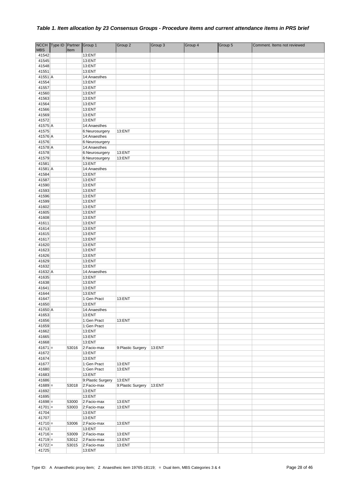| <b>MBS</b>             | NCCH Type ID Partner Group 1 | Item           |                                | Group 2            | Group 3 | Group 4 | Group 5 | Comment. Items not reviewed |
|------------------------|------------------------------|----------------|--------------------------------|--------------------|---------|---------|---------|-----------------------------|
| 41542                  |                              |                | 13:ENT                         |                    |         |         |         |                             |
| 41545                  |                              |                | 13:ENT                         |                    |         |         |         |                             |
| 41548                  |                              |                | 13:ENT                         |                    |         |         |         |                             |
| 41551                  |                              |                | 13:ENT                         |                    |         |         |         |                             |
| 41551 A                |                              |                | 14:Anaesthes                   |                    |         |         |         |                             |
| 41554                  |                              |                | 13:ENT                         |                    |         |         |         |                             |
| 41557                  |                              |                | 13:ENT                         |                    |         |         |         |                             |
| 41560<br>41563         |                              |                | 13:ENT                         |                    |         |         |         |                             |
| 41564                  |                              |                | 13:ENT<br>13:ENT               |                    |         |         |         |                             |
| 41566                  |                              |                | 13:ENT                         |                    |         |         |         |                             |
| 41569                  |                              |                | 13:ENT                         |                    |         |         |         |                             |
| 41572                  |                              |                | 13:ENT                         |                    |         |         |         |                             |
| 41575 A                |                              |                | 14:Anaesthes                   |                    |         |         |         |                             |
| 41575                  |                              |                | 6:Neurosurgery                 | 13:ENT             |         |         |         |                             |
| 41576 A<br>41576       |                              |                | 14:Anaesthes                   |                    |         |         |         |                             |
| 41578 A                |                              |                | 6:Neurosurgery<br>14:Anaesthes |                    |         |         |         |                             |
| 41578                  |                              |                | 6:Neurosurgery                 | 13:ENT             |         |         |         |                             |
| 41579                  |                              |                | 6:Neurosurgery                 | 13:ENT             |         |         |         |                             |
| 41581                  |                              |                | 13:ENT                         |                    |         |         |         |                             |
| 41581 A                |                              |                | 14:Anaesthes                   |                    |         |         |         |                             |
| 41584                  |                              |                | 13:ENT                         |                    |         |         |         |                             |
| 41587                  |                              |                | 13:ENT                         |                    |         |         |         |                             |
| 41590<br>41593         |                              |                | 13:ENT<br>13:ENT               |                    |         |         |         |                             |
| 41596                  |                              |                | 13:ENT                         |                    |         |         |         |                             |
| 41599                  |                              |                | 13:ENT                         |                    |         |         |         |                             |
| 41602                  |                              |                | 13:ENT                         |                    |         |         |         |                             |
| 41605                  |                              |                | 13:ENT                         |                    |         |         |         |                             |
| 41608                  |                              |                | 13:ENT                         |                    |         |         |         |                             |
| 41611                  |                              |                | 13:ENT                         |                    |         |         |         |                             |
| 41614<br>41615         |                              |                | 13:ENT<br>13:ENT               |                    |         |         |         |                             |
| 41617                  |                              |                | 13:ENT                         |                    |         |         |         |                             |
| 41620                  |                              |                | 13:ENT                         |                    |         |         |         |                             |
| 41623                  |                              |                | 13:ENT                         |                    |         |         |         |                             |
| 41626                  |                              |                | 13:ENT                         |                    |         |         |         |                             |
| 41629                  |                              |                | 13:ENT                         |                    |         |         |         |                             |
| 41632<br>41632 A       |                              |                | 13:ENT                         |                    |         |         |         |                             |
| 41635                  |                              |                | 14:Anaesthes<br>13:ENT         |                    |         |         |         |                             |
| 41638                  |                              |                | 13:ENT                         |                    |         |         |         |                             |
| 41641                  |                              |                | 13:ENT                         |                    |         |         |         |                             |
| 41644                  |                              |                | 13:ENT                         |                    |         |         |         |                             |
| 41647                  |                              |                | 1:Gen Pract                    | 13:ENT             |         |         |         |                             |
| 41650                  |                              |                | 13:ENT                         |                    |         |         |         |                             |
| 41650 A<br>41653       |                              |                | 14:Anaesthes<br>13:ENT         |                    |         |         |         |                             |
| 41656                  |                              |                | 1:Gen Pract                    | 13:ENT             |         |         |         |                             |
| 41659                  |                              |                | 1:Gen Pract                    |                    |         |         |         |                             |
| 41662                  |                              |                | 13:ENT                         |                    |         |         |         |                             |
| 41665                  |                              |                | 13:ENT                         |                    |         |         |         |                             |
| 41668                  |                              |                | 13:ENT                         |                    |         |         |         |                             |
| $41671 =$<br>41672     |                              | 53016          | 2:Facio-max<br>13:ENT          | 9:Plastic Surgery  | 13:ENT  |         |         |                             |
| 41674                  |                              |                | 13:ENT                         |                    |         |         |         |                             |
| 41677                  |                              |                | 1:Gen Pract                    | 13:ENT             |         |         |         |                             |
| 41680                  |                              |                | 1:Gen Pract                    | 13:ENT             |         |         |         |                             |
| 41683                  |                              |                | 13:ENT                         |                    |         |         |         |                             |
| 41686                  |                              |                | 9:Plastic Surgery              | 13:ENT             |         |         |         |                             |
| $41689 =$              |                              | 53018          | 2:Facio-max                    | 9: Plastic Surgery | 13:ENT  |         |         |                             |
| 41692<br>41695         |                              |                | 13:ENT<br>13:ENT               |                    |         |         |         |                             |
| $41698 =$              |                              | 53000          | 2:Facio-max                    | 13:ENT             |         |         |         |                             |
| $41701 =$              |                              | 53003          | 2:Facio-max                    | 13:ENT             |         |         |         |                             |
| 41704                  |                              |                | 13:ENT                         |                    |         |         |         |                             |
| 41707                  |                              |                | 13:ENT                         |                    |         |         |         |                             |
| $41710 =$              |                              | 53006          | 2:Facio-max                    | 13:ENT             |         |         |         |                             |
| 41713                  |                              |                | 13:ENT                         |                    |         |         |         |                             |
| $41716 =$<br>$41719 =$ |                              | 53009<br>53012 | 2:Facio-max<br>2:Facio-max     | 13:ENT<br>13:ENT   |         |         |         |                             |
| $41722 =$              |                              | 53015          | 2:Facio-max                    | 13:ENT             |         |         |         |                             |
| 41725                  |                              |                | 13:ENT                         |                    |         |         |         |                             |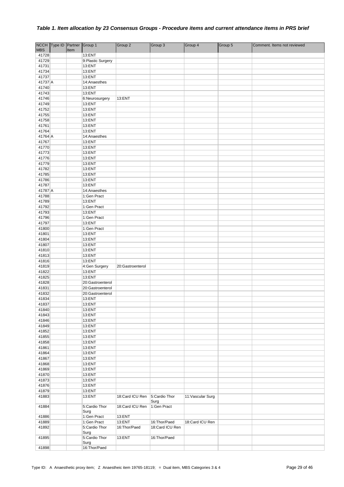|                     | NCCH Type ID Partner Group 1 |      |                             | Group 2          | Group 3               | Group 4           | Group 5 | Comment. Items not reviewed |
|---------------------|------------------------------|------|-----------------------------|------------------|-----------------------|-------------------|---------|-----------------------------|
| <b>MBS</b><br>41728 |                              | Item | 13:ENT                      |                  |                       |                   |         |                             |
| 41729               |                              |      | 9: Plastic Surgery          |                  |                       |                   |         |                             |
| 41731               |                              |      | 13:ENT                      |                  |                       |                   |         |                             |
| 41734               |                              |      | 13:ENT                      |                  |                       |                   |         |                             |
| 41737               |                              |      | 13:ENT                      |                  |                       |                   |         |                             |
| 41737 A             |                              |      | 14:Anaesthes                |                  |                       |                   |         |                             |
| 41740               |                              |      | 13:ENT                      |                  |                       |                   |         |                             |
| 41743<br>41746      |                              |      | 13:ENT                      | 13:ENT           |                       |                   |         |                             |
| 41749               |                              |      | 6:Neurosurgery<br>13:ENT    |                  |                       |                   |         |                             |
| 41752               |                              |      | 13:ENT                      |                  |                       |                   |         |                             |
| 41755               |                              |      | 13:ENT                      |                  |                       |                   |         |                             |
| 41758               |                              |      | 13:ENT                      |                  |                       |                   |         |                             |
| 41761               |                              |      | 13:ENT                      |                  |                       |                   |         |                             |
| 41764               |                              |      | 13:ENT                      |                  |                       |                   |         |                             |
| 41764 A             |                              |      | 14:Anaesthes                |                  |                       |                   |         |                             |
| 41767<br>41770      |                              |      | 13:ENT<br>13:ENT            |                  |                       |                   |         |                             |
| 41773               |                              |      | 13:ENT                      |                  |                       |                   |         |                             |
| 41776               |                              |      | 13:ENT                      |                  |                       |                   |         |                             |
| 41779               |                              |      | 13:ENT                      |                  |                       |                   |         |                             |
| 41782               |                              |      | 13:ENT                      |                  |                       |                   |         |                             |
| 41785               |                              |      | 13:ENT                      |                  |                       |                   |         |                             |
| 41786               |                              |      | 13:ENT                      |                  |                       |                   |         |                             |
| 41787<br>41787 A    |                              |      | 13:ENT                      |                  |                       |                   |         |                             |
| 41788               |                              |      | 14:Anaesthes<br>1:Gen Pract |                  |                       |                   |         |                             |
| 41789               |                              |      | 13:ENT                      |                  |                       |                   |         |                             |
| 41792               |                              |      | 1:Gen Pract                 |                  |                       |                   |         |                             |
| 41793               |                              |      | 13:ENT                      |                  |                       |                   |         |                             |
| 41796               |                              |      | 1:Gen Pract                 |                  |                       |                   |         |                             |
| 41797               |                              |      | 13:ENT                      |                  |                       |                   |         |                             |
| 41800               |                              |      | 1:Gen Pract                 |                  |                       |                   |         |                             |
| 41801<br>41804      |                              |      | 13:ENT<br>13:ENT            |                  |                       |                   |         |                             |
| 41807               |                              |      | 13:ENT                      |                  |                       |                   |         |                             |
| 41810               |                              |      | 13:ENT                      |                  |                       |                   |         |                             |
| 41813               |                              |      | 13:ENT                      |                  |                       |                   |         |                             |
| 41816               |                              |      | 13:ENT                      |                  |                       |                   |         |                             |
| 41819               |                              |      | 4:Gen Surgery               | 20:Gastroenterol |                       |                   |         |                             |
| 41822               |                              |      | 13:ENT                      |                  |                       |                   |         |                             |
| 41825<br>41828      |                              |      | 13:ENT<br>20:Gastroenterol  |                  |                       |                   |         |                             |
| 41831               |                              |      | 20:Gastroenterol            |                  |                       |                   |         |                             |
| 41832               |                              |      | 20:Gastroenterol            |                  |                       |                   |         |                             |
| 41834               |                              |      | 13:ENT                      |                  |                       |                   |         |                             |
| 41837               |                              |      | 13:ENT                      |                  |                       |                   |         |                             |
| 41840               |                              |      | 13:ENT                      |                  |                       |                   |         |                             |
| 41843               |                              |      | 13:ENT                      |                  |                       |                   |         |                             |
| 41846<br>41849      |                              |      | 13:ENT<br>13:ENT            |                  |                       |                   |         |                             |
| 41852               |                              |      | 13:ENT                      |                  |                       |                   |         |                             |
| 41855               |                              |      | 13:ENT                      |                  |                       |                   |         |                             |
| 41858               |                              |      | 13:ENT                      |                  |                       |                   |         |                             |
| 41861               |                              |      | 13:ENT                      |                  |                       |                   |         |                             |
| 41864               |                              |      | 13:ENT                      |                  |                       |                   |         |                             |
| 41867               |                              |      | 13:ENT                      |                  |                       |                   |         |                             |
| 41868<br>41869      |                              |      | 13:ENT<br>13:ENT            |                  |                       |                   |         |                             |
| 41870               |                              |      | 13:ENT                      |                  |                       |                   |         |                             |
| 41873               |                              |      | 13:ENT                      |                  |                       |                   |         |                             |
| 41876               |                              |      | 13:ENT                      |                  |                       |                   |         |                             |
| 41879               |                              |      | 13:ENT                      |                  |                       |                   |         |                             |
| 41883               |                              |      | 13:ENT                      | 18:Card ICU Ren  | 5:Cardio Thor<br>Surg | 11: Vascular Surg |         |                             |
| 41884               |                              |      | 5:Cardio Thor<br>Surg       | 18:Card ICU Ren  | 1:Gen Pract           |                   |         |                             |
| 41886               |                              |      | 1:Gen Pract                 | 13:ENT           |                       |                   |         |                             |
| 41889               |                              |      | 1:Gen Pract                 | 13:ENT           | 16:Thor/Paed          | 18:Card ICU Ren   |         |                             |
| 41892               |                              |      | 5:Cardio Thor<br>Surg       | 16:Thor/Paed     | 18:Card ICU Ren       |                   |         |                             |
| 41895               |                              |      | 5:Cardio Thor<br>Surg       | 13:ENT           | 16:Thor/Paed          |                   |         |                             |
| 41898               |                              |      | 16: Thor/Paed               |                  |                       |                   |         |                             |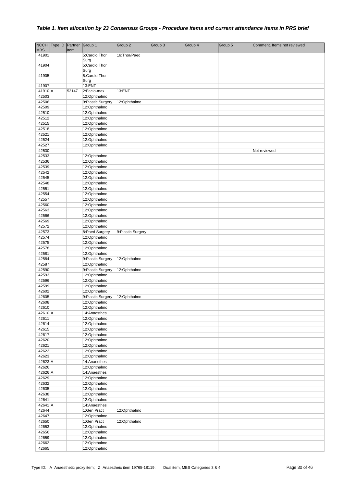| <b>NCCH</b> | Type ID Partner |       | Group 1           | Group 2            | Group 3 | Group 4 | Group 5 | Comment. Items not reviewed |
|-------------|-----------------|-------|-------------------|--------------------|---------|---------|---------|-----------------------------|
| <b>MBS</b>  |                 | Item  |                   |                    |         |         |         |                             |
| 41901       |                 |       | 5:Cardio Thor     | 16:Thor/Paed       |         |         |         |                             |
|             |                 |       | Surg              |                    |         |         |         |                             |
| 41904       |                 |       | 5:Cardio Thor     |                    |         |         |         |                             |
|             |                 |       | Surg              |                    |         |         |         |                             |
| 41905       |                 |       | 5:Cardio Thor     |                    |         |         |         |                             |
|             |                 |       | Surg              |                    |         |         |         |                             |
| 41907       |                 |       | 13:ENT            |                    |         |         |         |                             |
| $41910 =$   |                 | 52147 | 2:Facio-max       | 13:ENT             |         |         |         |                             |
| 42503       |                 |       | 12:Ophthalmo      |                    |         |         |         |                             |
| 42506       |                 |       | 9:Plastic Surgery | 12:Ophthalmo       |         |         |         |                             |
| 42509       |                 |       | 12:Ophthalmo      |                    |         |         |         |                             |
| 42510       |                 |       | 12:Ophthalmo      |                    |         |         |         |                             |
| 42512       |                 |       | 12:Ophthalmo      |                    |         |         |         |                             |
| 42515       |                 |       | 12:Ophthalmo      |                    |         |         |         |                             |
| 42518       |                 |       | 12:Ophthalmo      |                    |         |         |         |                             |
| 42521       |                 |       | 12:Ophthalmo      |                    |         |         |         |                             |
| 42524       |                 |       | 12:Ophthalmo      |                    |         |         |         |                             |
| 42527       |                 |       | 12:Ophthalmo      |                    |         |         |         |                             |
| 42530       |                 |       |                   |                    |         |         |         | Not reviewed                |
| 42533       |                 |       |                   |                    |         |         |         |                             |
| 42536       |                 |       | 12:Ophthalmo      |                    |         |         |         |                             |
|             |                 |       | 12:Ophthalmo      |                    |         |         |         |                             |
| 42539       |                 |       | 12:Ophthalmo      |                    |         |         |         |                             |
| 42542       |                 |       | 12:Ophthalmo      |                    |         |         |         |                             |
| 42545       |                 |       | 12:Ophthalmo      |                    |         |         |         |                             |
| 42548       |                 |       | 12:Ophthalmo      |                    |         |         |         |                             |
| 42551       |                 |       | 12:Ophthalmo      |                    |         |         |         |                             |
| 42554       |                 |       | 12:Ophthalmo      |                    |         |         |         |                             |
| 42557       |                 |       | 12:Ophthalmo      |                    |         |         |         |                             |
| 42560       |                 |       | 12:Ophthalmo      |                    |         |         |         |                             |
| 42563       |                 |       | 12:Ophthalmo      |                    |         |         |         |                             |
| 42566       |                 |       | 12:Ophthalmo      |                    |         |         |         |                             |
| 42569       |                 |       | 12:Ophthalmo      |                    |         |         |         |                             |
| 42572       |                 |       | 12:Ophthalmo      |                    |         |         |         |                             |
| 42573       |                 |       | 8:Paed Surgery    | 9: Plastic Surgery |         |         |         |                             |
| 42574       |                 |       | 12:Ophthalmo      |                    |         |         |         |                             |
| 42575       |                 |       | 12:Ophthalmo      |                    |         |         |         |                             |
|             |                 |       |                   |                    |         |         |         |                             |
| 42578       |                 |       | 12:Ophthalmo      |                    |         |         |         |                             |
| 42581       |                 |       | 12:Ophthalmo      |                    |         |         |         |                             |
| 42584       |                 |       | 9:Plastic Surgery | 12:Ophthalmo       |         |         |         |                             |
| 42587       |                 |       | 12:Ophthalmo      |                    |         |         |         |                             |
| 42590       |                 |       | 9:Plastic Surgery | 12:Ophthalmo       |         |         |         |                             |
| 42593       |                 |       | 12:Ophthalmo      |                    |         |         |         |                             |
| 42596       |                 |       | 12:Ophthalmo      |                    |         |         |         |                             |
| 42599       |                 |       | 12:Ophthalmo      |                    |         |         |         |                             |
| 42602       |                 |       | 12:Ophthalmo      |                    |         |         |         |                             |
| 42605       |                 |       | 9:Plastic Surgery | 12:Ophthalmo       |         |         |         |                             |
| 42608       |                 |       | 12:Ophthalmo      |                    |         |         |         |                             |
| 42610       |                 |       | 12:Ophthalmo      |                    |         |         |         |                             |
| 42610 A     |                 |       | 14:Anaesthes      |                    |         |         |         |                             |
| 42611       |                 |       | 12:Ophthalmo      |                    |         |         |         |                             |
| 42614       |                 |       | 12:Ophthalmo      |                    |         |         |         |                             |
| 42615       |                 |       | 12:Ophthalmo      |                    |         |         |         |                             |
| 42617       |                 |       | 12:Ophthalmo      |                    |         |         |         |                             |
| 42620       |                 |       | 12:Ophthalmo      |                    |         |         |         |                             |
| 42621       |                 |       | 12:Ophthalmo      |                    |         |         |         |                             |
| 42622       |                 |       | 12:Ophthalmo      |                    |         |         |         |                             |
| 42623       |                 |       | 12:Ophthalmo      |                    |         |         |         |                             |
| 42623 A     |                 |       | 14:Anaesthes      |                    |         |         |         |                             |
| 42626       |                 |       | 12:Ophthalmo      |                    |         |         |         |                             |
| 42626 A     |                 |       | 14:Anaesthes      |                    |         |         |         |                             |
| 42629       |                 |       | 12:Ophthalmo      |                    |         |         |         |                             |
| 42632       |                 |       | 12:Ophthalmo      |                    |         |         |         |                             |
| 42635       |                 |       | 12:Ophthalmo      |                    |         |         |         |                             |
|             |                 |       |                   |                    |         |         |         |                             |
| 42638       |                 |       | 12:Ophthalmo      |                    |         |         |         |                             |
| 42641       |                 |       | 12:Ophthalmo      |                    |         |         |         |                             |
| 42641 A     |                 |       | 14:Anaesthes      |                    |         |         |         |                             |
| 42644       |                 |       | 1:Gen Pract       | 12:Ophthalmo       |         |         |         |                             |
| 42647       |                 |       | 12:Ophthalmo      |                    |         |         |         |                             |
| 42650       |                 |       | 1:Gen Pract       | 12:Ophthalmo       |         |         |         |                             |
| 42653       |                 |       | 12:Ophthalmo      |                    |         |         |         |                             |
| 42656       |                 |       | 12:Ophthalmo      |                    |         |         |         |                             |
| 42659       |                 |       | 12:Ophthalmo      |                    |         |         |         |                             |
| 42662       |                 |       | 12:Ophthalmo      |                    |         |         |         |                             |
| 42665       |                 |       | 12:Ophthalmo      |                    |         |         |         |                             |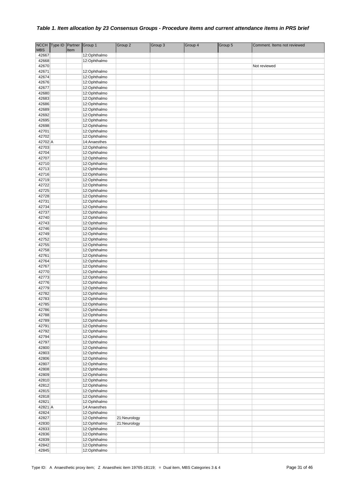|                     | NCCH Type ID | Partner Group 1 |                              | Group 2      | Group 3 | Group 4 | Group 5 | Comment. Items not reviewed |
|---------------------|--------------|-----------------|------------------------------|--------------|---------|---------|---------|-----------------------------|
| <b>MBS</b><br>42667 |              | Item            | 12:Ophthalmo                 |              |         |         |         |                             |
| 42668               |              |                 | 12:Ophthalmo                 |              |         |         |         |                             |
| 42670               |              |                 |                              |              |         |         |         | Not reviewed                |
| 42671               |              |                 | 12:Ophthalmo                 |              |         |         |         |                             |
| 42674               |              |                 | 12:Ophthalmo                 |              |         |         |         |                             |
| 42676               |              |                 | 12:Ophthalmo                 |              |         |         |         |                             |
| 42677               |              |                 | 12:Ophthalmo                 |              |         |         |         |                             |
| 42680               |              |                 | 12:Ophthalmo                 |              |         |         |         |                             |
| 42683               |              |                 | 12:Ophthalmo                 |              |         |         |         |                             |
| 42686               |              |                 | 12:Ophthalmo                 |              |         |         |         |                             |
| 42689               |              |                 | 12:Ophthalmo                 |              |         |         |         |                             |
| 42692               |              |                 | 12:Ophthalmo                 |              |         |         |         |                             |
| 42695               |              |                 | 12:Ophthalmo                 |              |         |         |         |                             |
| 42698               |              |                 | 12:Ophthalmo                 |              |         |         |         |                             |
| 42701<br>42702      |              |                 | 12:Ophthalmo<br>12:Ophthalmo |              |         |         |         |                             |
| 42702 A             |              |                 | 14:Anaesthes                 |              |         |         |         |                             |
| 42703               |              |                 | 12:Ophthalmo                 |              |         |         |         |                             |
| 42704               |              |                 | 12:Ophthalmo                 |              |         |         |         |                             |
| 42707               |              |                 | 12:Ophthalmo                 |              |         |         |         |                             |
| 42710               |              |                 | 12:Ophthalmo                 |              |         |         |         |                             |
| 42713               |              |                 | 12:Ophthalmo                 |              |         |         |         |                             |
| 42716               |              |                 | 12:Ophthalmo                 |              |         |         |         |                             |
| 42719               |              |                 | 12:Ophthalmo                 |              |         |         |         |                             |
| 42722               |              |                 | 12:Ophthalmo                 |              |         |         |         |                             |
| 42725               |              |                 | 12:Ophthalmo                 |              |         |         |         |                             |
| 42728               |              |                 | 12:Ophthalmo                 |              |         |         |         |                             |
| 42731               |              |                 | 12:Ophthalmo                 |              |         |         |         |                             |
| 42734               |              |                 | 12:Ophthalmo                 |              |         |         |         |                             |
| 42737<br>42740      |              |                 | 12:Ophthalmo<br>12:Ophthalmo |              |         |         |         |                             |
| 42743               |              |                 | 12:Ophthalmo                 |              |         |         |         |                             |
| 42746               |              |                 | 12:Ophthalmo                 |              |         |         |         |                             |
| 42749               |              |                 | 12:Ophthalmo                 |              |         |         |         |                             |
| 42752               |              |                 | 12:Ophthalmo                 |              |         |         |         |                             |
| 42755               |              |                 | 12:Ophthalmo                 |              |         |         |         |                             |
| 42758               |              |                 | 12:Ophthalmo                 |              |         |         |         |                             |
| 42761               |              |                 | 12:Ophthalmo                 |              |         |         |         |                             |
| 42764               |              |                 | 12:Ophthalmo                 |              |         |         |         |                             |
| 42767               |              |                 | 12:Ophthalmo                 |              |         |         |         |                             |
| 42770               |              |                 | 12:Ophthalmo                 |              |         |         |         |                             |
| 42773               |              |                 | 12:Ophthalmo                 |              |         |         |         |                             |
| 42776<br>42779      |              |                 | 12:Ophthalmo                 |              |         |         |         |                             |
| 42782               |              |                 | 12:Ophthalmo<br>12:Ophthalmo |              |         |         |         |                             |
| 42783               |              |                 | 12:Ophthalmo                 |              |         |         |         |                             |
| 42785               |              |                 | 12:Ophthalmo                 |              |         |         |         |                             |
| 42786               |              |                 | 12:Ophthalmo                 |              |         |         |         |                             |
| 42788               |              |                 | 12:Ophthalmo                 |              |         |         |         |                             |
| 42789               |              |                 | 12:Ophthalmo                 |              |         |         |         |                             |
| 42791               |              |                 | 12:Ophthalmo                 |              |         |         |         |                             |
| 42792               |              |                 | 12:Ophthalmo                 |              |         |         |         |                             |
| 42794               |              |                 | 12:Ophthalmo                 |              |         |         |         |                             |
| 42797               |              |                 | 12:Ophthalmo                 |              |         |         |         |                             |
| 42800               |              |                 | 12:Ophthalmo                 |              |         |         |         |                             |
| 42803               |              |                 | 12:Ophthalmo                 |              |         |         |         |                             |
| 42806<br>42807      |              |                 | 12:Ophthalmo<br>12:Ophthalmo |              |         |         |         |                             |
| 42808               |              |                 | 12:Ophthalmo                 |              |         |         |         |                             |
| 42809               |              |                 | 12:Ophthalmo                 |              |         |         |         |                             |
| 42810               |              |                 | 12:Ophthalmo                 |              |         |         |         |                             |
| 42812               |              |                 | 12:Ophthalmo                 |              |         |         |         |                             |
| 42815               |              |                 | 12:Ophthalmo                 |              |         |         |         |                             |
| 42818               |              |                 | 12:Ophthalmo                 |              |         |         |         |                             |
| 42821               |              |                 | 12:Ophthalmo                 |              |         |         |         |                             |
| 42821 A             |              |                 | 14:Anaesthes                 |              |         |         |         |                             |
| 42824               |              |                 | 12:Ophthalmo                 |              |         |         |         |                             |
| 42827               |              |                 | 12:Ophthalmo                 | 21:Neurology |         |         |         |                             |
| 42830               |              |                 | 12:Ophthalmo                 | 21:Neurology |         |         |         |                             |
| 42833               |              |                 | 12:Ophthalmo                 |              |         |         |         |                             |
| 42836               |              |                 | 12:Ophthalmo                 |              |         |         |         |                             |
| 42839               |              |                 | 12:Ophthalmo                 |              |         |         |         |                             |
| 42842               |              |                 | 12:Ophthalmo<br>12:Ophthalmo |              |         |         |         |                             |
| 42845               |              |                 |                              |              |         |         |         |                             |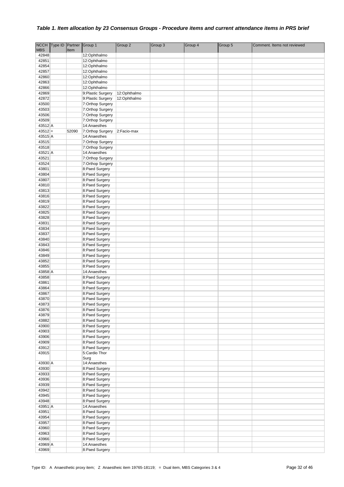|                  | NCCH Type ID | Partner | Group 1                              | Group 2      | Group 3 | Group 4 | Group 5 | Comment. Items not reviewed |
|------------------|--------------|---------|--------------------------------------|--------------|---------|---------|---------|-----------------------------|
| <b>MBS</b>       |              | Item    |                                      |              |         |         |         |                             |
| 42848            |              |         | 12:Ophthalmo                         |              |         |         |         |                             |
| 42851<br>42854   |              |         | 12:Ophthalmo<br>12:Ophthalmo         |              |         |         |         |                             |
| 42857            |              |         | 12:Ophthalmo                         |              |         |         |         |                             |
| 42860            |              |         | 12:Ophthalmo                         |              |         |         |         |                             |
| 42863            |              |         | 12:Ophthalmo                         |              |         |         |         |                             |
| 42866            |              |         | 12:Ophthalmo                         |              |         |         |         |                             |
| 42869            |              |         | 9: Plastic Surgery                   | 12:Ophthalmo |         |         |         |                             |
| 42872            |              |         | 9: Plastic Surgery                   | 12:Ophthalmo |         |         |         |                             |
| 43500            |              |         | 7:Orthop Surgery                     |              |         |         |         |                             |
| 43503            |              |         | 7:Orthop Surgery                     |              |         |         |         |                             |
| 43506<br>43509   |              |         | 7:Orthop Surgery<br>7:Orthop Surgery |              |         |         |         |                             |
| 43512 A          |              |         | 14:Anaesthes                         |              |         |         |         |                             |
| $43512 =$        |              | 52090   | 7:Orthop Surgery                     | 2:Facio-max  |         |         |         |                             |
| 43515 A          |              |         | 14:Anaesthes                         |              |         |         |         |                             |
| 43515            |              |         | 7:Orthop Surgery                     |              |         |         |         |                             |
| 43518            |              |         | 7:Orthop Surgery                     |              |         |         |         |                             |
| 43521 A          |              |         | 14:Anaesthes                         |              |         |         |         |                             |
| 43521            |              |         | 7:Orthop Surgery                     |              |         |         |         |                             |
| 43524            |              |         | 7:Orthop Surgery                     |              |         |         |         |                             |
| 43801            |              |         | 8:Paed Surgery                       |              |         |         |         |                             |
| 43804<br>43807   |              |         | 8:Paed Surgery<br>8:Paed Surgery     |              |         |         |         |                             |
| 43810            |              |         | 8:Paed Surgery                       |              |         |         |         |                             |
| 43813            |              |         | 8:Paed Surgery                       |              |         |         |         |                             |
| 43816            |              |         | 8:Paed Surgery                       |              |         |         |         |                             |
| 43819            |              |         | 8:Paed Surgery                       |              |         |         |         |                             |
| 43822            |              |         | 8:Paed Surgery                       |              |         |         |         |                             |
| 43825            |              |         | 8:Paed Surgery                       |              |         |         |         |                             |
| 43828            |              |         | 8:Paed Surgery                       |              |         |         |         |                             |
| 43831<br>43834   |              |         | 8:Paed Surgery                       |              |         |         |         |                             |
| 43837            |              |         | 8:Paed Surgery<br>8:Paed Surgery     |              |         |         |         |                             |
| 43840            |              |         | 8:Paed Surgery                       |              |         |         |         |                             |
| 43843            |              |         | 8:Paed Surgery                       |              |         |         |         |                             |
| 43846            |              |         | 8:Paed Surgery                       |              |         |         |         |                             |
| 43849            |              |         | 8:Paed Surgery                       |              |         |         |         |                             |
| 43852            |              |         | 8:Paed Surgery                       |              |         |         |         |                             |
| 43855<br>43858 A |              |         | 8:Paed Surgery<br>14:Anaesthes       |              |         |         |         |                             |
| 43858            |              |         | 8:Paed Surgery                       |              |         |         |         |                             |
| 43861            |              |         | 8:Paed Surgery                       |              |         |         |         |                             |
| 43864            |              |         | 8:Paed Surgery                       |              |         |         |         |                             |
| 43867            |              |         | 8:Paed Surgery                       |              |         |         |         |                             |
| 43870            |              |         | 8:Paed Surgery                       |              |         |         |         |                             |
| 43873            |              |         | 8:Paed Surgery                       |              |         |         |         |                             |
| 43876<br>43879   |              |         | 8:Paed Surgery<br>8:Paed Surgery     |              |         |         |         |                             |
| 43882            |              |         | 8:Paed Surgery                       |              |         |         |         |                             |
| 43900            |              |         | 8:Paed Surgery                       |              |         |         |         |                             |
| 43903            |              |         | 8:Paed Surgery                       |              |         |         |         |                             |
| 43906            |              |         | 8:Paed Surgery                       |              |         |         |         |                             |
| 43909            |              |         | 8:Paed Surgery                       |              |         |         |         |                             |
| 43912            |              |         | 8:Paed Surgery                       |              |         |         |         |                             |
| 43915            |              |         | 5:Cardio Thor                        |              |         |         |         |                             |
| 43930 A          |              |         | Surg<br>14:Anaesthes                 |              |         |         |         |                             |
| 43930            |              |         | 8:Paed Surgery                       |              |         |         |         |                             |
| 43933            |              |         | 8:Paed Surgery                       |              |         |         |         |                             |
| 43936            |              |         | 8:Paed Surgery                       |              |         |         |         |                             |
| 43939            |              |         | 8:Paed Surgery                       |              |         |         |         |                             |
| 43942            |              |         | 8:Paed Surgery                       |              |         |         |         |                             |
| 43945            |              |         | 8:Paed Surgery                       |              |         |         |         |                             |
| 43948<br>43951 A |              |         | 8:Paed Surgery<br>14:Anaesthes       |              |         |         |         |                             |
| 43951            |              |         | 8:Paed Surgery                       |              |         |         |         |                             |
| 43954            |              |         | 8:Paed Surgery                       |              |         |         |         |                             |
| 43957            |              |         | 8:Paed Surgery                       |              |         |         |         |                             |
| 43960            |              |         | 8:Paed Surgery                       |              |         |         |         |                             |
| 43963            |              |         | 8:Paed Surgery                       |              |         |         |         |                             |
| 43966            |              |         | 8:Paed Surgery                       |              |         |         |         |                             |
| 43969 A<br>43969 |              |         | 14:Anaesthes<br>8:Paed Surgery       |              |         |         |         |                             |
|                  |              |         |                                      |              |         |         |         |                             |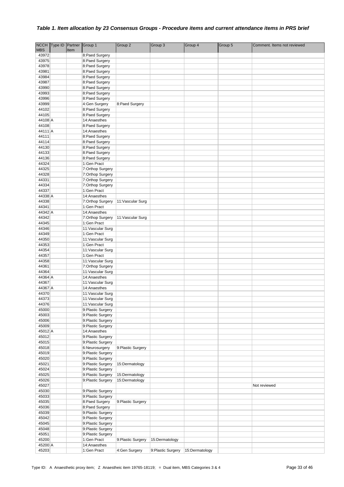| <b>MBS</b>       | NCCH Type ID Partner Group 1 | Item |                                        | Group 2            | Group 3           | Group 4        | Group 5 | Comment. Items not reviewed |
|------------------|------------------------------|------|----------------------------------------|--------------------|-------------------|----------------|---------|-----------------------------|
| 43972            |                              |      | 8:Paed Surgery                         |                    |                   |                |         |                             |
| 43975            |                              |      | 8:Paed Surgery                         |                    |                   |                |         |                             |
| 43978            |                              |      | 8:Paed Surgery                         |                    |                   |                |         |                             |
| 43981            |                              |      | 8:Paed Surgery                         |                    |                   |                |         |                             |
| 43984            |                              |      | 8:Paed Surgery                         |                    |                   |                |         |                             |
| 43987            |                              |      | 8:Paed Surgery                         |                    |                   |                |         |                             |
| 43990            |                              |      | 8:Paed Surgery                         |                    |                   |                |         |                             |
| 43993            |                              |      | 8:Paed Surgery                         |                    |                   |                |         |                             |
| 43996            |                              |      | 8:Paed Surgery                         |                    |                   |                |         |                             |
| 43999<br>44102   |                              |      | 4:Gen Surgery<br>8:Paed Surgery        | 8:Paed Surgery     |                   |                |         |                             |
| 44105            |                              |      | 8:Paed Surgery                         |                    |                   |                |         |                             |
| 44108 A          |                              |      | 14:Anaesthes                           |                    |                   |                |         |                             |
| 44108            |                              |      | 8:Paed Surgery                         |                    |                   |                |         |                             |
| 44111 A          |                              |      | 14:Anaesthes                           |                    |                   |                |         |                             |
| 44111            |                              |      | 8:Paed Surgery                         |                    |                   |                |         |                             |
| 44114            |                              |      | 8:Paed Surgery                         |                    |                   |                |         |                             |
| 44130            |                              |      | 8:Paed Surgery                         |                    |                   |                |         |                             |
| 44133            |                              |      | 8:Paed Surgery                         |                    |                   |                |         |                             |
| 44136<br>44324   |                              |      | 8:Paed Surgery                         |                    |                   |                |         |                             |
| 44325            |                              |      | 1:Gen Pract<br>7:Orthop Surgery        |                    |                   |                |         |                             |
| 44328            |                              |      | 7:Orthop Surgery                       |                    |                   |                |         |                             |
| 44331            |                              |      | 7:Orthop Surgery                       |                    |                   |                |         |                             |
| 44334            |                              |      | 7:Orthop Surgery                       |                    |                   |                |         |                             |
| 44337            |                              |      | 1:Gen Pract                            |                    |                   |                |         |                             |
| 44338 A          |                              |      | 14:Anaesthes                           |                    |                   |                |         |                             |
| 44338            |                              |      | 7:Orthop Surgery                       | 11: Vascular Surg  |                   |                |         |                             |
| 44341<br>44342 A |                              |      | 1:Gen Pract<br>14:Anaesthes            |                    |                   |                |         |                             |
| 44342            |                              |      | 7:Orthop Surgery                       | 11: Vascular Surg  |                   |                |         |                             |
| 44345            |                              |      | 1:Gen Pract                            |                    |                   |                |         |                             |
| 44346            |                              |      | 11: Vascular Surg                      |                    |                   |                |         |                             |
| 44349            |                              |      | 1:Gen Pract                            |                    |                   |                |         |                             |
| 44350            |                              |      | 11: Vascular Surg                      |                    |                   |                |         |                             |
| 44353            |                              |      | 1:Gen Pract                            |                    |                   |                |         |                             |
| 44354<br>44357   |                              |      | 11: Vascular Surg<br>1:Gen Pract       |                    |                   |                |         |                             |
| 44358            |                              |      | 11: Vascular Surg                      |                    |                   |                |         |                             |
| 44361            |                              |      | 7:Orthop Surgery                       |                    |                   |                |         |                             |
| 44364            |                              |      | 11: Vascular Surg                      |                    |                   |                |         |                             |
| 44364 A          |                              |      | 14:Anaesthes                           |                    |                   |                |         |                             |
| 44367            |                              |      | 11:Vascular Surg                       |                    |                   |                |         |                             |
| 44367 A<br>44370 |                              |      | 14:Anaesthes<br>11: Vascular Surg      |                    |                   |                |         |                             |
| 44373            |                              |      | 11: Vascular Surg                      |                    |                   |                |         |                             |
| 44376            |                              |      | 11: Vascular Surg                      |                    |                   |                |         |                             |
| 45000            |                              |      | 9:Plastic Surgery                      |                    |                   |                |         |                             |
| 45003            |                              |      | 9:Plastic Surgery                      |                    |                   |                |         |                             |
| 45006            |                              |      | 9:Plastic Surgery                      |                    |                   |                |         |                             |
| 45009            |                              |      | 9:Plastic Surgery                      |                    |                   |                |         |                             |
| 45012 A          |                              |      | 14:Anaesthes                           |                    |                   |                |         |                             |
| 45012<br>45015   |                              |      | 9:Plastic Surgery<br>9:Plastic Surgery |                    |                   |                |         |                             |
| 45018            |                              |      | 6:Neurosurgery                         | 9: Plastic Surgery |                   |                |         |                             |
| 45019            |                              |      | 9:Plastic Surgery                      |                    |                   |                |         |                             |
| 45020            |                              |      | 9:Plastic Surgery                      |                    |                   |                |         |                             |
| 45021            |                              |      | 9:Plastic Surgery                      | 15:Dermatology     |                   |                |         |                             |
| 45024            |                              |      | 9:Plastic Surgery                      |                    |                   |                |         |                             |
| 45025            |                              |      | 9:Plastic Surgery                      | 15:Dermatology     |                   |                |         |                             |
| 45026<br>45027   |                              |      | 9:Plastic Surgery                      | 15:Dermatology     |                   |                |         | Not reviewed                |
| 45030            |                              |      | 9:Plastic Surgery                      |                    |                   |                |         |                             |
| 45033            |                              |      | 9: Plastic Surgery                     |                    |                   |                |         |                             |
| 45035            |                              |      | 8:Paed Surgery                         | 9: Plastic Surgery |                   |                |         |                             |
| 45036            |                              |      | 8:Paed Surgery                         |                    |                   |                |         |                             |
| 45039            |                              |      | 9:Plastic Surgery                      |                    |                   |                |         |                             |
| 45042            |                              |      | 9:Plastic Surgery                      |                    |                   |                |         |                             |
| 45045<br>45048   |                              |      | 9:Plastic Surgery<br>9:Plastic Surgery |                    |                   |                |         |                             |
| 45051            |                              |      | 9: Plastic Surgery                     |                    |                   |                |         |                             |
| 45200            |                              |      | 1:Gen Pract                            | 9: Plastic Surgery | 15:Dermatology    |                |         |                             |
| 45200 A          |                              |      | 14:Anaesthes                           |                    |                   |                |         |                             |
| 45203            |                              |      | 1:Gen Pract                            | 4:Gen Surgery      | 9:Plastic Surgery | 15:Dermatology |         |                             |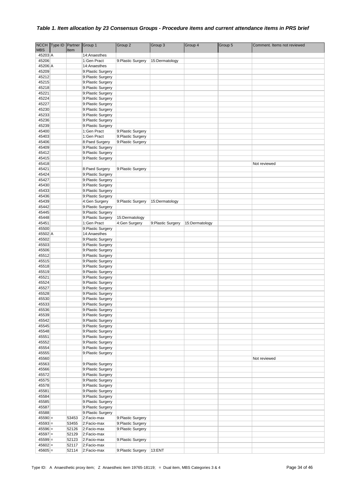|                        | NCCH Type ID Partner |       | Group 1                                 | Group 2                         | Group 3           | Group 4        | Group 5 | Comment. Items not reviewed |
|------------------------|----------------------|-------|-----------------------------------------|---------------------------------|-------------------|----------------|---------|-----------------------------|
| <b>MBS</b><br>45203 A  |                      | Item  |                                         |                                 |                   |                |         |                             |
| 45206                  |                      |       | 14:Anaesthes<br>1:Gen Pract             | 9: Plastic Surgery              | 15:Dermatology    |                |         |                             |
| 45206 A                |                      |       | 14:Anaesthes                            |                                 |                   |                |         |                             |
| 45209                  |                      |       | 9:Plastic Surgery                       |                                 |                   |                |         |                             |
| 45212                  |                      |       | 9:Plastic Surgery                       |                                 |                   |                |         |                             |
| 45215                  |                      |       | 9:Plastic Surgery                       |                                 |                   |                |         |                             |
| 45218                  |                      |       | 9:Plastic Surgery                       |                                 |                   |                |         |                             |
| 45221                  |                      |       | 9: Plastic Surgery                      |                                 |                   |                |         |                             |
| 45224                  |                      |       | 9: Plastic Surgery                      |                                 |                   |                |         |                             |
| 45227                  |                      |       | 9:Plastic Surgery                       |                                 |                   |                |         |                             |
| 45230                  |                      |       | 9:Plastic Surgery                       |                                 |                   |                |         |                             |
| 45233                  |                      |       | 9:Plastic Surgery                       |                                 |                   |                |         |                             |
| 45236                  |                      |       | 9:Plastic Surgery                       |                                 |                   |                |         |                             |
| 45239                  |                      |       | 9: Plastic Surgery                      |                                 |                   |                |         |                             |
| 45400                  |                      |       | 1:Gen Pract                             | 9: Plastic Surgery              |                   |                |         |                             |
| 45403<br>45406         |                      |       | 1:Gen Pract                             | 9: Plastic Surgery              |                   |                |         |                             |
| 45409                  |                      |       | 8:Paed Surgery<br>9:Plastic Surgery     | 9: Plastic Surgery              |                   |                |         |                             |
| 45412                  |                      |       | 9:Plastic Surgery                       |                                 |                   |                |         |                             |
| 45415                  |                      |       | 9:Plastic Surgery                       |                                 |                   |                |         |                             |
| 45418                  |                      |       |                                         |                                 |                   |                |         | Not reviewed                |
| 45421                  |                      |       | 8:Paed Surgery                          | 9: Plastic Surgery              |                   |                |         |                             |
| 45424                  |                      |       | 9: Plastic Surgery                      |                                 |                   |                |         |                             |
| 45427                  |                      |       | 9:Plastic Surgery                       |                                 |                   |                |         |                             |
| 45430                  |                      |       | 9:Plastic Surgery                       |                                 |                   |                |         |                             |
| 45433                  |                      |       | 9:Plastic Surgery                       |                                 |                   |                |         |                             |
| 45436                  |                      |       | 9:Plastic Surgery                       |                                 |                   |                |         |                             |
| 45439                  |                      |       | 4:Gen Surgery                           | 9: Plastic Surgery              | 15:Dermatology    |                |         |                             |
| 45442                  |                      |       | 9:Plastic Surgery                       |                                 |                   |                |         |                             |
| 45445                  |                      |       | 9:Plastic Surgery                       |                                 |                   |                |         |                             |
| 45448<br>45451         |                      |       | 9:Plastic Surgery<br>1:Gen Pract        | 15:Dermatology<br>4:Gen Surgery | 9:Plastic Surgery |                |         |                             |
| 45500                  |                      |       | 9:Plastic Surgery                       |                                 |                   | 15:Dermatology |         |                             |
| 45502 A                |                      |       | 14:Anaesthes                            |                                 |                   |                |         |                             |
| 45502                  |                      |       | 9:Plastic Surgery                       |                                 |                   |                |         |                             |
| 45503                  |                      |       | 9:Plastic Surgery                       |                                 |                   |                |         |                             |
| 45506                  |                      |       | 9:Plastic Surgery                       |                                 |                   |                |         |                             |
| 45512                  |                      |       | 9:Plastic Surgery                       |                                 |                   |                |         |                             |
| 45515                  |                      |       | 9: Plastic Surgery                      |                                 |                   |                |         |                             |
| 45518                  |                      |       | 9:Plastic Surgery                       |                                 |                   |                |         |                             |
| 45519                  |                      |       | 9: Plastic Surgery                      |                                 |                   |                |         |                             |
| 45521                  |                      |       | 9:Plastic Surgery                       |                                 |                   |                |         |                             |
| 45524                  |                      |       | 9: Plastic Surgery                      |                                 |                   |                |         |                             |
| 45527                  |                      |       | 9:Plastic Surgery                       |                                 |                   |                |         |                             |
| 45528                  |                      |       | 9:Plastic Surgery                       |                                 |                   |                |         |                             |
| 45530<br>45533         |                      |       | 9:Plastic Surgery<br>9: Plastic Surgery |                                 |                   |                |         |                             |
| 45536                  |                      |       | 9:Plastic Surgery                       |                                 |                   |                |         |                             |
| 45539                  |                      |       | 9:Plastic Surgery                       |                                 |                   |                |         |                             |
| 45542                  |                      |       | 9: Plastic Surgery                      |                                 |                   |                |         |                             |
| 45545                  |                      |       | 9:Plastic Surgery                       |                                 |                   |                |         |                             |
| 45548                  |                      |       | 9:Plastic Surgery                       |                                 |                   |                |         |                             |
| 45551                  |                      |       | 9:Plastic Surgery                       |                                 |                   |                |         |                             |
| 45552                  |                      |       | 9:Plastic Surgery                       |                                 |                   |                |         |                             |
| 45554                  |                      |       | 9:Plastic Surgery                       |                                 |                   |                |         |                             |
| 45555                  |                      |       | 9:Plastic Surgery                       |                                 |                   |                |         |                             |
| 45560                  |                      |       |                                         |                                 |                   |                |         | Not reviewed                |
| 45563                  |                      |       | 9: Plastic Surgery                      |                                 |                   |                |         |                             |
| 45566<br>45572         |                      |       | 9:Plastic Surgery<br>9:Plastic Surgery  |                                 |                   |                |         |                             |
| 45575                  |                      |       | 9:Plastic Surgery                       |                                 |                   |                |         |                             |
| 45578                  |                      |       | 9:Plastic Surgery                       |                                 |                   |                |         |                             |
| 45581                  |                      |       | 9:Plastic Surgery                       |                                 |                   |                |         |                             |
| 45584                  |                      |       | 9:Plastic Surgery                       |                                 |                   |                |         |                             |
| 45585                  |                      |       | 9:Plastic Surgery                       |                                 |                   |                |         |                             |
| 45587                  |                      |       | 9: Plastic Surgery                      |                                 |                   |                |         |                             |
| 45588                  |                      |       | 9:Plastic Surgery                       |                                 |                   |                |         |                             |
| $45590 =$              |                      | 53453 | 2:Facio-max                             | 9: Plastic Surgery              |                   |                |         |                             |
| $45593 =$              |                      | 53455 | 2:Facio-max                             | 9: Plastic Surgery              |                   |                |         |                             |
| $45596 =$              |                      | 52126 | 2:Facio-max                             | 9: Plastic Surgery              |                   |                |         |                             |
| $45597 =$              |                      | 52129 | 2:Facio-max                             |                                 |                   |                |         |                             |
| $45599 =$              |                      | 52123 | 2:Facio-max                             | 9: Plastic Surgery              |                   |                |         |                             |
| $45602 =$<br>$45605 =$ |                      | 52117 | 2:Facio-max                             |                                 |                   |                |         |                             |
|                        |                      | 52114 | 2:Facio-max                             | 9: Plastic Surgery              | 13:ENT            |                |         |                             |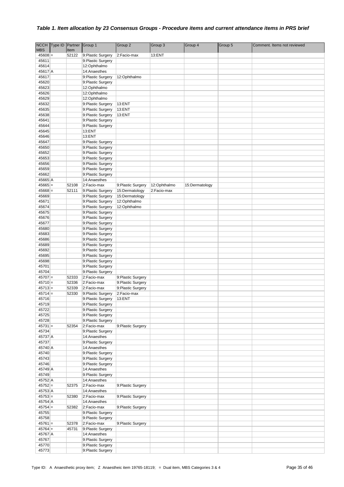|                         | NCCH Type ID Partner |                | Group 1                                | Group 2               | Group 3      | Group 4        | Group 5 | Comment. Items not reviewed |
|-------------------------|----------------------|----------------|----------------------------------------|-----------------------|--------------|----------------|---------|-----------------------------|
| <b>MBS</b><br>$45608 =$ |                      | Item<br>52122  | 9:Plastic Surgery                      | 2:Facio-max           | 13:ENT       |                |         |                             |
| 45611                   |                      |                | 9:Plastic Surgery                      |                       |              |                |         |                             |
| 45614                   |                      |                | 12:Ophthalmo                           |                       |              |                |         |                             |
| 45617 A                 |                      |                | 14:Anaesthes                           |                       |              |                |         |                             |
| 45617                   |                      |                | 9:Plastic Surgery                      | 12:Ophthalmo          |              |                |         |                             |
| 45620                   |                      |                | 9:Plastic Surgery                      |                       |              |                |         |                             |
| 45623                   |                      |                | 12:Ophthalmo                           |                       |              |                |         |                             |
| 45626                   |                      |                | 12:Ophthalmo                           |                       |              |                |         |                             |
| 45629                   |                      |                | 12:Ophthalmo                           |                       |              |                |         |                             |
| 45632<br>45635          |                      |                | 9:Plastic Surgery<br>9:Plastic Surgery | 13:ENT<br>13:ENT      |              |                |         |                             |
| 45638                   |                      |                | 9:Plastic Surgery                      | 13:ENT                |              |                |         |                             |
| 45641                   |                      |                | 9:Plastic Surgery                      |                       |              |                |         |                             |
| 45644                   |                      |                | 9:Plastic Surgery                      |                       |              |                |         |                             |
| 45645                   |                      |                | 13:ENT                                 |                       |              |                |         |                             |
| 45646                   |                      |                | 13:ENT                                 |                       |              |                |         |                             |
| 45647                   |                      |                | 9:Plastic Surgery                      |                       |              |                |         |                             |
| 45650                   |                      |                | 9:Plastic Surgery                      |                       |              |                |         |                             |
| 45652                   |                      |                | 9:Plastic Surgery                      |                       |              |                |         |                             |
| 45653<br>45656          |                      |                | 9:Plastic Surgery<br>9:Plastic Surgery |                       |              |                |         |                             |
| 45659                   |                      |                | 9:Plastic Surgery                      |                       |              |                |         |                             |
| 45662                   |                      |                | 9:Plastic Surgery                      |                       |              |                |         |                             |
| 45665 A                 |                      |                | 14:Anaesthes                           |                       |              |                |         |                             |
| $45665 =$               |                      | 52108          | 2:Facio-max                            | 9: Plastic Surgery    | 12:Ophthalmo | 15:Dermatology |         |                             |
| $45668 =$               |                      | 52111          | 9:Plastic Surgery                      | 15:Dermatology        | 2:Facio-max  |                |         |                             |
| 45669                   |                      |                | 9:Plastic Surgery                      | 15:Dermatology        |              |                |         |                             |
| 45671                   |                      |                | 9:Plastic Surgery                      | 12:Ophthalmo          |              |                |         |                             |
| 45674<br>45675          |                      |                | 9:Plastic Surgery<br>9:Plastic Surgery | 12:Ophthalmo          |              |                |         |                             |
| 45676                   |                      |                | 9:Plastic Surgery                      |                       |              |                |         |                             |
| 45677                   |                      |                | 9:Plastic Surgery                      |                       |              |                |         |                             |
| 45680                   |                      |                | 9:Plastic Surgery                      |                       |              |                |         |                             |
| 45683                   |                      |                | 9:Plastic Surgery                      |                       |              |                |         |                             |
| 45686                   |                      |                | 9:Plastic Surgery                      |                       |              |                |         |                             |
| 45689                   |                      |                | 9:Plastic Surgery                      |                       |              |                |         |                             |
| 45692<br>45695          |                      |                | 9:Plastic Surgery<br>9:Plastic Surgery |                       |              |                |         |                             |
| 45698                   |                      |                | 9:Plastic Surgery                      |                       |              |                |         |                             |
| 45701                   |                      |                | 9:Plastic Surgery                      |                       |              |                |         |                             |
| 45704                   |                      |                | 9:Plastic Surgery                      |                       |              |                |         |                             |
| $45707 =$               |                      | 52333          | 2:Facio-max                            | 9: Plastic Surgery    |              |                |         |                             |
| $45710 =$               |                      | 52336          | 2:Facio-max                            | 9:Plastic Surgery     |              |                |         |                             |
| $45713 =$               |                      | 52339<br>52330 | 2:Facio-max                            | 9:Plastic Surgery     |              |                |         |                             |
| $45714 =$<br>45716      |                      |                | 9:Plastic Surgery<br>9:Plastic Surgery | 2:Facio-max<br>13:ENT |              |                |         |                             |
| 45719                   |                      |                | 9:Plastic Surgery                      |                       |              |                |         |                             |
| 45722                   |                      |                | 9:Plastic Surgery                      |                       |              |                |         |                             |
| 45725                   |                      |                | 9:Plastic Surgery                      |                       |              |                |         |                             |
| 45728                   |                      |                | 9:Plastic Surgery                      |                       |              |                |         |                             |
| $45731 =$               |                      | 52354          | 2:Facio-max                            | 9: Plastic Surgery    |              |                |         |                             |
| 45734                   |                      |                | 9:Plastic Surgery                      |                       |              |                |         |                             |
| 45737 A<br>45737        |                      |                | 14:Anaesthes<br>9: Plastic Surgery     |                       |              |                |         |                             |
| 45740 A                 |                      |                | 14:Anaesthes                           |                       |              |                |         |                             |
| 45740                   |                      |                | 9:Plastic Surgery                      |                       |              |                |         |                             |
| 45743                   |                      |                | 9:Plastic Surgery                      |                       |              |                |         |                             |
| 45746                   |                      |                | 9:Plastic Surgery                      |                       |              |                |         |                             |
| 45749 A<br>45749        |                      |                | 14:Anaesthes<br>9:Plastic Surgery      |                       |              |                |         |                             |
| 45752 A                 |                      |                | 14:Anaesthes                           |                       |              |                |         |                             |
| $45752 =$               |                      | 52375          | 2:Facio-max                            | 9: Plastic Surgery    |              |                |         |                             |
| 45753 A                 |                      |                | 14:Anaesthes                           |                       |              |                |         |                             |
| $45753 =$               |                      | 52380          | 2:Facio-max                            | 9: Plastic Surgery    |              |                |         |                             |
| 45754 A                 |                      |                | 14:Anaesthes                           |                       |              |                |         |                             |
| $45754 =$               |                      | 52382          | 2:Facio-max                            | 9: Plastic Surgery    |              |                |         |                             |
| 45755<br>45758          |                      |                | 9:Plastic Surgery<br>9:Plastic Surgery |                       |              |                |         |                             |
| $45761 =$               |                      | 52378          | 2:Facio-max                            | 9: Plastic Surgery    |              |                |         |                             |
| $45764 +$               |                      | 45731          | 9:Plastic Surgery                      |                       |              |                |         |                             |
| 45767 A                 |                      |                | 14:Anaesthes                           |                       |              |                |         |                             |
| 45767                   |                      |                | 9:Plastic Surgery                      |                       |              |                |         |                             |
| 45770                   |                      |                | 9:Plastic Surgery                      |                       |              |                |         |                             |
| 45773                   |                      |                | 9:Plastic Surgery                      |                       |              |                |         |                             |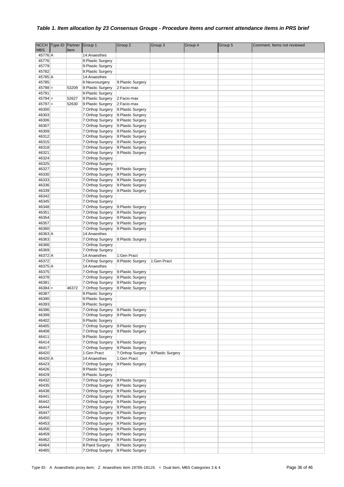| <b>NCCH</b> | Type ID Partner |       | Group 1            | Group 2            | Group 3            | Group 4 | Group 5 | Comment. Items not reviewed |
|-------------|-----------------|-------|--------------------|--------------------|--------------------|---------|---------|-----------------------------|
| <b>MBS</b>  |                 | Item  |                    |                    |                    |         |         |                             |
| 45776 A     |                 |       | 14:Anaesthes       |                    |                    |         |         |                             |
| 45776       |                 |       | 9:Plastic Surgery  |                    |                    |         |         |                             |
| 45779       |                 |       | 9:Plastic Surgery  |                    |                    |         |         |                             |
| 45782       |                 |       | 9:Plastic Surgery  |                    |                    |         |         |                             |
| 45785 A     |                 |       | 14:Anaesthes       |                    |                    |         |         |                             |
| 45785       |                 |       | 6:Neurosurgery     | 9: Plastic Surgery |                    |         |         |                             |
| $45788 =$   |                 | 53209 | 9:Plastic Surgery  | 2:Facio-max        |                    |         |         |                             |
| 45791       |                 |       | 9:Plastic Surgery  |                    |                    |         |         |                             |
| $45794 =$   |                 | 52627 | 9:Plastic Surgery  | 2:Facio-max        |                    |         |         |                             |
| $45797 =$   |                 | 52630 | 9:Plastic Surgery  | 2:Facio-max        |                    |         |         |                             |
| 46300       |                 |       | 7:Orthop Surgery   | 9:Plastic Surgery  |                    |         |         |                             |
| 46303       |                 |       | 7:Orthop Surgery   | 9: Plastic Surgery |                    |         |         |                             |
| 46306       |                 |       | 7:Orthop Surgery   | 9:Plastic Surgery  |                    |         |         |                             |
| 46307       |                 |       | 7:Orthop Surgery   | 9: Plastic Surgery |                    |         |         |                             |
| 46309       |                 |       | 7:Orthop Surgery   | 9: Plastic Surgery |                    |         |         |                             |
| 46312       |                 |       | 7:Orthop Surgery   | 9: Plastic Surgery |                    |         |         |                             |
| 46315       |                 |       | 7:Orthop Surgery   | 9: Plastic Surgery |                    |         |         |                             |
| 46318       |                 |       | 7:Orthop Surgery   | 9: Plastic Surgery |                    |         |         |                             |
| 46321       |                 |       | 7:Orthop Surgery   | 9: Plastic Surgery |                    |         |         |                             |
| 46324       |                 |       | 7:Orthop Surgery   |                    |                    |         |         |                             |
| 46325       |                 |       | 7:Orthop Surgery   |                    |                    |         |         |                             |
| 46327       |                 |       | 7:Orthop Surgery   | 9: Plastic Surgery |                    |         |         |                             |
| 46330       |                 |       | 7:Orthop Surgery   | 9: Plastic Surgery |                    |         |         |                             |
| 46333       |                 |       | 7:Orthop Surgery   | 9: Plastic Surgery |                    |         |         |                             |
| 46336       |                 |       | 7:Orthop Surgery   | 9: Plastic Surgery |                    |         |         |                             |
|             |                 |       |                    |                    |                    |         |         |                             |
| 46339       |                 |       | 7:Orthop Surgery   | 9:Plastic Surgery  |                    |         |         |                             |
| 46342       |                 |       | 7:Orthop Surgery   |                    |                    |         |         |                             |
| 46345       |                 |       | 7:Orthop Surgery   |                    |                    |         |         |                             |
| 46348       |                 |       | 7:Orthop Surgery   | 9: Plastic Surgery |                    |         |         |                             |
| 46351       |                 |       | 7:Orthop Surgery   | 9: Plastic Surgery |                    |         |         |                             |
| 46354       |                 |       | 7:Orthop Surgery   | 9:Plastic Surgery  |                    |         |         |                             |
| 46357       |                 |       | 7:Orthop Surgery   | 9: Plastic Surgery |                    |         |         |                             |
| 46360       |                 |       | 7:Orthop Surgery   | 9:Plastic Surgery  |                    |         |         |                             |
| 46363 A     |                 |       | 14:Anaesthes       |                    |                    |         |         |                             |
| 46363       |                 |       | 7:Orthop Surgery   | 9: Plastic Surgery |                    |         |         |                             |
| 46366       |                 |       | 7:Orthop Surgery   |                    |                    |         |         |                             |
| 46369       |                 |       | 7:Orthop Surgery   |                    |                    |         |         |                             |
| 46372 A     |                 |       | 14:Anaesthes       | 1:Gen Pract        |                    |         |         |                             |
| 46372       |                 |       | 7:Orthop Surgery   | 9:Plastic Surgery  | 1:Gen Pract        |         |         |                             |
| 46375 A     |                 |       | 14:Anaesthes       |                    |                    |         |         |                             |
| 46375       |                 |       | 7:Orthop Surgery   | 9: Plastic Surgery |                    |         |         |                             |
| 46378       |                 |       | 7:Orthop Surgery   | 9:Plastic Surgery  |                    |         |         |                             |
| 46381       |                 |       | 7:Orthop Surgery   | 9: Plastic Surgery |                    |         |         |                             |
| $46384 +$   |                 | 46372 | 7:Orthop Surgery   | 9:Plastic Surgery  |                    |         |         |                             |
| 46387       |                 |       | 9:Plastic Surgery  |                    |                    |         |         |                             |
| 46390       |                 |       | 9: Plastic Surgery |                    |                    |         |         |                             |
| 46393       |                 |       | 9:Plastic Surgery  |                    |                    |         |         |                             |
| 46396       |                 |       | 7:Orthop Surgery   | 9:Plastic Surgery  |                    |         |         |                             |
| 46399       |                 |       | 7:Orthop Surgery   | 9:Plastic Surgery  |                    |         |         |                             |
| 46402       |                 |       | 9:Plastic Surgery  |                    |                    |         |         |                             |
| 46405       |                 |       | 7:Orthop Surgery   | 9: Plastic Surgery |                    |         |         |                             |
| 46408       |                 |       | 7:Orthop Surgery   | 9:Plastic Surgery  |                    |         |         |                             |
| 46411       |                 |       | 9:Plastic Surgery  |                    |                    |         |         |                             |
| 46414       |                 |       | 7:Orthop Surgery   | 9:Plastic Surgery  |                    |         |         |                             |
| 46417       |                 |       | 7:Orthop Surgery   | 9:Plastic Surgery  |                    |         |         |                             |
| 46420       |                 |       | 1:Gen Pract        | 7:Orthop Surgery   | 9: Plastic Surgery |         |         |                             |
| 46420 A     |                 |       | 14:Anaesthes       | 1:Gen Pract        |                    |         |         |                             |
| 46423       |                 |       | 7:Orthop Surgery   | 9:Plastic Surgery  |                    |         |         |                             |
| 46426       |                 |       | 9:Plastic Surgery  |                    |                    |         |         |                             |
| 46429       |                 |       | 9:Plastic Surgery  |                    |                    |         |         |                             |
| 46432       |                 |       | 7:Orthop Surgery   | 9: Plastic Surgery |                    |         |         |                             |
| 46435       |                 |       | 7:Orthop Surgery   | 9: Plastic Surgery |                    |         |         |                             |
| 46438       |                 |       | 7:Orthop Surgery   | 9:Plastic Surgery  |                    |         |         |                             |
| 46441       |                 |       | 7:Orthop Surgery   | 9: Plastic Surgery |                    |         |         |                             |
| 46442       |                 |       | 7:Orthop Surgery   | 9: Plastic Surgery |                    |         |         |                             |
| 46444       |                 |       | 7:Orthop Surgery   | 9: Plastic Surgery |                    |         |         |                             |
| 46447       |                 |       | 7:Orthop Surgery   | 9:Plastic Surgery  |                    |         |         |                             |
| 46450       |                 |       | 7:Orthop Surgery   | 9: Plastic Surgery |                    |         |         |                             |
| 46453       |                 |       | 7:Orthop Surgery   | 9:Plastic Surgery  |                    |         |         |                             |
| 46456       |                 |       | 7:Orthop Surgery   | 9:Plastic Surgery  |                    |         |         |                             |
| 46459       |                 |       | 7:Orthop Surgery   | 9:Plastic Surgery  |                    |         |         |                             |
| 46462       |                 |       | 7:Orthop Surgery   | 9:Plastic Surgery  |                    |         |         |                             |
| 46464       |                 |       | 8:Paed Surgery     | 9:Plastic Surgery  |                    |         |         |                             |
| 46465       |                 |       | 7:Orthop Surgery   | 9: Plastic Surgery |                    |         |         |                             |
|             |                 |       |                    |                    |                    |         |         |                             |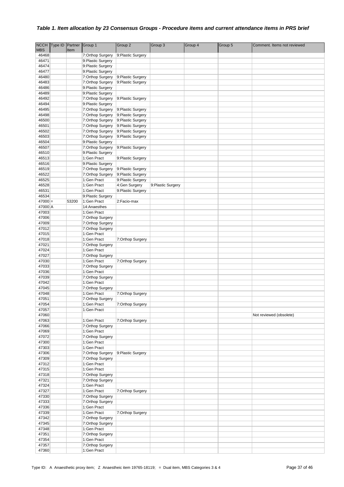| <b>NCCH</b>    | Type ID Partner |       | Group 1                                 | Group 2            | Group 3            | Group 4 | Group 5 | Comment. Items not reviewed |
|----------------|-----------------|-------|-----------------------------------------|--------------------|--------------------|---------|---------|-----------------------------|
| <b>MBS</b>     |                 | Item  |                                         |                    |                    |         |         |                             |
| 46468          |                 |       | 7:Orthop Surgery                        | 9: Plastic Surgery |                    |         |         |                             |
| 46471          |                 |       | 9: Plastic Surgery                      |                    |                    |         |         |                             |
| 46474          |                 |       | 9:Plastic Surgery                       |                    |                    |         |         |                             |
| 46477          |                 |       | 9:Plastic Surgery                       |                    |                    |         |         |                             |
| 46480          |                 |       | 7:Orthop Surgery                        | 9:Plastic Surgery  |                    |         |         |                             |
| 46483          |                 |       | 7:Orthop Surgery                        | 9: Plastic Surgery |                    |         |         |                             |
| 46486<br>46489 |                 |       | 9: Plastic Surgery<br>9:Plastic Surgery |                    |                    |         |         |                             |
| 46492          |                 |       | 7:Orthop Surgery                        | 9:Plastic Surgery  |                    |         |         |                             |
| 46494          |                 |       | 9:Plastic Surgery                       |                    |                    |         |         |                             |
| 46495          |                 |       | 7:Orthop Surgery                        | 9:Plastic Surgery  |                    |         |         |                             |
| 46498          |                 |       | 7:Orthop Surgery                        | 9:Plastic Surgery  |                    |         |         |                             |
| 46500          |                 |       | 7:Orthop Surgery                        | 9:Plastic Surgery  |                    |         |         |                             |
| 46501          |                 |       | 7:Orthop Surgery                        | 9: Plastic Surgery |                    |         |         |                             |
| 46502          |                 |       | 7:Orthop Surgery                        | 9: Plastic Surgery |                    |         |         |                             |
| 46503          |                 |       | 7:Orthop Surgery                        | 9: Plastic Surgery |                    |         |         |                             |
| 46504          |                 |       | 9: Plastic Surgery                      |                    |                    |         |         |                             |
| 46507          |                 |       | 7:Orthop Surgery                        | 9: Plastic Surgery |                    |         |         |                             |
| 46510          |                 |       | 9:Plastic Surgery                       |                    |                    |         |         |                             |
| 46513<br>46516 |                 |       | 1:Gen Pract<br>9:Plastic Surgery        | 9:Plastic Surgery  |                    |         |         |                             |
| 46519          |                 |       | 7:Orthop Surgery                        | 9: Plastic Surgery |                    |         |         |                             |
| 46522          |                 |       | 7:Orthop Surgery                        | 9: Plastic Surgery |                    |         |         |                             |
| 46525          |                 |       | 1:Gen Pract                             | 9:Plastic Surgery  |                    |         |         |                             |
| 46528          |                 |       | 1:Gen Pract                             | 4:Gen Surgery      | 9: Plastic Surgery |         |         |                             |
| 46531          |                 |       | 1:Gen Pract                             | 9:Plastic Surgery  |                    |         |         |                             |
| 46534          |                 |       | 9:Plastic Surgery                       |                    |                    |         |         |                             |
| $47000 =$      |                 | 53200 | 1:Gen Pract                             | 2:Facio-max        |                    |         |         |                             |
| 47000 A        |                 |       | 14:Anaesthes                            |                    |                    |         |         |                             |
| 47003          |                 |       | 1:Gen Pract                             |                    |                    |         |         |                             |
| 47006          |                 |       | 7:Orthop Surgery                        |                    |                    |         |         |                             |
| 47009          |                 |       | 7:Orthop Surgery                        |                    |                    |         |         |                             |
| 47012          |                 |       | 7:Orthop Surgery                        |                    |                    |         |         |                             |
| 47015<br>47018 |                 |       | 1:Gen Pract                             |                    |                    |         |         |                             |
| 47021          |                 |       | 1:Gen Pract<br>7:Orthop Surgery         | 7:Orthop Surgery   |                    |         |         |                             |
| 47024          |                 |       | 1:Gen Pract                             |                    |                    |         |         |                             |
| 47027          |                 |       | 7:Orthop Surgery                        |                    |                    |         |         |                             |
| 47030          |                 |       | 1:Gen Pract                             | 7:Orthop Surgery   |                    |         |         |                             |
| 47033          |                 |       | 7:Orthop Surgery                        |                    |                    |         |         |                             |
| 47036          |                 |       | 1:Gen Pract                             |                    |                    |         |         |                             |
| 47039          |                 |       | 7:Orthop Surgery                        |                    |                    |         |         |                             |
| 47042          |                 |       | 1:Gen Pract                             |                    |                    |         |         |                             |
| 47045          |                 |       | 7:Orthop Surgery                        |                    |                    |         |         |                             |
| 47048          |                 |       | 1:Gen Pract                             | 7:Orthop Surgery   |                    |         |         |                             |
| 47051          |                 |       | 7:Orthop Surgery                        |                    |                    |         |         |                             |
| 47054<br>47057 |                 |       | 1:Gen Pract<br>1:Gen Pract              | 7:Orthop Surgery   |                    |         |         |                             |
| 47060          |                 |       |                                         |                    |                    |         |         | Not reviewed (obsolete)     |
| 47063          |                 |       | 1:Gen Pract                             | 7:Orthop Surgery   |                    |         |         |                             |
| 47066          |                 |       | 7:Orthop Surgery                        |                    |                    |         |         |                             |
| 47069          |                 |       | 1:Gen Pract                             |                    |                    |         |         |                             |
| 47072          |                 |       | 7:Orthop Surgery                        |                    |                    |         |         |                             |
| 47300          |                 |       | 1:Gen Pract                             |                    |                    |         |         |                             |
| 47303          |                 |       | 1:Gen Pract                             |                    |                    |         |         |                             |
| 47306          |                 |       | 7:Orthop Surgery                        | 9: Plastic Surgery |                    |         |         |                             |
| 47309          |                 |       | 7:Orthop Surgery                        |                    |                    |         |         |                             |
| 47312<br>47315 |                 |       | 1:Gen Pract<br>1:Gen Pract              |                    |                    |         |         |                             |
| 47318          |                 |       | 7:Orthop Surgery                        |                    |                    |         |         |                             |
| 47321          |                 |       | 7:Orthop Surgery                        |                    |                    |         |         |                             |
| 47324          |                 |       | 1:Gen Pract                             |                    |                    |         |         |                             |
| 47327          |                 |       | 1:Gen Pract                             | 7:Orthop Surgery   |                    |         |         |                             |
| 47330          |                 |       | 7:Orthop Surgery                        |                    |                    |         |         |                             |
| 47333          |                 |       | 7:Orthop Surgery                        |                    |                    |         |         |                             |
| 47336          |                 |       | 1:Gen Pract                             |                    |                    |         |         |                             |
| 47339          |                 |       | 1:Gen Pract                             | 7:Orthop Surgery   |                    |         |         |                             |
| 47342          |                 |       | 7:Orthop Surgery                        |                    |                    |         |         |                             |
| 47345          |                 |       | 7:Orthop Surgery                        |                    |                    |         |         |                             |
| 47348          |                 |       | 1:Gen Pract                             |                    |                    |         |         |                             |
| 47351          |                 |       | 7:Orthop Surgery                        |                    |                    |         |         |                             |
| 47354          |                 |       | 1:Gen Pract                             |                    |                    |         |         |                             |
| 47357          |                 |       | 7:Orthop Surgery                        |                    |                    |         |         |                             |
| 47360          |                 |       | 1:Gen Pract                             |                    |                    |         |         |                             |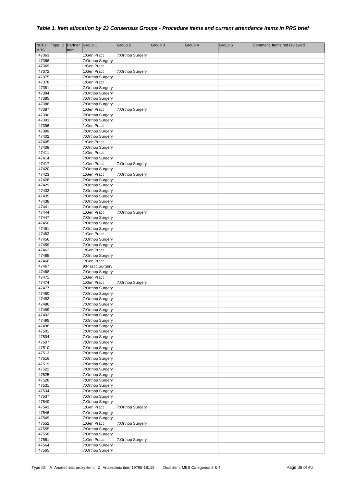|                | NCCH Type ID Partner |      | Group 1                              | Group 2          | Group 3 | Group 4 | Group 5 | Comment. Items not reviewed |
|----------------|----------------------|------|--------------------------------------|------------------|---------|---------|---------|-----------------------------|
| <b>MBS</b>     |                      | Item |                                      |                  |         |         |         |                             |
| 47363          |                      |      | 1:Gen Pract                          | 7:Orthop Surgery |         |         |         |                             |
| 47366          |                      |      | 7:Orthop Surgery                     |                  |         |         |         |                             |
| 47369          |                      |      | 1:Gen Pract                          |                  |         |         |         |                             |
| 47372          |                      |      | 1:Gen Pract                          | 7:Orthop Surgery |         |         |         |                             |
| 47375<br>47378 |                      |      | 7:Orthop Surgery<br>1:Gen Pract      |                  |         |         |         |                             |
| 47381          |                      |      | 7:Orthop Surgery                     |                  |         |         |         |                             |
| 47384          |                      |      | 7:Orthop Surgery                     |                  |         |         |         |                             |
| 47385          |                      |      | 7:Orthop Surgery                     |                  |         |         |         |                             |
| 47386          |                      |      | 7:Orthop Surgery                     |                  |         |         |         |                             |
| 47387          |                      |      | 1:Gen Pract                          | 7:Orthop Surgery |         |         |         |                             |
| 47390          |                      |      | 7:Orthop Surgery                     |                  |         |         |         |                             |
| 47393          |                      |      | 7:Orthop Surgery                     |                  |         |         |         |                             |
| 47396          |                      |      | 1:Gen Pract                          |                  |         |         |         |                             |
| 47399          |                      |      | 7:Orthop Surgery                     |                  |         |         |         |                             |
| 47402          |                      |      | 7:Orthop Surgery                     |                  |         |         |         |                             |
| 47405          |                      |      | 1:Gen Pract                          |                  |         |         |         |                             |
| 47408          |                      |      | 7:Orthop Surgery                     |                  |         |         |         |                             |
| 47411<br>47414 |                      |      | 1:Gen Pract<br>7:Orthop Surgery      |                  |         |         |         |                             |
| 47417          |                      |      | 1:Gen Pract                          | 7:Orthop Surgery |         |         |         |                             |
| 47420          |                      |      | 7:Orthop Surgery                     |                  |         |         |         |                             |
| 47423          |                      |      | 1:Gen Pract                          | 7:Orthop Surgery |         |         |         |                             |
| 47426          |                      |      | 7:Orthop Surgery                     |                  |         |         |         |                             |
| 47429          |                      |      | 7:Orthop Surgery                     |                  |         |         |         |                             |
| 47432          |                      |      | 7:Orthop Surgery                     |                  |         |         |         |                             |
| 47435          |                      |      | 7:Orthop Surgery                     |                  |         |         |         |                             |
| 47438          |                      |      | 7:Orthop Surgery                     |                  |         |         |         |                             |
| 47441          |                      |      | 7:Orthop Surgery                     |                  |         |         |         |                             |
| 47444          |                      |      | 1:Gen Pract                          | 7:Orthop Surgery |         |         |         |                             |
| 47447          |                      |      | 7:Orthop Surgery                     |                  |         |         |         |                             |
| 47450<br>47451 |                      |      | 7:Orthop Surgery<br>7:Orthop Surgery |                  |         |         |         |                             |
| 47453          |                      |      | 1:Gen Pract                          |                  |         |         |         |                             |
| 47456          |                      |      | 7:Orthop Surgery                     |                  |         |         |         |                             |
| 47459          |                      |      | 7:Orthop Surgery                     |                  |         |         |         |                             |
| 47462          |                      |      | 1:Gen Pract                          |                  |         |         |         |                             |
| 47465          |                      |      | 7:Orthop Surgery                     |                  |         |         |         |                             |
| 47466          |                      |      | 1:Gen Pract                          |                  |         |         |         |                             |
| 47467          |                      |      | 9:Plastic Surgery                    |                  |         |         |         |                             |
| 47468          |                      |      | 7:Orthop Surgery                     |                  |         |         |         |                             |
| 47471          |                      |      | 1:Gen Pract                          |                  |         |         |         |                             |
| 47474          |                      |      | 1:Gen Pract                          | 7:Orthop Surgery |         |         |         |                             |
| 47477<br>47480 |                      |      | 7:Orthop Surgery<br>7:Orthop Surgery |                  |         |         |         |                             |
| 47483          |                      |      | 7:Orthop Surgery                     |                  |         |         |         |                             |
| 47486          |                      |      | 7:Orthop Surgery                     |                  |         |         |         |                             |
| 47489          |                      |      | 7:Orthop Surgery                     |                  |         |         |         |                             |
| 47492          |                      |      | 7:Orthop Surgery                     |                  |         |         |         |                             |
| 47495          |                      |      | 7:Orthop Surgery                     |                  |         |         |         |                             |
| 47498          |                      |      | 7:Orthop Surgery                     |                  |         |         |         |                             |
| 47501          |                      |      | 7:Orthop Surgery                     |                  |         |         |         |                             |
| 47504          |                      |      | 7:Orthop Surgery                     |                  |         |         |         |                             |
| 47507          |                      |      | 7:Orthop Surgery                     |                  |         |         |         |                             |
| 47510          |                      |      | 7:Orthop Surgery                     |                  |         |         |         |                             |
| 47513<br>47516 |                      |      | 7:Orthop Surgery<br>7:Orthop Surgery |                  |         |         |         |                             |
| 47519          |                      |      | 7:Orthop Surgery                     |                  |         |         |         |                             |
| 47522          |                      |      | 7:Orthop Surgery                     |                  |         |         |         |                             |
| 47525          |                      |      | 7:Orthop Surgery                     |                  |         |         |         |                             |
| 47528          |                      |      | 7:Orthop Surgery                     |                  |         |         |         |                             |
| 47531          |                      |      | 7:Orthop Surgery                     |                  |         |         |         |                             |
| 47534          |                      |      | 7:Orthop Surgery                     |                  |         |         |         |                             |
| 47537          |                      |      | 7:Orthop Surgery                     |                  |         |         |         |                             |
| 47540          |                      |      | 7:Orthop Surgery                     |                  |         |         |         |                             |
| 47543          |                      |      | 1:Gen Pract                          | 7:Orthop Surgery |         |         |         |                             |
| 47546          |                      |      | 7:Orthop Surgery                     |                  |         |         |         |                             |
| 47549          |                      |      | 7:Orthop Surgery                     |                  |         |         |         |                             |
| 47552<br>47555 |                      |      | 1:Gen Pract                          | 7:Orthop Surgery |         |         |         |                             |
| 47558          |                      |      | 7:Orthop Surgery<br>7:Orthop Surgery |                  |         |         |         |                             |
| 47561          |                      |      | 1:Gen Pract                          | 7:Orthop Surgery |         |         |         |                             |
| 47564          |                      |      | 7:Orthop Surgery                     |                  |         |         |         |                             |
| 47565          |                      |      | 7:Orthop Surgery                     |                  |         |         |         |                             |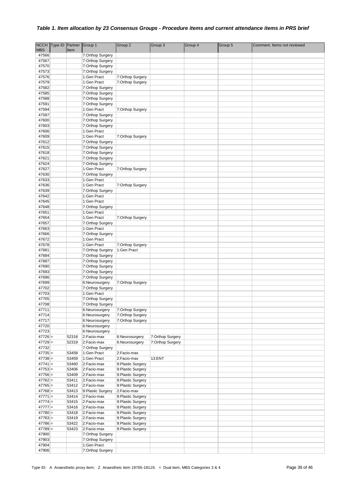|                        | NCCH Type ID | Partner Group 1 |                                      | Group 2                                 | Group 3          | Group 4 | Group 5 | Comment. Items not reviewed |
|------------------------|--------------|-----------------|--------------------------------------|-----------------------------------------|------------------|---------|---------|-----------------------------|
| <b>MBS</b><br>47566    |              | Item            | 7:Orthop Surgery                     |                                         |                  |         |         |                             |
| 47567                  |              |                 | 7:Orthop Surgery                     |                                         |                  |         |         |                             |
| 47570                  |              |                 | 7:Orthop Surgery                     |                                         |                  |         |         |                             |
| 47573                  |              |                 | 7:Orthop Surgery                     |                                         |                  |         |         |                             |
| 47576                  |              |                 | 1:Gen Pract                          | 7:Orthop Surgery                        |                  |         |         |                             |
| 47579                  |              |                 | 1:Gen Pract                          | 7:Orthop Surgery                        |                  |         |         |                             |
| 47582                  |              |                 | 7:Orthop Surgery                     |                                         |                  |         |         |                             |
| 47585                  |              |                 | 7:Orthop Surgery                     |                                         |                  |         |         |                             |
| 47588<br>47591         |              |                 | 7:Orthop Surgery<br>7:Orthop Surgery |                                         |                  |         |         |                             |
| 47594                  |              |                 | 1:Gen Pract                          | 7:Orthop Surgery                        |                  |         |         |                             |
| 47597                  |              |                 | 7:Orthop Surgery                     |                                         |                  |         |         |                             |
| 47600                  |              |                 | 7:Orthop Surgery                     |                                         |                  |         |         |                             |
| 47603                  |              |                 | 7:Orthop Surgery                     |                                         |                  |         |         |                             |
| 47606                  |              |                 | 1:Gen Pract                          |                                         |                  |         |         |                             |
| 47609                  |              |                 | 1:Gen Pract                          | 7:Orthop Surgery                        |                  |         |         |                             |
| 47612                  |              |                 | 7:Orthop Surgery                     |                                         |                  |         |         |                             |
| 47615<br>47618         |              |                 | 7:Orthop Surgery<br>7:Orthop Surgery |                                         |                  |         |         |                             |
| 47621                  |              |                 | 7:Orthop Surgery                     |                                         |                  |         |         |                             |
| 47624                  |              |                 | 7:Orthop Surgery                     |                                         |                  |         |         |                             |
| 47627                  |              |                 | 1:Gen Pract                          | 7:Orthop Surgery                        |                  |         |         |                             |
| 47630                  |              |                 | 7:Orthop Surgery                     |                                         |                  |         |         |                             |
| 47633                  |              |                 | 1:Gen Pract                          |                                         |                  |         |         |                             |
| 47636                  |              |                 | 1:Gen Pract                          | 7:Orthop Surgery                        |                  |         |         |                             |
| 47639                  |              |                 | 7:Orthop Surgery                     |                                         |                  |         |         |                             |
| 47642                  |              |                 | 1:Gen Pract                          |                                         |                  |         |         |                             |
| 47645<br>47648         |              |                 | 1:Gen Pract<br>7:Orthop Surgery      |                                         |                  |         |         |                             |
| 47651                  |              |                 | 1:Gen Pract                          |                                         |                  |         |         |                             |
| 47654                  |              |                 | 1:Gen Pract                          | 7:Orthop Surgery                        |                  |         |         |                             |
| 47657                  |              |                 | 7:Orthop Surgery                     |                                         |                  |         |         |                             |
| 47663                  |              |                 | 1:Gen Pract                          |                                         |                  |         |         |                             |
| 47666                  |              |                 | 7:Orthop Surgery                     |                                         |                  |         |         |                             |
| 47672                  |              |                 | 1:Gen Pract                          |                                         |                  |         |         |                             |
| 47678                  |              |                 | 1:Gen Pract                          | 7:Orthop Surgery                        |                  |         |         |                             |
| 47681<br>47684         |              |                 | 7:Orthop Surgery                     | 1:Gen Pract                             |                  |         |         |                             |
| 47687                  |              |                 | 7:Orthop Surgery<br>7:Orthop Surgery |                                         |                  |         |         |                             |
| 47690                  |              |                 | 7:Orthop Surgery                     |                                         |                  |         |         |                             |
| 47693                  |              |                 | 7:Orthop Surgery                     |                                         |                  |         |         |                             |
| 47696                  |              |                 | 7:Orthop Surgery                     |                                         |                  |         |         |                             |
| 47699                  |              |                 | 6:Neurosurgery                       | 7:Orthop Surgery                        |                  |         |         |                             |
| 47702                  |              |                 | 7:Orthop Surgery                     |                                         |                  |         |         |                             |
| 47703                  |              |                 | 1:Gen Pract                          |                                         |                  |         |         |                             |
| 47705                  |              |                 | 7:Orthop Surgery                     |                                         |                  |         |         |                             |
| 47708                  |              |                 | 7:Orthop Surgery                     |                                         |                  |         |         |                             |
| 47711<br>47714         |              |                 | 6:Neurosurgery<br>6:Neurosurgery     | 7:Orthop Surgery<br>7:Orthop Surgery    |                  |         |         |                             |
| 47717                  |              |                 | 6:Neurosurgery                       | 7:Orthop Surgery                        |                  |         |         |                             |
| 47720                  |              |                 | 6:Neurosurgery                       |                                         |                  |         |         |                             |
| 47723                  |              |                 | 6:Neurosurgery                       |                                         |                  |         |         |                             |
| $47726 =$              |              | 52318           | 2:Facio-max                          | 6:Neurosurgery                          | 7:Orthop Surgery |         |         |                             |
| $47729 =$              |              | 52319           | 2:Facio-max                          | 6:Neurosurgery                          | 7:Orthop Surgery |         |         |                             |
| 47732                  |              |                 | 7:Orthop Surgery                     |                                         |                  |         |         |                             |
| $47735 =$              |              | 53458           | 1:Gen Pract<br>1:Gen Pract           | 2:Facio-max                             |                  |         |         |                             |
| $47738 =$<br>$47741 =$ |              | 53459<br>53460  | 2:Facio-max                          | 2:Facio-max<br>9:Plastic Surgery        | 13:ENT           |         |         |                             |
| $47753 =$              |              | 53406           | 2:Facio-max                          | 9:Plastic Surgery                       |                  |         |         |                             |
| $47756 =$              |              | 53409           | 2:Facio-max                          | 9:Plastic Surgery                       |                  |         |         |                             |
| $47762 =$              |              | 53411           | 2:Facio-max                          | 9: Plastic Surgery                      |                  |         |         |                             |
| $47765 =$              |              | 53412           | 2:Facio-max                          | 9:Plastic Surgery                       |                  |         |         |                             |
| $47768 =$              |              | 53413           | 9:Plastic Surgery                    | 2:Facio-max                             |                  |         |         |                             |
| $47771 =$              |              | 53414           | 2:Facio-max                          | 9:Plastic Surgery                       |                  |         |         |                             |
| $47774 =$              |              | 53415           | 2:Facio-max                          | 9:Plastic Surgery                       |                  |         |         |                             |
| $47777 =$<br>$47780 =$ |              | 53416<br>53418  | 2:Facio-max<br>2:Facio-max           | 9: Plastic Surgery<br>9:Plastic Surgery |                  |         |         |                             |
| $47783 =$              |              | 53419           | 2:Facio-max                          | 9:Plastic Surgery                       |                  |         |         |                             |
| $47786 =$              |              | 53422           | 2:Facio-max                          | 9:Plastic Surgery                       |                  |         |         |                             |
| $47789 =$              |              | 53423           | 2:Facio-max                          | 9: Plastic Surgery                      |                  |         |         |                             |
| 47900                  |              |                 | 7:Orthop Surgery                     |                                         |                  |         |         |                             |
| 47903                  |              |                 | 7:Orthop Surgery                     |                                         |                  |         |         |                             |
| 47904                  |              |                 | 1:Gen Pract                          |                                         |                  |         |         |                             |
| 47906                  |              |                 | 7:Orthop Surgery                     |                                         |                  |         |         |                             |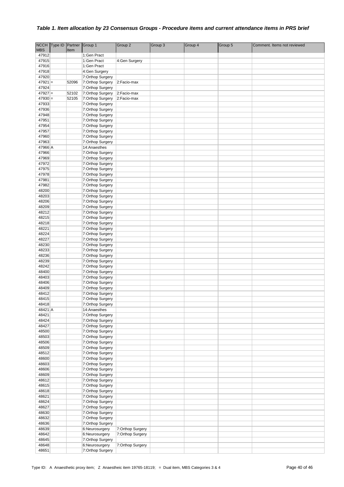|            | NCCH Type ID | Partner | Group 1          | Group 2          | Group 3 | Group 4 | Group 5 | Comment. Items not reviewed |
|------------|--------------|---------|------------------|------------------|---------|---------|---------|-----------------------------|
| <b>MBS</b> |              | Item    |                  |                  |         |         |         |                             |
| 47912      |              |         | 1:Gen Pract      |                  |         |         |         |                             |
| 47915      |              |         | 1:Gen Pract      | 4:Gen Surgery    |         |         |         |                             |
| 47916      |              |         | 1:Gen Pract      |                  |         |         |         |                             |
| 47918      |              |         | 4:Gen Surgery    |                  |         |         |         |                             |
| 47920      |              |         | 7:Orthop Surgery |                  |         |         |         |                             |
| $47921 =$  |              | 52096   | 7:Orthop Surgery | 2:Facio-max      |         |         |         |                             |
| 47924      |              |         | 7:Orthop Surgery |                  |         |         |         |                             |
| $47927 =$  |              | 52102   | 7:Orthop Surgery | 2:Facio-max      |         |         |         |                             |
| $47930 =$  |              | 52105   | 7:Orthop Surgery | 2:Facio-max      |         |         |         |                             |
| 47933      |              |         | 7:Orthop Surgery |                  |         |         |         |                             |
| 47936      |              |         | 7:Orthop Surgery |                  |         |         |         |                             |
| 47948      |              |         | 7:Orthop Surgery |                  |         |         |         |                             |
| 47951      |              |         | 7:Orthop Surgery |                  |         |         |         |                             |
| 47954      |              |         | 7:Orthop Surgery |                  |         |         |         |                             |
| 47957      |              |         | 7:Orthop Surgery |                  |         |         |         |                             |
| 47960      |              |         | 7:Orthop Surgery |                  |         |         |         |                             |
| 47963      |              |         | 7:Orthop Surgery |                  |         |         |         |                             |
| 47966 A    |              |         | 14:Anaesthes     |                  |         |         |         |                             |
| 47966      |              |         | 7:Orthop Surgery |                  |         |         |         |                             |
| 47969      |              |         | 7:Orthop Surgery |                  |         |         |         |                             |
| 47972      |              |         | 7:Orthop Surgery |                  |         |         |         |                             |
| 47975      |              |         | 7:Orthop Surgery |                  |         |         |         |                             |
| 47978      |              |         | 7:Orthop Surgery |                  |         |         |         |                             |
| 47981      |              |         | 7:Orthop Surgery |                  |         |         |         |                             |
| 47982      |              |         | 7:Orthop Surgery |                  |         |         |         |                             |
| 48200      |              |         | 7:Orthop Surgery |                  |         |         |         |                             |
| 48203      |              |         | 7:Orthop Surgery |                  |         |         |         |                             |
| 48206      |              |         | 7:Orthop Surgery |                  |         |         |         |                             |
| 48209      |              |         | 7:Orthop Surgery |                  |         |         |         |                             |
| 48212      |              |         | 7:Orthop Surgery |                  |         |         |         |                             |
| 48215      |              |         | 7:Orthop Surgery |                  |         |         |         |                             |
| 48218      |              |         | 7:Orthop Surgery |                  |         |         |         |                             |
| 48221      |              |         | 7:Orthop Surgery |                  |         |         |         |                             |
| 48224      |              |         | 7:Orthop Surgery |                  |         |         |         |                             |
| 48227      |              |         | 7:Orthop Surgery |                  |         |         |         |                             |
| 48230      |              |         |                  |                  |         |         |         |                             |
| 48233      |              |         | 7:Orthop Surgery |                  |         |         |         |                             |
| 48236      |              |         | 7:Orthop Surgery |                  |         |         |         |                             |
|            |              |         | 7:Orthop Surgery |                  |         |         |         |                             |
| 48239      |              |         | 7:Orthop Surgery |                  |         |         |         |                             |
| 48242      |              |         | 7:Orthop Surgery |                  |         |         |         |                             |
| 48400      |              |         | 7:Orthop Surgery |                  |         |         |         |                             |
| 48403      |              |         | 7:Orthop Surgery |                  |         |         |         |                             |
| 48406      |              |         | 7:Orthop Surgery |                  |         |         |         |                             |
| 48409      |              |         | 7:Orthop Surgery |                  |         |         |         |                             |
| 48412      |              |         | 7:Orthop Surgery |                  |         |         |         |                             |
| 48415      |              |         | 7:Orthop Surgery |                  |         |         |         |                             |
| 48418      |              |         | 7:Orthop Surgery |                  |         |         |         |                             |
| 48421 A    |              |         | 14:Anaesthes     |                  |         |         |         |                             |
| 48421      |              |         | 7:Orthop Surgery |                  |         |         |         |                             |
| 48424      |              |         | 7:Orthop Surgery |                  |         |         |         |                             |
| 48427      |              |         | 7:Orthop Surgery |                  |         |         |         |                             |
| 48500      |              |         | 7:Orthop Surgery |                  |         |         |         |                             |
| 48503      |              |         | 7:Orthop Surgery |                  |         |         |         |                             |
| 48506      |              |         | 7:Orthop Surgery |                  |         |         |         |                             |
| 48509      |              |         | 7:Orthop Surgery |                  |         |         |         |                             |
| 48512      |              |         | 7:Orthop Surgery |                  |         |         |         |                             |
| 48600      |              |         | 7:Orthop Surgery |                  |         |         |         |                             |
| 48603      |              |         | 7:Orthop Surgery |                  |         |         |         |                             |
| 48606      |              |         | 7:Orthop Surgery |                  |         |         |         |                             |
| 48609      |              |         | 7:Orthop Surgery |                  |         |         |         |                             |
| 48612      |              |         | 7:Orthop Surgery |                  |         |         |         |                             |
| 48615      |              |         | 7:Orthop Surgery |                  |         |         |         |                             |
| 48618      |              |         | 7:Orthop Surgery |                  |         |         |         |                             |
| 48621      |              |         | 7:Orthop Surgery |                  |         |         |         |                             |
| 48624      |              |         | 7:Orthop Surgery |                  |         |         |         |                             |
| 48627      |              |         | 7:Orthop Surgery |                  |         |         |         |                             |
| 48630      |              |         | 7:Orthop Surgery |                  |         |         |         |                             |
| 48632      |              |         | 7:Orthop Surgery |                  |         |         |         |                             |
| 48636      |              |         | 7:Orthop Surgery |                  |         |         |         |                             |
| 48639      |              |         | 6:Neurosurgery   | 7:Orthop Surgery |         |         |         |                             |
| 48642      |              |         | 6:Neurosurgery   | 7:Orthop Surgery |         |         |         |                             |
| 48645      |              |         | 7:Orthop Surgery |                  |         |         |         |                             |
| 48648      |              |         | 6:Neurosurgery   | 7:Orthop Surgery |         |         |         |                             |
| 48651      |              |         | 7:Orthop Surgery |                  |         |         |         |                             |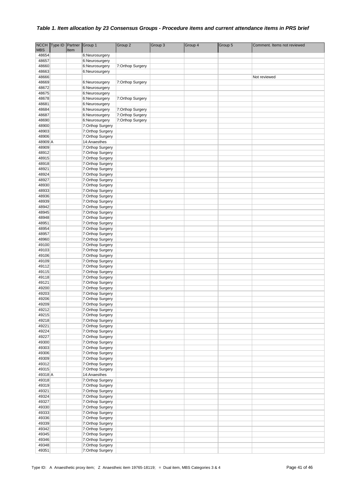|                | NCCH Type ID | Partner | Group 1                              | Group 2          | Group 3 | Group 4 | Group 5 | Comment. Items not reviewed |
|----------------|--------------|---------|--------------------------------------|------------------|---------|---------|---------|-----------------------------|
| <b>MBS</b>     |              | Item    |                                      |                  |         |         |         |                             |
| 48654          |              |         | 6:Neurosurgery                       |                  |         |         |         |                             |
| 48657          |              |         | 6:Neurosurgery                       |                  |         |         |         |                             |
| 48660          |              |         | 6:Neurosurgery                       | 7:Orthop Surgery |         |         |         |                             |
| 48663          |              |         | 6:Neurosurgery                       |                  |         |         |         |                             |
| 48666          |              |         |                                      |                  |         |         |         | Not reviewed                |
| 48669          |              |         | 6:Neurosurgery                       | 7:Orthop Surgery |         |         |         |                             |
| 48672          |              |         | 6:Neurosurgery                       |                  |         |         |         |                             |
| 48675          |              |         | 6:Neurosurgery                       |                  |         |         |         |                             |
| 48678          |              |         | 6:Neurosurgery                       | 7:Orthop Surgery |         |         |         |                             |
| 48681          |              |         | 6:Neurosurgery                       |                  |         |         |         |                             |
| 48684          |              |         | 6:Neurosurgery                       | 7:Orthop Surgery |         |         |         |                             |
| 48687          |              |         | 6:Neurosurgery                       | 7:Orthop Surgery |         |         |         |                             |
| 48690          |              |         | 6:Neurosurgery                       | 7:Orthop Surgery |         |         |         |                             |
| 48900          |              |         | 7:Orthop Surgery                     |                  |         |         |         |                             |
| 48903          |              |         | 7:Orthop Surgery                     |                  |         |         |         |                             |
| 48906          |              |         | 7:Orthop Surgery                     |                  |         |         |         |                             |
| 48909 A        |              |         | 14:Anaesthes                         |                  |         |         |         |                             |
| 48909          |              |         | 7:Orthop Surgery                     |                  |         |         |         |                             |
| 48912          |              |         | 7:Orthop Surgery                     |                  |         |         |         |                             |
| 48915          |              |         | 7:Orthop Surgery                     |                  |         |         |         |                             |
| 48918          |              |         | 7:Orthop Surgery                     |                  |         |         |         |                             |
| 48921          |              |         | 7:Orthop Surgery                     |                  |         |         |         |                             |
| 48924          |              |         | 7:Orthop Surgery                     |                  |         |         |         |                             |
| 48927          |              |         | 7:Orthop Surgery                     |                  |         |         |         |                             |
| 48930          |              |         | 7:Orthop Surgery                     |                  |         |         |         |                             |
| 48933          |              |         | 7:Orthop Surgery                     |                  |         |         |         |                             |
| 48936<br>48939 |              |         | 7:Orthop Surgery                     |                  |         |         |         |                             |
| 48942          |              |         | 7:Orthop Surgery                     |                  |         |         |         |                             |
| 48945          |              |         | 7:Orthop Surgery<br>7:Orthop Surgery |                  |         |         |         |                             |
| 48948          |              |         | 7:Orthop Surgery                     |                  |         |         |         |                             |
| 48951          |              |         | 7:Orthop Surgery                     |                  |         |         |         |                             |
| 48954          |              |         | 7:Orthop Surgery                     |                  |         |         |         |                             |
| 48957          |              |         | 7:Orthop Surgery                     |                  |         |         |         |                             |
| 48960          |              |         | 7:Orthop Surgery                     |                  |         |         |         |                             |
| 49100          |              |         | 7:Orthop Surgery                     |                  |         |         |         |                             |
| 49103          |              |         | 7:Orthop Surgery                     |                  |         |         |         |                             |
| 49106          |              |         | 7:Orthop Surgery                     |                  |         |         |         |                             |
| 49109          |              |         | 7:Orthop Surgery                     |                  |         |         |         |                             |
| 49112          |              |         | 7:Orthop Surgery                     |                  |         |         |         |                             |
| 49115          |              |         | 7:Orthop Surgery                     |                  |         |         |         |                             |
| 49118          |              |         | 7:Orthop Surgery                     |                  |         |         |         |                             |
| 49121          |              |         | 7:Orthop Surgery                     |                  |         |         |         |                             |
| 49200          |              |         | 7:Orthop Surgery                     |                  |         |         |         |                             |
| 49203          |              |         | 7:Orthop Surgery                     |                  |         |         |         |                             |
| 49206          |              |         | 7:Orthop Surgery                     |                  |         |         |         |                             |
| 49209          |              |         | 7:Orthop Surgery                     |                  |         |         |         |                             |
| 49212          |              |         | 7:Orthop Surgery                     |                  |         |         |         |                             |
| 49215          |              |         | 7:Orthop Surgery                     |                  |         |         |         |                             |
| 49218          |              |         | 7:Orthop Surgery                     |                  |         |         |         |                             |
| 49221          |              |         | 7:Orthop Surgery                     |                  |         |         |         |                             |
| 49224          |              |         | 7:Orthop Surgery                     |                  |         |         |         |                             |
| 49227          |              |         | 7:Orthop Surgery                     |                  |         |         |         |                             |
| 49300          |              |         | 7:Orthop Surgery                     |                  |         |         |         |                             |
| 49303          |              |         | 7:Orthop Surgery                     |                  |         |         |         |                             |
| 49306          |              |         | 7:Orthop Surgery                     |                  |         |         |         |                             |
| 49309          |              |         | 7:Orthop Surgery                     |                  |         |         |         |                             |
| 49312          |              |         | 7:Orthop Surgery                     |                  |         |         |         |                             |
| 49315          |              |         | 7:Orthop Surgery                     |                  |         |         |         |                             |
| 49318 A        |              |         | 14:Anaesthes                         |                  |         |         |         |                             |
| 49318          |              |         | 7:Orthop Surgery                     |                  |         |         |         |                             |
| 49319          |              |         | 7:Orthop Surgery                     |                  |         |         |         |                             |
| 49321          |              |         | 7:Orthop Surgery                     |                  |         |         |         |                             |
| 49324          |              |         | 7:Orthop Surgery                     |                  |         |         |         |                             |
| 49327          |              |         | 7:Orthop Surgery                     |                  |         |         |         |                             |
| 49330          |              |         | 7:Orthop Surgery                     |                  |         |         |         |                             |
| 49333          |              |         | 7:Orthop Surgery                     |                  |         |         |         |                             |
| 49336          |              |         | 7:Orthop Surgery                     |                  |         |         |         |                             |
| 49339          |              |         | 7:Orthop Surgery                     |                  |         |         |         |                             |
| 49342          |              |         | 7:Orthop Surgery                     |                  |         |         |         |                             |
| 49345          |              |         | 7:Orthop Surgery                     |                  |         |         |         |                             |
| 49346          |              |         | 7:Orthop Surgery                     |                  |         |         |         |                             |
| 49348          |              |         | 7:Orthop Surgery                     |                  |         |         |         |                             |
| 49351          |              |         | 7:Orthop Surgery                     |                  |         |         |         |                             |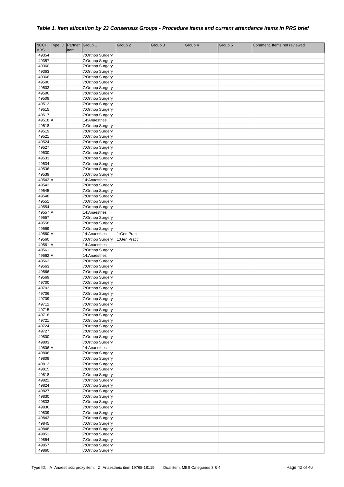|                  | NCCH Type ID Partner Group 1 |      |                                      | Group <sub>2</sub>         | Group 3 | Group 4 | Group 5 | Comment. Items not reviewed |
|------------------|------------------------------|------|--------------------------------------|----------------------------|---------|---------|---------|-----------------------------|
| <b>MBS</b>       |                              | Item |                                      |                            |         |         |         |                             |
| 49354            |                              |      | 7:Orthop Surgery                     |                            |         |         |         |                             |
| 49357            |                              |      | 7:Orthop Surgery                     |                            |         |         |         |                             |
| 49360            |                              |      | 7:Orthop Surgery                     |                            |         |         |         |                             |
| 49363<br>49366   |                              |      | 7:Orthop Surgery                     |                            |         |         |         |                             |
| 49500            |                              |      | 7:Orthop Surgery<br>7:Orthop Surgery |                            |         |         |         |                             |
| 49503            |                              |      | 7:Orthop Surgery                     |                            |         |         |         |                             |
| 49506            |                              |      | 7:Orthop Surgery                     |                            |         |         |         |                             |
| 49509            |                              |      | 7:Orthop Surgery                     |                            |         |         |         |                             |
| 49512            |                              |      | 7:Orthop Surgery                     |                            |         |         |         |                             |
| 49515            |                              |      | 7:Orthop Surgery                     |                            |         |         |         |                             |
| 49517            |                              |      | 7:Orthop Surgery                     |                            |         |         |         |                             |
| 49518 A          |                              |      | 14:Anaesthes                         |                            |         |         |         |                             |
| 49518            |                              |      | 7:Orthop Surgery                     |                            |         |         |         |                             |
| 49519            |                              |      | 7:Orthop Surgery                     |                            |         |         |         |                             |
| 49521            |                              |      | 7:Orthop Surgery                     |                            |         |         |         |                             |
| 49524            |                              |      | 7:Orthop Surgery                     |                            |         |         |         |                             |
| 49527            |                              |      | 7:Orthop Surgery                     |                            |         |         |         |                             |
| 49530<br>49533   |                              |      | 7:Orthop Surgery<br>7:Orthop Surgery |                            |         |         |         |                             |
| 49534            |                              |      | 7:Orthop Surgery                     |                            |         |         |         |                             |
| 49536            |                              |      | 7:Orthop Surgery                     |                            |         |         |         |                             |
| 49539            |                              |      | 7:Orthop Surgery                     |                            |         |         |         |                             |
| 49542 A          |                              |      | 14:Anaesthes                         |                            |         |         |         |                             |
| 49542            |                              |      | 7:Orthop Surgery                     |                            |         |         |         |                             |
| 49545            |                              |      | 7:Orthop Surgery                     |                            |         |         |         |                             |
| 49548            |                              |      | 7:Orthop Surgery                     |                            |         |         |         |                             |
| 49551            |                              |      | 7:Orthop Surgery                     |                            |         |         |         |                             |
| 49554            |                              |      | 7:Orthop Surgery                     |                            |         |         |         |                             |
| 49557 A          |                              |      | 14:Anaesthes                         |                            |         |         |         |                             |
| 49557            |                              |      | 7:Orthop Surgery                     |                            |         |         |         |                             |
| 49558            |                              |      | 7:Orthop Surgery                     |                            |         |         |         |                             |
| 49559<br>49560 A |                              |      | 7:Orthop Surgery                     |                            |         |         |         |                             |
| 49560            |                              |      | 14:Anaesthes<br>7:Orthop Surgery     | 1:Gen Pract<br>1:Gen Pract |         |         |         |                             |
| 49561 A          |                              |      | 14:Anaesthes                         |                            |         |         |         |                             |
| 49561            |                              |      | 7:Orthop Surgery                     |                            |         |         |         |                             |
| 49562 A          |                              |      | 14:Anaesthes                         |                            |         |         |         |                             |
| 49562            |                              |      | 7:Orthop Surgery                     |                            |         |         |         |                             |
| 49563            |                              |      | 7:Orthop Surgery                     |                            |         |         |         |                             |
| 49566            |                              |      | 7:Orthop Surgery                     |                            |         |         |         |                             |
| 49569            |                              |      | 7:Orthop Surgery                     |                            |         |         |         |                             |
| 49700            |                              |      | 7:Orthop Surgery                     |                            |         |         |         |                             |
| 49703            |                              |      | 7:Orthop Surgery                     |                            |         |         |         |                             |
| 49706            |                              |      | 7:Orthop Surgery                     |                            |         |         |         |                             |
| 49709            |                              |      | 7:Orthop Surgery                     |                            |         |         |         |                             |
| 49712<br>49715   |                              |      | 7:Orthop Surgery<br>7:Orthop Surgery |                            |         |         |         |                             |
| 49718            |                              |      | 7:Orthop Surgery                     |                            |         |         |         |                             |
| 49721            |                              |      | 7:Orthop Surgery                     |                            |         |         |         |                             |
| 49724            |                              |      | 7:Orthop Surgery                     |                            |         |         |         |                             |
| 49727            |                              |      | 7:Orthop Surgery                     |                            |         |         |         |                             |
| 49800            |                              |      | 7:Orthop Surgery                     |                            |         |         |         |                             |
| 49803            |                              |      | 7:Orthop Surgery                     |                            |         |         |         |                             |
| 49806 A          |                              |      | 14:Anaesthes                         |                            |         |         |         |                             |
| 49806            |                              |      | 7:Orthop Surgery                     |                            |         |         |         |                             |
| 49809            |                              |      | 7:Orthop Surgery                     |                            |         |         |         |                             |
| 49812            |                              |      | 7:Orthop Surgery                     |                            |         |         |         |                             |
| 49815            |                              |      | 7:Orthop Surgery                     |                            |         |         |         |                             |
| 49818<br>49821   |                              |      | 7:Orthop Surgery<br>7:Orthop Surgery |                            |         |         |         |                             |
| 49824            |                              |      | 7:Orthop Surgery                     |                            |         |         |         |                             |
| 49827            |                              |      | 7:Orthop Surgery                     |                            |         |         |         |                             |
| 49830            |                              |      | 7:Orthop Surgery                     |                            |         |         |         |                             |
| 49833            |                              |      | 7:Orthop Surgery                     |                            |         |         |         |                             |
| 49836            |                              |      | 7:Orthop Surgery                     |                            |         |         |         |                             |
| 49839            |                              |      | 7:Orthop Surgery                     |                            |         |         |         |                             |
| 49842            |                              |      | 7:Orthop Surgery                     |                            |         |         |         |                             |
| 49845            |                              |      | 7:Orthop Surgery                     |                            |         |         |         |                             |
| 49848            |                              |      | 7:Orthop Surgery                     |                            |         |         |         |                             |
| 49851            |                              |      | 7:Orthop Surgery                     |                            |         |         |         |                             |
| 49854            |                              |      | 7:Orthop Surgery                     |                            |         |         |         |                             |
| 49857<br>49860   |                              |      | 7:Orthop Surgery                     |                            |         |         |         |                             |
|                  |                              |      | 7:Orthop Surgery                     |                            |         |         |         |                             |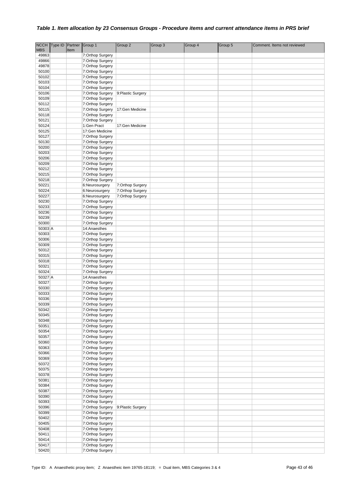|                | NCCH Type ID | Partner | Group 1                              | Group 2            | Group 3 | Group 4 | Group 5 | Comment. Items not reviewed |
|----------------|--------------|---------|--------------------------------------|--------------------|---------|---------|---------|-----------------------------|
| <b>MBS</b>     |              | Item    |                                      |                    |         |         |         |                             |
| 49863          |              |         | 7:Orthop Surgery                     |                    |         |         |         |                             |
| 49866          |              |         | 7:Orthop Surgery                     |                    |         |         |         |                             |
| 49878          |              |         | 7:Orthop Surgery                     |                    |         |         |         |                             |
| 50100<br>50102 |              |         | 7:Orthop Surgery<br>7:Orthop Surgery |                    |         |         |         |                             |
| 50103          |              |         | 7:Orthop Surgery                     |                    |         |         |         |                             |
| 50104          |              |         | 7:Orthop Surgery                     |                    |         |         |         |                             |
| 50106          |              |         | 7:Orthop Surgery                     | 9: Plastic Surgery |         |         |         |                             |
| 50109          |              |         | 7:Orthop Surgery                     |                    |         |         |         |                             |
| 50112          |              |         | 7:Orthop Surgery                     |                    |         |         |         |                             |
| 50115          |              |         | 7:Orthop Surgery                     | 17:Gen Medicine    |         |         |         |                             |
| 50118          |              |         | 7:Orthop Surgery                     |                    |         |         |         |                             |
| 50121          |              |         | 7:Orthop Surgery                     |                    |         |         |         |                             |
| 50124          |              |         | 1:Gen Pract                          | 17:Gen Medicine    |         |         |         |                             |
| 50125          |              |         | 17:Gen Medicine                      |                    |         |         |         |                             |
| 50127          |              |         | 7:Orthop Surgery                     |                    |         |         |         |                             |
| 50130<br>50200 |              |         | 7:Orthop Surgery                     |                    |         |         |         |                             |
| 50203          |              |         | 7:Orthop Surgery<br>7:Orthop Surgery |                    |         |         |         |                             |
| 50206          |              |         | 7:Orthop Surgery                     |                    |         |         |         |                             |
| 50209          |              |         | 7:Orthop Surgery                     |                    |         |         |         |                             |
| 50212          |              |         | 7:Orthop Surgery                     |                    |         |         |         |                             |
| 50215          |              |         | 7:Orthop Surgery                     |                    |         |         |         |                             |
| 50218          |              |         | 7:Orthop Surgery                     |                    |         |         |         |                             |
| 50221          |              |         | 6:Neurosurgery                       | 7:Orthop Surgery   |         |         |         |                             |
| 50224          |              |         | 6:Neurosurgery                       | 7:Orthop Surgery   |         |         |         |                             |
| 50227          |              |         | 6:Neurosurgery                       | 7:Orthop Surgery   |         |         |         |                             |
| 50230          |              |         | 7:Orthop Surgery                     |                    |         |         |         |                             |
| 50233          |              |         | 7:Orthop Surgery                     |                    |         |         |         |                             |
| 50236<br>50239 |              |         | 7:Orthop Surgery                     |                    |         |         |         |                             |
| 50300          |              |         | 7:Orthop Surgery<br>7:Orthop Surgery |                    |         |         |         |                             |
| 50303 A        |              |         | 14:Anaesthes                         |                    |         |         |         |                             |
| 50303          |              |         | 7:Orthop Surgery                     |                    |         |         |         |                             |
| 50306          |              |         | 7:Orthop Surgery                     |                    |         |         |         |                             |
| 50309          |              |         | 7:Orthop Surgery                     |                    |         |         |         |                             |
| 50312          |              |         | 7:Orthop Surgery                     |                    |         |         |         |                             |
| 50315          |              |         | 7:Orthop Surgery                     |                    |         |         |         |                             |
| 50318          |              |         | 7:Orthop Surgery                     |                    |         |         |         |                             |
| 50321          |              |         | 7:Orthop Surgery                     |                    |         |         |         |                             |
| 50324          |              |         | 7:Orthop Surgery                     |                    |         |         |         |                             |
| 50327 A        |              |         | 14:Anaesthes                         |                    |         |         |         |                             |
| 50327<br>50330 |              |         | 7:Orthop Surgery<br>7:Orthop Surgery |                    |         |         |         |                             |
| 50333          |              |         | 7:Orthop Surgery                     |                    |         |         |         |                             |
| 50336          |              |         | 7:Orthop Surgery                     |                    |         |         |         |                             |
| 50339          |              |         | 7:Orthop Surgery                     |                    |         |         |         |                             |
| 50342          |              |         | 7:Orthop Surgery                     |                    |         |         |         |                             |
| 50345          |              |         | 7:Orthop Surgery                     |                    |         |         |         |                             |
| 50348          |              |         | 7:Orthop Surgery                     |                    |         |         |         |                             |
| 50351          |              |         | 7:Orthop Surgery                     |                    |         |         |         |                             |
| 50354          |              |         | 7:Orthop Surgery                     |                    |         |         |         |                             |
| 50357          |              |         | 7:Orthop Surgery                     |                    |         |         |         |                             |
| 50360          |              |         | 7:Orthop Surgery                     |                    |         |         |         |                             |
| 50363<br>50366 |              |         | 7:Orthop Surgery<br>7:Orthop Surgery |                    |         |         |         |                             |
| 50369          |              |         | 7:Orthop Surgery                     |                    |         |         |         |                             |
| 50372          |              |         | 7:Orthop Surgery                     |                    |         |         |         |                             |
| 50375          |              |         | 7:Orthop Surgery                     |                    |         |         |         |                             |
| 50378          |              |         | 7:Orthop Surgery                     |                    |         |         |         |                             |
| 50381          |              |         | 7:Orthop Surgery                     |                    |         |         |         |                             |
| 50384          |              |         | 7:Orthop Surgery                     |                    |         |         |         |                             |
| 50387          |              |         | 7:Orthop Surgery                     |                    |         |         |         |                             |
| 50390          |              |         | 7:Orthop Surgery                     |                    |         |         |         |                             |
| 50393          |              |         | 7:Orthop Surgery                     |                    |         |         |         |                             |
| 50396          |              |         | 7:Orthop Surgery                     | 9: Plastic Surgery |         |         |         |                             |
| 50399          |              |         | 7:Orthop Surgery                     |                    |         |         |         |                             |
| 50402<br>50405 |              |         | 7:Orthop Surgery<br>7:Orthop Surgery |                    |         |         |         |                             |
| 50408          |              |         | 7:Orthop Surgery                     |                    |         |         |         |                             |
| 50411          |              |         | 7:Orthop Surgery                     |                    |         |         |         |                             |
| 50414          |              |         | 7:Orthop Surgery                     |                    |         |         |         |                             |
| 50417          |              |         | 7:Orthop Surgery                     |                    |         |         |         |                             |
| 50420          |              |         | 7:Orthop Surgery                     |                    |         |         |         |                             |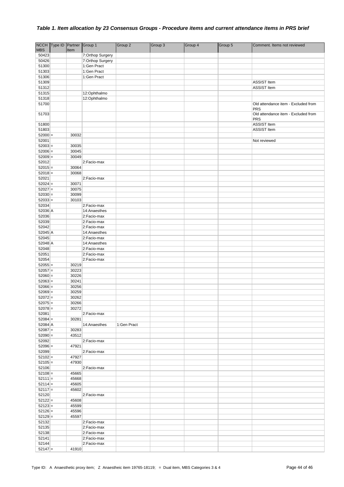|                        | NCCH Type ID Partner Group 1 |                |                            | Group 2     | Group 3 | Group 4 | Group 5 | Comment. Items not reviewed              |
|------------------------|------------------------------|----------------|----------------------------|-------------|---------|---------|---------|------------------------------------------|
| <b>MBS</b>             |                              | Item           |                            |             |         |         |         |                                          |
| 50423                  |                              |                | 7:Orthop Surgery           |             |         |         |         |                                          |
| 50426                  |                              |                | 7:Orthop Surgery           |             |         |         |         |                                          |
| 51300                  |                              |                | 1:Gen Pract                |             |         |         |         |                                          |
| 51303                  |                              |                | 1:Gen Pract                |             |         |         |         |                                          |
| 51306                  |                              |                | 1:Gen Pract                |             |         |         |         |                                          |
| 51309<br>51312         |                              |                |                            |             |         |         |         | <b>ASSIST Item</b><br><b>ASSIST Item</b> |
| 51315                  |                              |                | 12:Ophthalmo               |             |         |         |         |                                          |
| 51318                  |                              |                | 12:Ophthalmo               |             |         |         |         |                                          |
| 51700                  |                              |                |                            |             |         |         |         | Old attendance item - Excluded from      |
|                        |                              |                |                            |             |         |         |         | <b>PRS</b>                               |
| 51703                  |                              |                |                            |             |         |         |         | Old attendance item - Excluded from      |
|                        |                              |                |                            |             |         |         |         | PRS                                      |
| 51800                  |                              |                |                            |             |         |         |         | <b>ASSIST Item</b>                       |
| 51803                  |                              |                |                            |             |         |         |         | <b>ASSIST Item</b>                       |
| $52000 =$              |                              | 30032          |                            |             |         |         |         |                                          |
| 52001                  |                              |                |                            |             |         |         |         | Not reviewed                             |
| $52003 =$              |                              | 30035          |                            |             |         |         |         |                                          |
| $52006 =$              |                              | 30045          |                            |             |         |         |         |                                          |
| $52009 =$              |                              | 30049          |                            |             |         |         |         |                                          |
| 52012<br>$52015 =$     |                              |                | 2:Facio-max                |             |         |         |         |                                          |
| $52018 =$              |                              | 30064<br>30068 |                            |             |         |         |         |                                          |
| 52021                  |                              |                | 2:Facio-max                |             |         |         |         |                                          |
| $52024 =$              |                              | 30071          |                            |             |         |         |         |                                          |
| $52027 =$              |                              | 30075          |                            |             |         |         |         |                                          |
| $52030 =$              |                              | 30099          |                            |             |         |         |         |                                          |
| $52033 =$              |                              | 30103          |                            |             |         |         |         |                                          |
| 52034                  |                              |                | 2:Facio-max                |             |         |         |         |                                          |
| 52036 A                |                              |                | 14:Anaesthes               |             |         |         |         |                                          |
| 52036                  |                              |                | 2:Facio-max                |             |         |         |         |                                          |
| 52039                  |                              |                | 2:Facio-max                |             |         |         |         |                                          |
| 52042                  |                              |                | 2:Facio-max                |             |         |         |         |                                          |
| 52045 A                |                              |                | 14:Anaesthes               |             |         |         |         |                                          |
| 52045                  |                              |                | 2:Facio-max                |             |         |         |         |                                          |
| 52048 A                |                              |                | 14:Anaesthes               |             |         |         |         |                                          |
| 52048                  |                              |                | 2:Facio-max                |             |         |         |         |                                          |
| 52051                  |                              |                | 2:Facio-max                |             |         |         |         |                                          |
| 52054                  |                              |                | 2:Facio-max                |             |         |         |         |                                          |
| $52055 =$              |                              | 30219          |                            |             |         |         |         |                                          |
| $52057 =$              |                              | 30223          |                            |             |         |         |         |                                          |
| $52060 =$              |                              | 30226          |                            |             |         |         |         |                                          |
| $52063 =$              |                              | 30241          |                            |             |         |         |         |                                          |
| $52066 =$              |                              | 30256          |                            |             |         |         |         |                                          |
| $52069 =$              |                              | 30259          |                            |             |         |         |         |                                          |
| $52072 =$              |                              | 30262          |                            |             |         |         |         |                                          |
| $52075 =$<br>$52078 =$ |                              | 30266<br>30272 |                            |             |         |         |         |                                          |
| 52081                  |                              |                | 2:Facio-max                |             |         |         |         |                                          |
| $52084 =$              |                              | 30281          |                            |             |         |         |         |                                          |
| 52084 A                |                              |                | 14:Anaesthes               | 1:Gen Pract |         |         |         |                                          |
| $52087 =$              |                              | 30283          |                            |             |         |         |         |                                          |
| $52090 =$              |                              | 43512          |                            |             |         |         |         |                                          |
| 52092                  |                              |                | 2:Facio-max                |             |         |         |         |                                          |
| $52096 =$              |                              | 47921          |                            |             |         |         |         |                                          |
| 52099                  |                              |                | 2:Facio-max                |             |         |         |         |                                          |
| $52102 =$              |                              | 47927          |                            |             |         |         |         |                                          |
| $52105 =$              |                              | 47930          |                            |             |         |         |         |                                          |
| 52106                  |                              |                | 2:Facio-max                |             |         |         |         |                                          |
| $52108 =$              |                              | 45665          |                            |             |         |         |         |                                          |
| $52111 =$              |                              | 45668          |                            |             |         |         |         |                                          |
| $52114 =$              |                              | 45605          |                            |             |         |         |         |                                          |
| $52117 =$              |                              | 45602          |                            |             |         |         |         |                                          |
| 52120                  |                              |                | 2:Facio-max                |             |         |         |         |                                          |
| $52122 =$              |                              | 45608          |                            |             |         |         |         |                                          |
| $52123 =$              |                              | 45599          |                            |             |         |         |         |                                          |
| $52126 =$              |                              | 45596          |                            |             |         |         |         |                                          |
| $52129 =$              |                              | 45597          |                            |             |         |         |         |                                          |
| 52132                  |                              |                | 2:Facio-max                |             |         |         |         |                                          |
| 52135                  |                              |                | 2:Facio-max                |             |         |         |         |                                          |
| 52138<br>52141         |                              |                | 2:Facio-max                |             |         |         |         |                                          |
| 52144                  |                              |                | 2:Facio-max<br>2:Facio-max |             |         |         |         |                                          |
| $52147 =$              |                              | 41910          |                            |             |         |         |         |                                          |
|                        |                              |                |                            |             |         |         |         |                                          |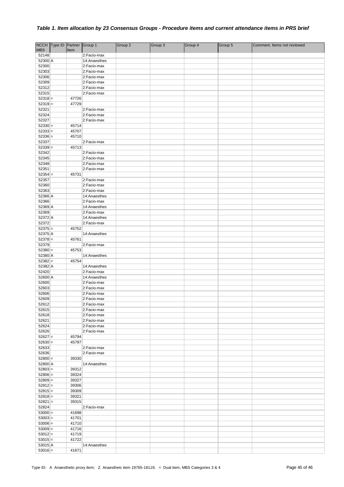|                        | NCCH Type ID Partner Group 1 |                |                             | Group 2 | Group 3 | Group 4 | Group 5 | Comment. Items not reviewed |
|------------------------|------------------------------|----------------|-----------------------------|---------|---------|---------|---------|-----------------------------|
| <b>MBS</b>             |                              | Item           |                             |         |         |         |         |                             |
| 52148                  |                              |                | 2:Facio-max                 |         |         |         |         |                             |
| 52300 A<br>52300       |                              |                | 14:Anaesthes<br>2:Facio-max |         |         |         |         |                             |
| 52303                  |                              |                | 2:Facio-max                 |         |         |         |         |                             |
| 52306                  |                              |                | 2:Facio-max                 |         |         |         |         |                             |
| 52309                  |                              |                | 2:Facio-max                 |         |         |         |         |                             |
| 52312                  |                              |                | 2:Facio-max                 |         |         |         |         |                             |
| 52315                  |                              |                | 2:Facio-max                 |         |         |         |         |                             |
| $52318 =$              |                              | 47726          |                             |         |         |         |         |                             |
| $52319 =$              |                              | 47729          |                             |         |         |         |         |                             |
| 52321<br>52324         |                              |                | 2:Facio-max<br>2:Facio-max  |         |         |         |         |                             |
| 52327                  |                              |                | 2:Facio-max                 |         |         |         |         |                             |
| $52330 =$              |                              | 45714          |                             |         |         |         |         |                             |
| $52333 =$              |                              | 45707          |                             |         |         |         |         |                             |
| $52336 =$              |                              | 45710          |                             |         |         |         |         |                             |
| 52337                  |                              |                | 2:Facio-max                 |         |         |         |         |                             |
| $52339 =$              |                              | 45713          |                             |         |         |         |         |                             |
| 52342                  |                              |                | 2:Facio-max                 |         |         |         |         |                             |
| 52345                  |                              |                | 2:Facio-max                 |         |         |         |         |                             |
| 52348<br>52351         |                              |                | 2:Facio-max<br>2:Facio-max  |         |         |         |         |                             |
| $52354 =$              |                              | 45731          |                             |         |         |         |         |                             |
| 52357                  |                              |                | 2:Facio-max                 |         |         |         |         |                             |
| 52360                  |                              |                | 2:Facio-max                 |         |         |         |         |                             |
| 52363                  |                              |                | 2:Facio-max                 |         |         |         |         |                             |
| 52366 A                |                              |                | 14:Anaesthes                |         |         |         |         |                             |
| 52366                  |                              |                | 2:Facio-max                 |         |         |         |         |                             |
| 52369 A                |                              |                | 14:Anaesthes                |         |         |         |         |                             |
| 52369                  |                              |                | 2:Facio-max                 |         |         |         |         |                             |
| 52372 A<br>52372       |                              |                | 14:Anaesthes<br>2:Facio-max |         |         |         |         |                             |
| $52375 =$              |                              | 45752          |                             |         |         |         |         |                             |
| 52375 A                |                              |                | 14:Anaesthes                |         |         |         |         |                             |
| $52378 =$              |                              | 45761          |                             |         |         |         |         |                             |
| 52379                  |                              |                | 2:Facio-max                 |         |         |         |         |                             |
| $52380 =$              |                              | 45753          |                             |         |         |         |         |                             |
| 52380 A                |                              |                | 14:Anaesthes                |         |         |         |         |                             |
| $52382 =$              |                              | 45754          |                             |         |         |         |         |                             |
| 52382 A<br>52420       |                              |                | 14:Anaesthes<br>2:Facio-max |         |         |         |         |                             |
| 52600 A                |                              |                | 14:Anaesthes                |         |         |         |         |                             |
| 52600                  |                              |                | 2:Facio-max                 |         |         |         |         |                             |
| 52603                  |                              |                | 2:Facio-max                 |         |         |         |         |                             |
| 52606                  |                              |                | 2:Facio-max                 |         |         |         |         |                             |
| 52609                  |                              |                | 2:Facio-max                 |         |         |         |         |                             |
| 52612                  |                              |                | 2:Facio-max                 |         |         |         |         |                             |
| 52615                  |                              |                | 2:Facio-max                 |         |         |         |         |                             |
| 52618                  |                              |                | 2:Facio-max                 |         |         |         |         |                             |
| 52621<br>52624         |                              |                | 2:Facio-max<br>2:Facio-max  |         |         |         |         |                             |
| 52626                  |                              |                | 2:Facio-max                 |         |         |         |         |                             |
| $52627 =$              |                              | 45794          |                             |         |         |         |         |                             |
| $52630 =$              |                              | 45797          |                             |         |         |         |         |                             |
| 52633                  |                              |                | 2:Facio-max                 |         |         |         |         |                             |
| 52636                  |                              |                | 2:Facio-max                 |         |         |         |         |                             |
| $52800 =$              |                              | 39330          |                             |         |         |         |         |                             |
| 52800 A                |                              |                | 14:Anaesthes                |         |         |         |         |                             |
| $52803 =$<br>$52806 =$ |                              | 39312<br>39324 |                             |         |         |         |         |                             |
| $52809 =$              |                              | 39327          |                             |         |         |         |         |                             |
| $52812 =$              |                              | 39306          |                             |         |         |         |         |                             |
| $52815 =$              |                              | 39309          |                             |         |         |         |         |                             |
| $52818 =$              |                              | 39321          |                             |         |         |         |         |                             |
| $52821 =$              |                              | 39315          |                             |         |         |         |         |                             |
| 52824                  |                              |                | 2:Facio-max                 |         |         |         |         |                             |
| $53000 =$              |                              | 41698          |                             |         |         |         |         |                             |
| $53003 =$              |                              | 41701          |                             |         |         |         |         |                             |
| $53006 =$<br>$53009 =$ |                              | 41710<br>41716 |                             |         |         |         |         |                             |
| $53012 =$              |                              | 41719          |                             |         |         |         |         |                             |
| $53015 =$              |                              | 41722          |                             |         |         |         |         |                             |
| $53015$ A              |                              |                | 14:Anaesthes                |         |         |         |         |                             |
| $53016 =$              |                              | 41671          |                             |         |         |         |         |                             |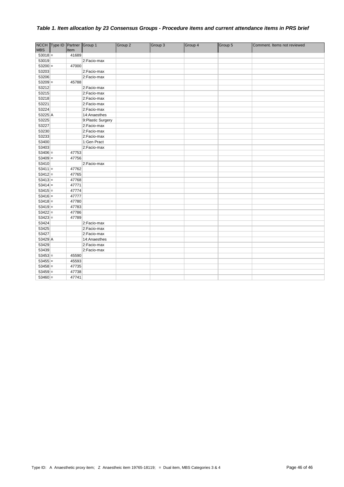| <b>MBS</b> | NCCH Type ID Partner Group 1 | Item  |                   | Group 2 | Group 3 | Group 4 | Group 5 | Comment. Items not reviewed |
|------------|------------------------------|-------|-------------------|---------|---------|---------|---------|-----------------------------|
| $53018 =$  |                              | 41689 |                   |         |         |         |         |                             |
| 53019      |                              |       | 2:Facio-max       |         |         |         |         |                             |
| $53200 =$  |                              | 47000 |                   |         |         |         |         |                             |
| 53203      |                              |       | 2:Facio-max       |         |         |         |         |                             |
| 53206      |                              |       | 2:Facio-max       |         |         |         |         |                             |
| $53209 =$  |                              | 45788 |                   |         |         |         |         |                             |
| 53212      |                              |       | 2:Facio-max       |         |         |         |         |                             |
| 53215      |                              |       | 2:Facio-max       |         |         |         |         |                             |
| 53218      |                              |       | 2:Facio-max       |         |         |         |         |                             |
| 53221      |                              |       | 2:Facio-max       |         |         |         |         |                             |
| 53224      |                              |       | 2:Facio-max       |         |         |         |         |                             |
| 53225 A    |                              |       | 14:Anaesthes      |         |         |         |         |                             |
| 53225      |                              |       | 9:Plastic Surgery |         |         |         |         |                             |
| 53227      |                              |       | 2:Facio-max       |         |         |         |         |                             |
| 53230      |                              |       | 2:Facio-max       |         |         |         |         |                             |
| 53233      |                              |       | 2:Facio-max       |         |         |         |         |                             |
| 53400      |                              |       | 1:Gen Pract       |         |         |         |         |                             |
| 53403      |                              |       | 2:Facio-max       |         |         |         |         |                             |
| $53406 =$  |                              | 47753 |                   |         |         |         |         |                             |
| $53409 =$  |                              | 47756 |                   |         |         |         |         |                             |
| 53410      |                              |       | 2:Facio-max       |         |         |         |         |                             |
| $53411 =$  |                              | 47762 |                   |         |         |         |         |                             |
| $53412 =$  |                              | 47765 |                   |         |         |         |         |                             |
| $53413 =$  |                              | 47768 |                   |         |         |         |         |                             |
| $53414 =$  |                              | 47771 |                   |         |         |         |         |                             |
| $53415 =$  |                              | 47774 |                   |         |         |         |         |                             |
| $53416 =$  |                              | 47777 |                   |         |         |         |         |                             |
| $53418 =$  |                              | 47780 |                   |         |         |         |         |                             |
| $53419 =$  |                              | 47783 |                   |         |         |         |         |                             |
| $53422 =$  |                              | 47786 |                   |         |         |         |         |                             |
| $53423 =$  |                              | 47789 |                   |         |         |         |         |                             |
| 53424      |                              |       | 2:Facio-max       |         |         |         |         |                             |
| 53425      |                              |       | 2:Facio-max       |         |         |         |         |                             |
| 53427      |                              |       | 2:Facio-max       |         |         |         |         |                             |
| 53429 A    |                              |       | 14:Anaesthes      |         |         |         |         |                             |
| 53429      |                              |       | 2:Facio-max       |         |         |         |         |                             |
| 53439      |                              |       | 2:Facio-max       |         |         |         |         |                             |
| $53453 =$  |                              | 45590 |                   |         |         |         |         |                             |
| $53455 =$  |                              | 45593 |                   |         |         |         |         |                             |
| $53458 =$  |                              | 47735 |                   |         |         |         |         |                             |
| $53459 =$  |                              | 47738 |                   |         |         |         |         |                             |
| $53460 =$  |                              | 47741 |                   |         |         |         |         |                             |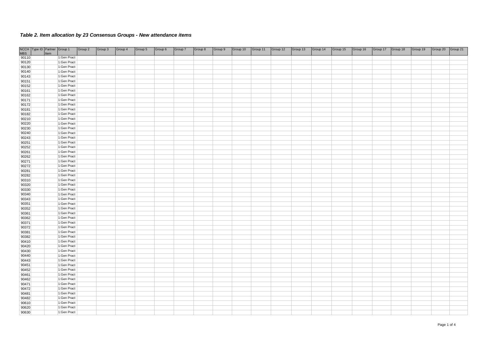|                | NCCH Type ID Partner Group 1 |      |                            | Group 2 | Group 3 | Group 4 | Group 5 | Group 6 | Group 7 | Group 8 | Group 9 | Group 10 | Group 11 | Group 12 | Group 13 | Group 14 | Group 15 | Group 16 | Group 17 | Group 18 | Group 19 | Group 20 | Group 21 |
|----------------|------------------------------|------|----------------------------|---------|---------|---------|---------|---------|---------|---------|---------|----------|----------|----------|----------|----------|----------|----------|----------|----------|----------|----------|----------|
| <b>MBS</b>     |                              | Item |                            |         |         |         |         |         |         |         |         |          |          |          |          |          |          |          |          |          |          |          |          |
| 90110          |                              |      | 1:Gen Pract                |         |         |         |         |         |         |         |         |          |          |          |          |          |          |          |          |          |          |          |          |
| 90120          |                              |      | 1:Gen Pract                |         |         |         |         |         |         |         |         |          |          |          |          |          |          |          |          |          |          |          |          |
| 90130          |                              |      | 1:Gen Pract                |         |         |         |         |         |         |         |         |          |          |          |          |          |          |          |          |          |          |          |          |
| 90140          |                              |      | 1:Gen Pract                |         |         |         |         |         |         |         |         |          |          |          |          |          |          |          |          |          |          |          |          |
| 90143          |                              |      | 1:Gen Pract                |         |         |         |         |         |         |         |         |          |          |          |          |          |          |          |          |          |          |          |          |
| 90151          |                              |      | 1:Gen Pract                |         |         |         |         |         |         |         |         |          |          |          |          |          |          |          |          |          |          |          |          |
| 90152          |                              |      | 1:Gen Pract                |         |         |         |         |         |         |         |         |          |          |          |          |          |          |          |          |          |          |          |          |
| 90161          |                              |      | 1:Gen Pract                |         |         |         |         |         |         |         |         |          |          |          |          |          |          |          |          |          |          |          |          |
| 90162          |                              |      | 1:Gen Pract                |         |         |         |         |         |         |         |         |          |          |          |          |          |          |          |          |          |          |          |          |
| 90171          |                              |      | 1:Gen Pract<br>1:Gen Pract |         |         |         |         |         |         |         |         |          |          |          |          |          |          |          |          |          |          |          |          |
| 90172          |                              |      | 1:Gen Pract                |         |         |         |         |         |         |         |         |          |          |          |          |          |          |          |          |          |          |          |          |
| 90181<br>90182 |                              |      | 1:Gen Pract                |         |         |         |         |         |         |         |         |          |          |          |          |          |          |          |          |          |          |          |          |
| 90210          |                              |      | 1:Gen Pract                |         |         |         |         |         |         |         |         |          |          |          |          |          |          |          |          |          |          |          |          |
| 90220          |                              |      | 1:Gen Pract                |         |         |         |         |         |         |         |         |          |          |          |          |          |          |          |          |          |          |          |          |
| 90230          |                              |      | 1:Gen Pract                |         |         |         |         |         |         |         |         |          |          |          |          |          |          |          |          |          |          |          |          |
| 90240          |                              |      | 1:Gen Pract                |         |         |         |         |         |         |         |         |          |          |          |          |          |          |          |          |          |          |          |          |
| 90243          |                              |      | 1:Gen Pract                |         |         |         |         |         |         |         |         |          |          |          |          |          |          |          |          |          |          |          |          |
| 90251          |                              |      | 1:Gen Pract                |         |         |         |         |         |         |         |         |          |          |          |          |          |          |          |          |          |          |          |          |
| 90252          |                              |      | 1:Gen Pract                |         |         |         |         |         |         |         |         |          |          |          |          |          |          |          |          |          |          |          |          |
| 90261          |                              |      | 1:Gen Pract                |         |         |         |         |         |         |         |         |          |          |          |          |          |          |          |          |          |          |          |          |
| 90262          |                              |      | 1:Gen Pract                |         |         |         |         |         |         |         |         |          |          |          |          |          |          |          |          |          |          |          |          |
| 90271          |                              |      | 1:Gen Pract                |         |         |         |         |         |         |         |         |          |          |          |          |          |          |          |          |          |          |          |          |
| 90272          |                              |      | 1:Gen Pract                |         |         |         |         |         |         |         |         |          |          |          |          |          |          |          |          |          |          |          |          |
| 90281          |                              |      | 1:Gen Pract                |         |         |         |         |         |         |         |         |          |          |          |          |          |          |          |          |          |          |          |          |
| 90282          |                              |      | 1:Gen Pract                |         |         |         |         |         |         |         |         |          |          |          |          |          |          |          |          |          |          |          |          |
| 90310          |                              |      | 1:Gen Pract                |         |         |         |         |         |         |         |         |          |          |          |          |          |          |          |          |          |          |          |          |
| 90320          |                              |      | 1:Gen Pract                |         |         |         |         |         |         |         |         |          |          |          |          |          |          |          |          |          |          |          |          |
| 90330          |                              |      | 1:Gen Pract                |         |         |         |         |         |         |         |         |          |          |          |          |          |          |          |          |          |          |          |          |
| 90340          |                              |      | 1:Gen Pract                |         |         |         |         |         |         |         |         |          |          |          |          |          |          |          |          |          |          |          |          |
| 90343          |                              |      | 1:Gen Pract                |         |         |         |         |         |         |         |         |          |          |          |          |          |          |          |          |          |          |          |          |
| 90351          |                              |      | 1:Gen Pract                |         |         |         |         |         |         |         |         |          |          |          |          |          |          |          |          |          |          |          |          |
| 90352          |                              |      | 1:Gen Pract                |         |         |         |         |         |         |         |         |          |          |          |          |          |          |          |          |          |          |          |          |
| 90361          |                              |      | 1:Gen Pract                |         |         |         |         |         |         |         |         |          |          |          |          |          |          |          |          |          |          |          |          |
| 90362          |                              |      | 1:Gen Pract                |         |         |         |         |         |         |         |         |          |          |          |          |          |          |          |          |          |          |          |          |
| 90371          |                              |      | 1:Gen Pract                |         |         |         |         |         |         |         |         |          |          |          |          |          |          |          |          |          |          |          |          |
| 90372          |                              |      | 1:Gen Pract                |         |         |         |         |         |         |         |         |          |          |          |          |          |          |          |          |          |          |          |          |
| 90381          |                              |      | 1:Gen Pract                |         |         |         |         |         |         |         |         |          |          |          |          |          |          |          |          |          |          |          |          |
| 90382          |                              |      | 1:Gen Pract                |         |         |         |         |         |         |         |         |          |          |          |          |          |          |          |          |          |          |          |          |
| 90410          |                              |      | 1:Gen Pract                |         |         |         |         |         |         |         |         |          |          |          |          |          |          |          |          |          |          |          |          |
| 90420          |                              |      | 1:Gen Pract                |         |         |         |         |         |         |         |         |          |          |          |          |          |          |          |          |          |          |          |          |
| 90430          |                              |      | 1:Gen Pract                |         |         |         |         |         |         |         |         |          |          |          |          |          |          |          |          |          |          |          |          |
| 90440          |                              |      | 1:Gen Pract                |         |         |         |         |         |         |         |         |          |          |          |          |          |          |          |          |          |          |          |          |
| 90443          |                              |      | 1:Gen Pract                |         |         |         |         |         |         |         |         |          |          |          |          |          |          |          |          |          |          |          |          |
| 90451          |                              |      | 1:Gen Pract<br>1:Gen Pract |         |         |         |         |         |         |         |         |          |          |          |          |          |          |          |          |          |          |          |          |
| 90452          |                              |      | 1:Gen Pract                |         |         |         |         |         |         |         |         |          |          |          |          |          |          |          |          |          |          |          |          |
| 90461<br>90462 |                              |      | 1:Gen Pract                |         |         |         |         |         |         |         |         |          |          |          |          |          |          |          |          |          |          |          |          |
| 90471          |                              |      | 1:Gen Pract                |         |         |         |         |         |         |         |         |          |          |          |          |          |          |          |          |          |          |          |          |
| 90472          |                              |      | 1:Gen Pract                |         |         |         |         |         |         |         |         |          |          |          |          |          |          |          |          |          |          |          |          |
| 90481          |                              |      | 1:Gen Pract                |         |         |         |         |         |         |         |         |          |          |          |          |          |          |          |          |          |          |          |          |
| 90482          |                              |      | 1:Gen Pract                |         |         |         |         |         |         |         |         |          |          |          |          |          |          |          |          |          |          |          |          |
| 90610          |                              |      | 1:Gen Pract                |         |         |         |         |         |         |         |         |          |          |          |          |          |          |          |          |          |          |          |          |
| 90620          |                              |      | 1:Gen Pract                |         |         |         |         |         |         |         |         |          |          |          |          |          |          |          |          |          |          |          |          |
| 90630          |                              |      | 1:Gen Pract                |         |         |         |         |         |         |         |         |          |          |          |          |          |          |          |          |          |          |          |          |
|                |                              |      |                            |         |         |         |         |         |         |         |         |          |          |          |          |          |          |          |          |          |          |          |          |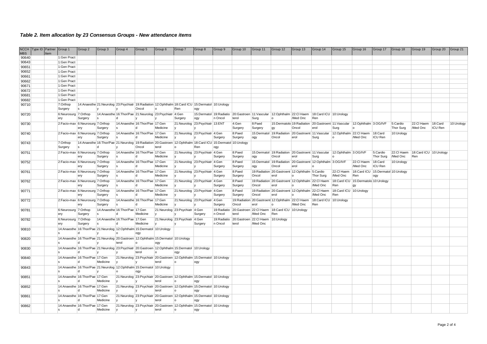| <b>NCCH</b>    | Type ID Partner |      | Group 1                           | Group 2                 | Group 3  | Group 4                           | Group 5                                                                | Group 6                                                                                         | Group 7                        | Group 8                                                                                                               | Group 9                 | Group 10 | Group 11                          | Group 12                                                                                      | Group 13 | Group 14                      | Group 15                                                                             | Group 16                           | Group 17         | Group 18   | Group 19                          | Group 20       | Group 21   |
|----------------|-----------------|------|-----------------------------------|-------------------------|----------|-----------------------------------|------------------------------------------------------------------------|-------------------------------------------------------------------------------------------------|--------------------------------|-----------------------------------------------------------------------------------------------------------------------|-------------------------|----------|-----------------------------------|-----------------------------------------------------------------------------------------------|----------|-------------------------------|--------------------------------------------------------------------------------------|------------------------------------|------------------|------------|-----------------------------------|----------------|------------|
| <b>MBS</b>     |                 | Item |                                   |                         |          |                                   |                                                                        |                                                                                                 |                                |                                                                                                                       |                         |          |                                   |                                                                                               |          |                               |                                                                                      |                                    |                  |            |                                   |                |            |
| 90640          |                 |      | 1:Gen Pract                       |                         |          |                                   |                                                                        |                                                                                                 |                                |                                                                                                                       |                         |          |                                   |                                                                                               |          |                               |                                                                                      |                                    |                  |            |                                   |                |            |
| 90643          |                 |      | 1:Gen Pract                       |                         |          |                                   |                                                                        |                                                                                                 |                                |                                                                                                                       |                         |          |                                   |                                                                                               |          |                               |                                                                                      |                                    |                  |            |                                   |                |            |
| 90651          |                 |      | 1:Gen Pract<br>1:Gen Pract        |                         |          |                                   |                                                                        |                                                                                                 |                                |                                                                                                                       |                         |          |                                   |                                                                                               |          |                               |                                                                                      |                                    |                  |            |                                   |                |            |
| 90652<br>90661 |                 |      | 1:Gen Pract                       |                         |          |                                   |                                                                        |                                                                                                 |                                |                                                                                                                       |                         |          |                                   |                                                                                               |          |                               |                                                                                      |                                    |                  |            |                                   |                |            |
| 90662          |                 |      | 1:Gen Pract                       |                         |          |                                   |                                                                        |                                                                                                 |                                |                                                                                                                       |                         |          |                                   |                                                                                               |          |                               |                                                                                      |                                    |                  |            |                                   |                |            |
| 90671          |                 |      | 1:Gen Pract                       |                         |          |                                   |                                                                        |                                                                                                 |                                |                                                                                                                       |                         |          |                                   |                                                                                               |          |                               |                                                                                      |                                    |                  |            |                                   |                |            |
| 90672          |                 |      | 1:Gen Pract                       |                         |          |                                   |                                                                        |                                                                                                 |                                |                                                                                                                       |                         |          |                                   |                                                                                               |          |                               |                                                                                      |                                    |                  |            |                                   |                |            |
| 90681          |                 |      | 1:Gen Pract                       |                         |          |                                   |                                                                        |                                                                                                 |                                |                                                                                                                       |                         |          |                                   |                                                                                               |          |                               |                                                                                      |                                    |                  |            |                                   |                |            |
| 90682          |                 |      | 1:Gen Pract                       |                         |          |                                   |                                                                        |                                                                                                 |                                |                                                                                                                       |                         |          |                                   |                                                                                               |          |                               |                                                                                      |                                    |                  |            |                                   |                |            |
| 90710          |                 |      | 7:Orthop                          |                         |          |                                   |                                                                        |                                                                                                 |                                | 14:Anaesthe 21:Neurolog 23:Psychiatr 19:Radiation 12:Ophthalm 18:Card ICU 15:Dermatol 10:Urology                      |                         |          |                                   |                                                                                               |          |                               |                                                                                      |                                    |                  |            |                                   |                |            |
|                |                 |      | Surgery                           |                         |          |                                   | Oncol                                                                  |                                                                                                 | Ren                            | logy                                                                                                                  |                         |          |                                   |                                                                                               |          |                               |                                                                                      |                                    |                  |            |                                   |                |            |
| 90720          |                 |      | 6:Neurosurg 7:Orthop              |                         |          |                                   |                                                                        | 14:Anaesthe 16:Thor/Pae 21:Neurolog 23:Psychiatr 4:Gen                                          |                                |                                                                                                                       |                         |          |                                   | 15:Dermatol 19:Radiatio 20:Gastroen 11:Vascular 12:Ophthalm 22:Cl Haem 18:Card ICU 10:Urology |          |                               |                                                                                      |                                    |                  |            |                                   |                |            |
|                |                 |      | ery                               | Surgery                 | ١s       |                                   |                                                                        |                                                                                                 | Surgery                        | ogy                                                                                                                   | n Oncol                 | terol    | Surg                              | lo.                                                                                           | /Med Onc | Ren                           |                                                                                      |                                    |                  |            |                                   |                |            |
| 90730          |                 |      | 2:Facio-max 6:Neurosurg 7:Orthop  |                         |          |                                   | 14:Anaesthe 16:Thor/Pae 17:Gen                                         |                                                                                                 |                                | 21:Neurolog 23:Psychiatr 13:ENT                                                                                       |                         | 4:Gen    | 8:Paed                            |                                                                                               |          |                               | 15:Dermatolo 19:Radiation 20:Gastroent 11:Vascular 12:Ophthalm 3:OG/IVF              |                                    |                  | 5:Cardio   | 22:Cl Haem                        | 18:Card        | 10:Urology |
|                |                 |      |                                   | ery                     | Surgery  |                                   |                                                                        | Medicine                                                                                        | Iv.                            |                                                                                                                       |                         | Surgery  | Surgery                           | gy                                                                                            | Oncol    | erol                          | Surg                                                                                 |                                    |                  | Thor Surg  | /Med Onc                          | <b>ICU Ren</b> |            |
| 90740          |                 |      | 2:Facio-max 6:Neurosurg 7:Orthop  |                         |          |                                   | 14:Anaesthe 16:Thor/Pae 17:Gen                                         |                                                                                                 |                                | 21:Neurolog 23:Psychiatr 4:Gen                                                                                        |                         | 8:Paed   |                                   |                                                                                               |          |                               | 15:Dermatol   19:Radiation   20:Gastroent   11:Vascular   12:Ophthalm   22:Cl Haem   |                                    | 18:Card          | 10:Urology |                                   |                |            |
|                |                 |      |                                   | ery                     | Surgery  |                                   | ۱d                                                                     | Medicine                                                                                        |                                |                                                                                                                       | Surgery                 | Surgery  | ogy                               | Oncol                                                                                         | erol     | Surg                          | l o                                                                                  | /Med Onc                           | <b>ICU Ren</b>   |            |                                   |                |            |
| 90743          |                 |      | 7:Orthop                          |                         |          |                                   |                                                                        |                                                                                                 |                                | 14:Anaesthe 16:Thor/Pae 21:Neurolog   19:Radiation 20:Gastroen   12:Ophthalm   18:Card ICU   15:Dermatol   10:Urology |                         |          |                                   |                                                                                               |          |                               |                                                                                      |                                    |                  |            |                                   |                |            |
|                |                 |      | Surgery                           | $\overline{\mathbf{s}}$ | l d      |                                   | Oncol                                                                  | terol                                                                                           |                                | Ren                                                                                                                   | logy                    |          |                                   |                                                                                               |          |                               |                                                                                      |                                    |                  |            |                                   |                |            |
| 90751          |                 |      | 2:Facio-max 6:Neurosurg 7:Orthop  |                         |          |                                   | 14: Anaesthe 16: Thor/Pae 17: Gen                                      |                                                                                                 |                                | 21:Neurolog 23:Psychiatr 4:Gen                                                                                        |                         | 8:Paed   |                                   |                                                                                               |          |                               | 15:Dermatol 19:Radiation 20:Gastroent 11:Vascular 12:Ophthalm 3:OG/IVF               |                                    | 5:Cardio         |            | 22:CI Haem 18:Card ICU 10:Urology |                |            |
|                |                 |      |                                   | ery                     | Surgery  |                                   |                                                                        | Medicine                                                                                        | Iv.                            |                                                                                                                       | Surgery                 | Surgery  | logy                              | Oncol                                                                                         | erol     | Surg                          |                                                                                      |                                    | <b>Thor Surg</b> | /Med Onc   | Ren                               |                |            |
| 90752          |                 |      | 2:Facio-max 6:Neurosurg 7:Orthop  |                         |          |                                   | 14: Anaesthe 16: Thor/Pae 17: Gen                                      |                                                                                                 |                                | 21:Neurolog 23:Psychiatr 4:Gen                                                                                        |                         | 8:Paed   |                                   | 15:Dermatol 19:Radiation 20:Gastroent 12:Ophthalm 3:OG/IVF                                    |          |                               |                                                                                      | 22:Cl Haem                         | 18:Card          | 10:Urology |                                   |                |            |
|                |                 |      |                                   | ery                     | Surgery  |                                   | l d                                                                    | Medicine                                                                                        |                                |                                                                                                                       | Surgery                 | Surgery  | ogy                               | Oncol                                                                                         | erol     |                               |                                                                                      | /Med Onc                           | ICU Ren          |            |                                   |                |            |
| 90761          |                 |      | 2:Facio-max 6:Neurosurg 7:Orthop  |                         |          |                                   | 14: Anaesthe   16: Thor/Pae   17: Gen                                  |                                                                                                 |                                | 21:Neurolog 23:Psychiatr 4:Gen                                                                                        |                         | 8:Paed   |                                   | 19:Radiation 20:Gastroent 12:Ophthalm 5:Cardio                                                |          |                               | 22:Cl Haem                                                                           | 18:Card ICU 15:Dermatol 10:Urology |                  |            |                                   |                |            |
|                |                 |      |                                   | ery                     | Surgery  |                                   | ıd                                                                     | Medicine                                                                                        |                                |                                                                                                                       | Surgery                 | Surgery  | Oncol                             | erol                                                                                          |          | Thor Surg                     | /Med Onc                                                                             | Ren                                | logy             |            |                                   |                |            |
| 90762          |                 |      | 2:Facio-max 6:Neurosurg 7:Orthop  |                         |          |                                   | 14:Anaesthe 16:Thor/Pae 17:Gen                                         |                                                                                                 |                                | 21:Neurolog 23:Psychiatr 4:Gen                                                                                        |                         | 8:Paed   |                                   |                                                                                               |          |                               | 19:Radiation 20:Gastroent 12:Ophthalm 22:Cl Haem 18:Card ICU 15:Dermatolo 10:Urology |                                    |                  |            |                                   |                |            |
|                |                 |      |                                   | ery                     | Surgery  |                                   |                                                                        | Medicine                                                                                        | Iv.                            |                                                                                                                       | Surgery                 | Surgery  | Oncol                             | erol                                                                                          |          | /Med Onc                      | Ren                                                                                  |                                    |                  |            |                                   |                |            |
| 90771          |                 |      | 2:Facio-max 6:Neurosurg 7:Orthop  |                         |          |                                   | 14:Anaesthe 16:Thor/Pae 17:Gen                                         |                                                                                                 |                                | 21:Neurolog 23:Psychiatr 4:Gen                                                                                        |                         | 8:Paed   |                                   | 19: Radiation 20: Gastroent 12: Ophthalm 22: CI Haem                                          |          |                               | 18:Card ICU 10:Urology                                                               |                                    |                  |            |                                   |                |            |
|                |                 |      |                                   | ery                     | Surgery  |                                   |                                                                        | Medicine                                                                                        |                                |                                                                                                                       | Surgery                 | Surgery  | Oncol                             | erol                                                                                          | l o      | /Med Onc                      | Ren                                                                                  |                                    |                  |            |                                   |                |            |
| 90772          |                 |      | 2:Facio-max 6:Neurosurg 7:Orthop  | ery                     |          |                                   | 14:Anaesthe 16:Thor/Pae 17:Gen<br>l d                                  | Medicine                                                                                        | IV.                            | 21:Neurolog 23:Psychiatr 4:Gen                                                                                        |                         | Oncol    | erol                              | 19: Radiation 20: Gastroent 12: Ophthalm 22: CI Haem<br>lo.                                   | /Med Onc | 18:Card ICU 10:Urology<br>Ren |                                                                                      |                                    |                  |            |                                   |                |            |
|                |                 |      |                                   |                         | Surgery  |                                   |                                                                        |                                                                                                 |                                |                                                                                                                       | Surgery                 |          |                                   |                                                                                               |          |                               |                                                                                      |                                    |                  |            |                                   |                |            |
| 90781          |                 |      | 6:Neurosurg 7:Orthop<br>ery       | Surgery                 |          | 14: Anaesthe 16: Thor/Pae 17: Gen | Medicine                                                               |                                                                                                 | 21:Neurolog 23:Psychiatr 4:Gen | Surgery                                                                                                               | 19: Radiatio<br>n Oncol | terol    | /Med Onc                          | 20:Gastroen 22:Cl Haem 18:Card ICU 10:Urology<br>Ren                                          |          |                               |                                                                                      |                                    |                  |            |                                   |                |            |
| 90782          |                 |      | 6:Neurosurg 7:Orthop              |                         |          | 14: Anaesthe 16: Thor/Pae 17: Gen |                                                                        |                                                                                                 | 21:Neurolog 23:Psychiatr 4:Gen |                                                                                                                       | 19: Radiatio            |          | 20:Gastroen 22:Cl Haem 10:Urology |                                                                                               |          |                               |                                                                                      |                                    |                  |            |                                   |                |            |
|                |                 |      | ery                               | Surgery                 |          |                                   | Medicine                                                               |                                                                                                 |                                | Surgery                                                                                                               | n Oncol                 | terol    | /Med Onc                          |                                                                                               |          |                               |                                                                                      |                                    |                  |            |                                   |                |            |
| 90810          |                 |      |                                   |                         |          |                                   | 14:Anaesthe 16:Thor/Pae 21:Neurolog 12:Ophthalm 15:Dermatol 10:Urology |                                                                                                 |                                |                                                                                                                       |                         |          |                                   |                                                                                               |          |                               |                                                                                      |                                    |                  |            |                                   |                |            |
|                |                 |      |                                   |                         |          |                                   | ogy                                                                    |                                                                                                 |                                |                                                                                                                       |                         |          |                                   |                                                                                               |          |                               |                                                                                      |                                    |                  |            |                                   |                |            |
| 90820          |                 |      |                                   |                         |          |                                   |                                                                        | 14:Anaesthe 16:Thor/Pae 21:Neurolog 20:Gastroen 12:Ophthalm 15:Dermatol 10:Urology              |                                |                                                                                                                       |                         |          |                                   |                                                                                               |          |                               |                                                                                      |                                    |                  |            |                                   |                |            |
|                |                 |      |                                   |                         |          | terol                             |                                                                        | ogy                                                                                             |                                |                                                                                                                       |                         |          |                                   |                                                                                               |          |                               |                                                                                      |                                    |                  |            |                                   |                |            |
| 90830          |                 |      |                                   |                         |          |                                   |                                                                        | 14:Anaesthe 16:Thor/Pae 21:Neurolog 23:Psychiatr 20:Gastroen 12:Ophthalm 15:Dermatol 10:Urology |                                |                                                                                                                       |                         |          |                                   |                                                                                               |          |                               |                                                                                      |                                    |                  |            |                                   |                |            |
|                |                 |      |                                   | ١d                      |          |                                   | terol                                                                  |                                                                                                 | logy                           |                                                                                                                       |                         |          |                                   |                                                                                               |          |                               |                                                                                      |                                    |                  |            |                                   |                |            |
| 90840          |                 |      | 14: Anaesthe 16: Thor/Pae 17: Gen |                         |          |                                   |                                                                        |                                                                                                 |                                | 21:Neurolog 23:Psychiatr 20:Gastroen 12:Ophthalm 15:Dermatol 10:Urology                                               |                         |          |                                   |                                                                                               |          |                               |                                                                                      |                                    |                  |            |                                   |                |            |
|                |                 |      |                                   |                         | Medicine |                                   |                                                                        | terol                                                                                           |                                | logy                                                                                                                  |                         |          |                                   |                                                                                               |          |                               |                                                                                      |                                    |                  |            |                                   |                |            |
| 90843          |                 |      |                                   |                         |          |                                   | 14:Anaesthe 16:Thor/Pae 21:Neurolog 12:Ophthalm 15:Dermatol 10:Urology |                                                                                                 |                                |                                                                                                                       |                         |          |                                   |                                                                                               |          |                               |                                                                                      |                                    |                  |            |                                   |                |            |
|                |                 |      |                                   | ∣d                      |          |                                   | ogy                                                                    |                                                                                                 |                                |                                                                                                                       |                         |          |                                   |                                                                                               |          |                               |                                                                                      |                                    |                  |            |                                   |                |            |
| 90851          |                 |      | 14:Anaesthe 16:Thor/Pae 17:Gen    |                         |          |                                   |                                                                        |                                                                                                 |                                | 21:Neurolog 23:Psychiatr 20:Gastroen 12:Ophthalm 15:Dermatol 10:Urology                                               |                         |          |                                   |                                                                                               |          |                               |                                                                                      |                                    |                  |            |                                   |                |            |
|                |                 |      |                                   | ١d                      | Medicine |                                   |                                                                        | terol                                                                                           | l O                            | logy                                                                                                                  |                         |          |                                   |                                                                                               |          |                               |                                                                                      |                                    |                  |            |                                   |                |            |
| 90852          |                 |      | 14:Anaesthe 16:Thor/Pae 17:Gen    |                         |          |                                   |                                                                        |                                                                                                 |                                | 21:Neurolog 23:Psychiatr 20:Gastroen 12:Ophthalm 15:Dermatol 10:Urology                                               |                         |          |                                   |                                                                                               |          |                               |                                                                                      |                                    |                  |            |                                   |                |            |
|                |                 |      |                                   |                         | Medicine |                                   |                                                                        | terol                                                                                           |                                | logy                                                                                                                  |                         |          |                                   |                                                                                               |          |                               |                                                                                      |                                    |                  |            |                                   |                |            |
| 90861          |                 |      | 14:Anaesthe 16:Thor/Pae 17:Gen    |                         |          |                                   |                                                                        |                                                                                                 |                                | 21:Neurolog 23:Psychiatr 20:Gastroen 12:Ophthalm 15:Dermatol 10:Urology                                               |                         |          |                                   |                                                                                               |          |                               |                                                                                      |                                    |                  |            |                                   |                |            |
|                |                 |      |                                   |                         | Medicine |                                   |                                                                        | terol                                                                                           |                                | ogy                                                                                                                   |                         |          |                                   |                                                                                               |          |                               |                                                                                      |                                    |                  |            |                                   |                |            |
| 90862          |                 |      | 14: Anaesthe 16: Thor/Pae 17: Gen |                         |          |                                   |                                                                        |                                                                                                 |                                | 21:Neurolog 23:Psychiatr 20:Gastroen 12:Ophthalm 15:Dermatol 10:Urology                                               |                         |          |                                   |                                                                                               |          |                               |                                                                                      |                                    |                  |            |                                   |                |            |
|                |                 |      |                                   | ld.                     | Medicine |                                   | ly.                                                                    | terol                                                                                           | ۱o                             | logy                                                                                                                  |                         |          |                                   |                                                                                               |          |                               |                                                                                      |                                    |                  |            |                                   |                |            |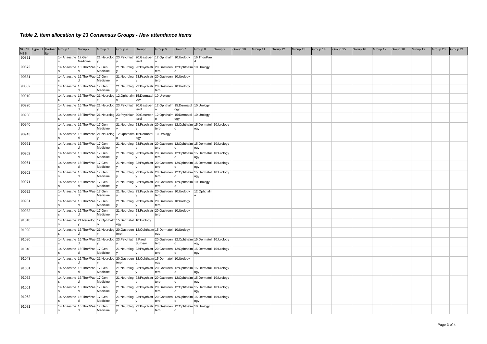| <b>MBS</b> | NCCH Type ID Partner Group 1 | Item |                                       | Group 2  | Group 3                                                                           | Group 4 | Group 5                                                                                                  | Group 6        | Group 7  | Group 8                                        | Group 9 | Group 10 | Group 11 | Group 12 | Group 13 | Group 14 | Group 15 | Group 16 | Group 17 | Group 18 | Group 19 | Group 20 | Group 21 |
|------------|------------------------------|------|---------------------------------------|----------|-----------------------------------------------------------------------------------|---------|----------------------------------------------------------------------------------------------------------|----------------|----------|------------------------------------------------|---------|----------|----------|----------|----------|----------|----------|----------|----------|----------|----------|----------|----------|
| 90871      |                              |      | 14:Anaesthe 17:Gen                    | Medicine | $\mathsf{I} \mathsf{v}$                                                           |         | 21:Neurolog 23:Psychiatr 20:Gastroen 12:Ophthalm 10:Urology<br>terol                                     |                |          | 16:Thor/Pae                                    |         |          |          |          |          |          |          |          |          |          |          |          |          |
| 90872      |                              |      | 14:Anaesthe 16:Thor/Pae 17:Gen        |          |                                                                                   |         | 21:Neurolog 23:Psychiatr 20:Gastroen 12:Ophthalm 10:Urology                                              |                |          |                                                |         |          |          |          |          |          |          |          |          |          |          |          |          |
|            |                              |      | 14:Anaesthe 16:Thor/Pae 17:Gen        | ld.      | Medicine                                                                          |         | 21:Neurolog 23:Psychiatr 20:Gastroen 10:Urology                                                          | terol          |          |                                                |         |          |          |          |          |          |          |          |          |          |          |          |          |
| 90881      |                              |      |                                       | ld.      | Medicine                                                                          |         | V                                                                                                        | terol          |          |                                                |         |          |          |          |          |          |          |          |          |          |          |          |          |
| 90882      |                              |      | 14:Anaesthe 16:Thor/Pae 17:Gen        |          | Medicine                                                                          |         | 21:Neurolog 23:Psychiatr 20:Gastroen 10:Urology<br> y                                                    | terol          |          |                                                |         |          |          |          |          |          |          |          |          |          |          |          |          |
| 90910      |                              |      |                                       | ∣d.      | y                                                                                 | ۱o      | 14: Anaesthe 16: Thor/Pae 21: Neurolog 12: Ophthalm 15: Dermatol 10: Urology<br>logy                     |                |          |                                                |         |          |          |          |          |          |          |          |          |          |          |          |          |
| 90920      |                              |      |                                       |          |                                                                                   |         | 14:Anaesthe 16:Thor/Pae 21:Neurolog 23:Psychiatr 20:Gastroen 12:Ophthalm 15:Dermatol 10:Urology          |                |          |                                                |         |          |          |          |          |          |          |          |          |          |          |          |          |
| 90930      |                              |      |                                       |          |                                                                                   |         | terol<br>14:Anaesthe 16:Thor/Pae 21:Neurolog 23:Psychiatr 20:Gastroen 12:Ophthalm 15:Dermatol 10:Urology | $\overline{0}$ | logy     |                                                |         |          |          |          |          |          |          |          |          |          |          |          |          |
|            |                              |      |                                       | ld.      |                                                                                   |         | terol                                                                                                    | $\overline{0}$ | logy     |                                                |         |          |          |          |          |          |          |          |          |          |          |          |          |
| 90940      |                              |      | 14:Anaesthe 16:Thor/Pae 17:Gen        |          | Medicine                                                                          |         | 21:Neurolog 23:Psychiatr 20:Gastroen 12:Ophthalm 15:Dermatol 10:Urology<br>$\mathsf{V}$                  | terol          |          | ogy                                            |         |          |          |          |          |          |          |          |          |          |          |          |          |
| 90943      |                              |      |                                       | ld.      | $\mathsf{I} \mathsf{V}$                                                           |         | 14: Anaesthe 16: Thor/Pae 21: Neurolog 12: Ophthalm 15: Dermatol 10: Urology                             |                |          |                                                |         |          |          |          |          |          |          |          |          |          |          |          |          |
| 90951      |                              |      | 14:Anaesthe 16:Thor/Pae 17:Gen        |          |                                                                                   |         | logy<br>21:Neurolog 23:Psychiatr 20:Gastroen 12:Ophthalm 15:Dermatol 10:Urology                          |                |          |                                                |         |          |          |          |          |          |          |          |          |          |          |          |          |
| 90952      |                              |      | 14:Anaesthe 16:Thor/Pae 17:Gen        | ∣d       | Medicine                                                                          |         | y <br>21:Neurolog 23:Psychiatr 20:Gastroen 12:Ophthalm 15:Dermatol 10:Urology                            | terol          | lo.      | logy                                           |         |          |          |          |          |          |          |          |          |          |          |          |          |
|            |                              |      |                                       | ld.      | Medicine                                                                          |         | $\mathsf{V}$                                                                                             | terol          | $\Omega$ | logy                                           |         |          |          |          |          |          |          |          |          |          |          |          |          |
| 90961      |                              |      | 14:Anaesthe 16:Thor/Pae 17:Gen        |          | Medicine                                                                          |         | 21:Neurolog 23:Psychiatr 20:Gastroen 12:Ophthalm 15:Dermatol 10:Urology                                  | terol          |          | logy                                           |         |          |          |          |          |          |          |          |          |          |          |          |          |
| 90962      |                              |      | 14:Anaesthe 16:Thor/Pae 17:Gen        | d        | Medicine                                                                          |         | 21:Neurolog 23:Psychiatr 20:Gastroen 12:Ophthalm 15:Dermatol 10:Urology                                  | terol          | lo.      | ogy                                            |         |          |          |          |          |          |          |          |          |          |          |          |          |
| 90971      |                              |      | 14:Anaesthe 16:Thor/Pae 17:Gen        |          |                                                                                   |         | 21:Neurolog 23:Psychiatr 20:Gastroen 12:Ophthalm 10:Urology                                              |                |          |                                                |         |          |          |          |          |          |          |          |          |          |          |          |          |
| 90972      |                              |      | 14:Anaesthe 16:Thor/Pae 17:Gen        | ld.      | Medicine                                                                          |         | $\mathsf{V}$<br>21:Neurolog 23:Psychiatr 20:Gastroen 10:Urology 12:Ophthalm                              | terol          |          |                                                |         |          |          |          |          |          |          |          |          |          |          |          |          |
|            |                              |      |                                       | ld.      | Medicine                                                                          |         |                                                                                                          | terol          |          |                                                |         |          |          |          |          |          |          |          |          |          |          |          |          |
| 90981      |                              |      | 14:Anaesthe 16:Thor/Pae 17:Gen        | ld.      | Medicine                                                                          |         | 21:Neurolog 23:Psychiatr 20:Gastroen 10:Urology                                                          | terol          |          |                                                |         |          |          |          |          |          |          |          |          |          |          |          |          |
| 90982      |                              |      | 14:Anaesthe 16:Thor/Pae 17:Gen        | ld.      | Medicine                                                                          |         | 21:Neurolog 23:Psychiatr 20:Gastroen 10:Urology<br>$\mathsf{V}$                                          | terol          |          |                                                |         |          |          |          |          |          |          |          |          |          |          |          |          |
| 91010      |                              |      |                                       |          | 14:Anaesthe 21:Neurolog 12:Ophthalm 15:Dermatol 10:Urology<br>$\overline{\Omega}$ | ogy     |                                                                                                          |                |          |                                                |         |          |          |          |          |          |          |          |          |          |          |          |          |
| 91020      |                              |      |                                       |          |                                                                                   |         | 14:Anaesthe 16:Thor/Pae 21:Neurolog 20:Gastroen 12:Ophthalm 15:Dermatol 10:Urology                       |                |          |                                                |         |          |          |          |          |          |          |          |          |          |          |          |          |
| 91030      |                              |      |                                       |          | 14:Anaesthe 16:Thor/Pae 21:Neurolog 23:Psychiatr 8:Paed                           | terol   | lo.                                                                                                      | ogy            |          | 20:Gastroen 12:Ophthalm 15:Dermatol 10:Urology |         |          |          |          |          |          |          |          |          |          |          |          |          |
|            |                              |      |                                       |          | $\mathsf{I} \mathsf{V}$                                                           |         | Surgery                                                                                                  | terol          | $\circ$  | logy                                           |         |          |          |          |          |          |          |          |          |          |          |          |          |
| 91040      |                              |      | 14:Anaesthe 16:Thor/Pae 17:Gen        |          | Medicine                                                                          |         | 21:Neurolog 23:Psychiatr 20:Gastroen 12:Ophthalm 15:Dermatol 10:Urology<br> y                            | terol          |          | logy                                           |         |          |          |          |          |          |          |          |          |          |          |          |          |
| 91043      |                              |      |                                       | ld.      | $\mathsf{v}$                                                                      | terol   | 14:Anaesthe 16:Thor/Pae 21:Neurolog 20:Gastroen 12:Ophthalm 15:Dermatol 10:Urology<br>$\overline{0}$     | ogy            |          |                                                |         |          |          |          |          |          |          |          |          |          |          |          |          |
| 91051      |                              |      | 14:Anaesthe 16:Thor/Pae 17:Gen        |          |                                                                                   |         | 21:Neurolog 23:Psychiatr 20:Gastroen 12:Ophthalm 15:Dermatol 10:Urology                                  |                |          |                                                |         |          |          |          |          |          |          |          |          |          |          |          |          |
| 91052      |                              |      | 14:Anaesthe 16:Thor/Pae 17:Gen        | ld.      | Medicine                                                                          |         | 21:Neurolog 23:Psychiatr 20:Gastroen 12:Ophthalm 15:Dermatol 10:Urology                                  | terol          | lo.      | logy                                           |         |          |          |          |          |          |          |          |          |          |          |          |          |
|            |                              |      | ls.<br>14:Anaesthe 16:Thor/Pae 17:Gen | ld.      | Medicine                                                                          |         | 21:Neurolog 23:Psychiatr 20:Gastroen 12:Ophthalm 15:Dermatol 10:Urology                                  | terol          | lo.      | ogy                                            |         |          |          |          |          |          |          |          |          |          |          |          |          |
| 91061      |                              |      |                                       | ld.      | Medicine                                                                          |         | $\mathsf{V}$                                                                                             | terol          | lo.      | ogy                                            |         |          |          |          |          |          |          |          |          |          |          |          |          |
| 91062      |                              |      | 14:Anaesthe 16:Thor/Pae 17:Gen        | ld.      | Medicine                                                                          |         | 21:Neurolog 23:Psychiatr 20:Gastroen 12:Ophthalm 15:Dermatol 10:Urology                                  | terol          | lo.      | ogy                                            |         |          |          |          |          |          |          |          |          |          |          |          |          |
| 91071      |                              |      | 14:Anaesthe 16:Thor/Pae 17:Gen        |          |                                                                                   |         | 21:Neurolog 23:Psychiatr 20:Gastroen 12:Ophthalm 10:Urology                                              |                |          |                                                |         |          |          |          |          |          |          |          |          |          |          |          |          |
|            |                              |      |                                       | ∣d       | Medicine                                                                          |         | y                                                                                                        | terol          |          |                                                |         |          |          |          |          |          |          |          |          |          |          |          |          |